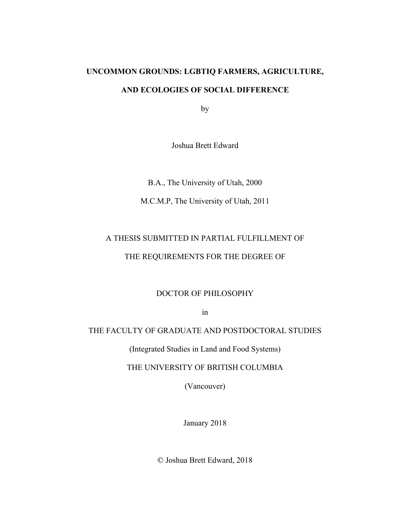# **UNCOMMON GROUNDS: LGBTIQ FARMERS, AGRICULTURE, AND ECOLOGIES OF SOCIAL DIFFERENCE**

by

Joshua Brett Edward

B.A., The University of Utah, 2000

M.C.M.P, The University of Utah, 2011

## A THESIS SUBMITTED IN PARTIAL FULFILLMENT OF

### THE REQUIREMENTS FOR THE DEGREE OF

### DOCTOR OF PHILOSOPHY

in

### THE FACULTY OF GRADUATE AND POSTDOCTORAL STUDIES

(Integrated Studies in Land and Food Systems)

THE UNIVERSITY OF BRITISH COLUMBIA

(Vancouver)

January 2018

© Joshua Brett Edward, 2018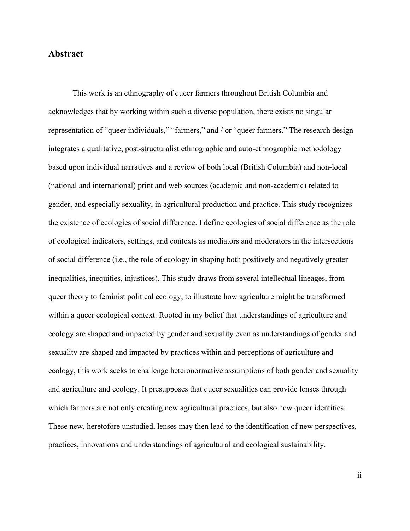### **Abstract**

This work is an ethnography of queer farmers throughout British Columbia and acknowledges that by working within such a diverse population, there exists no singular representation of "queer individuals," "farmers," and / or "queer farmers." The research design integrates a qualitative, post-structuralist ethnographic and auto-ethnographic methodology based upon individual narratives and a review of both local (British Columbia) and non-local (national and international) print and web sources (academic and non-academic) related to gender, and especially sexuality, in agricultural production and practice. This study recognizes the existence of ecologies of social difference. I define ecologies of social difference as the role of ecological indicators, settings, and contexts as mediators and moderators in the intersections of social difference (i.e., the role of ecology in shaping both positively and negatively greater inequalities, inequities, injustices). This study draws from several intellectual lineages, from queer theory to feminist political ecology, to illustrate how agriculture might be transformed within a queer ecological context. Rooted in my belief that understandings of agriculture and ecology are shaped and impacted by gender and sexuality even as understandings of gender and sexuality are shaped and impacted by practices within and perceptions of agriculture and ecology, this work seeks to challenge heteronormative assumptions of both gender and sexuality and agriculture and ecology. It presupposes that queer sexualities can provide lenses through which farmers are not only creating new agricultural practices, but also new queer identities. These new, heretofore unstudied, lenses may then lead to the identification of new perspectives, practices, innovations and understandings of agricultural and ecological sustainability.

ii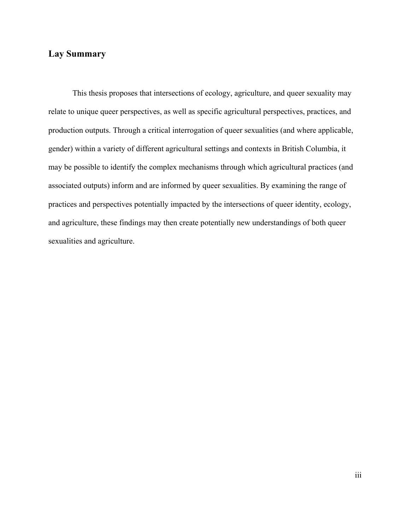### **Lay Summary**

This thesis proposes that intersections of ecology, agriculture, and queer sexuality may relate to unique queer perspectives, as well as specific agricultural perspectives, practices, and production outputs. Through a critical interrogation of queer sexualities (and where applicable, gender) within a variety of different agricultural settings and contexts in British Columbia, it may be possible to identify the complex mechanisms through which agricultural practices (and associated outputs) inform and are informed by queer sexualities. By examining the range of practices and perspectives potentially impacted by the intersections of queer identity, ecology, and agriculture, these findings may then create potentially new understandings of both queer sexualities and agriculture.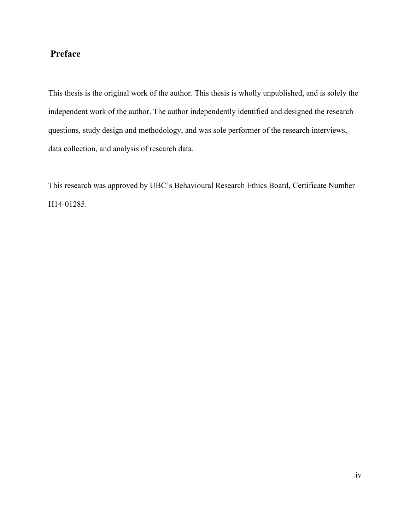## **Preface**

This thesis is the original work of the author. This thesis is wholly unpublished, and is solely the independent work of the author. The author independently identified and designed the research questions, study design and methodology, and was sole performer of the research interviews, data collection, and analysis of research data.

This research was approved by UBC's Behavioural Research Ethics Board, Certificate Number H14-01285.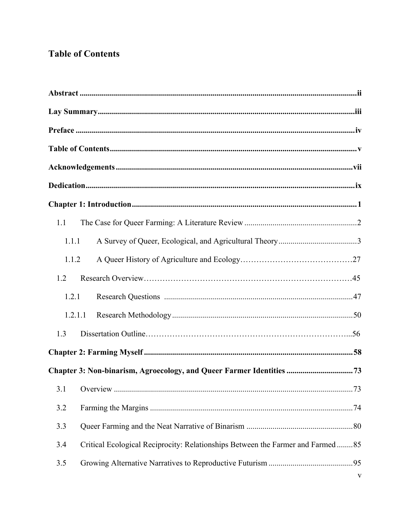## **Table of Contents**

| 1.1     |                                                                                |  |  |
|---------|--------------------------------------------------------------------------------|--|--|
| 1.1.1   |                                                                                |  |  |
| 1.1.2   |                                                                                |  |  |
| 1.2     |                                                                                |  |  |
| 1.2.1   |                                                                                |  |  |
| 1.2.1.1 |                                                                                |  |  |
| 1.3     |                                                                                |  |  |
|         |                                                                                |  |  |
|         | Chapter 3: Non-binarism, Agroecology, and Queer Farmer Identities  73          |  |  |
|         | $\overline{a}$                                                                 |  |  |
| 3.2     |                                                                                |  |  |
| 3.3     |                                                                                |  |  |
| 3.4     | Critical Ecological Reciprocity: Relationships Between the Farmer and Farmed85 |  |  |
| 3.5     |                                                                                |  |  |
|         | V                                                                              |  |  |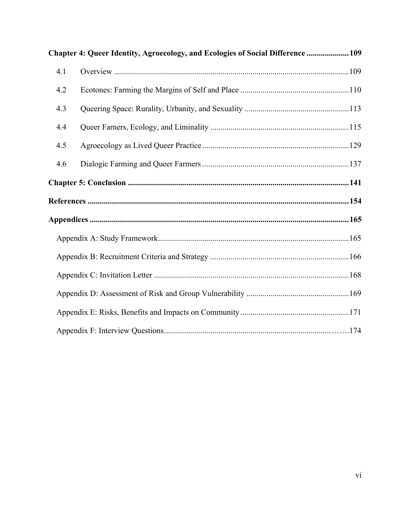| Chapter 4: Queer Identity, Agroecology, and Ecologies of Social Difference  109 |  |  |  |
|---------------------------------------------------------------------------------|--|--|--|
| 4.1                                                                             |  |  |  |
| 4.2                                                                             |  |  |  |
| 4.3                                                                             |  |  |  |
| 4.4                                                                             |  |  |  |
| 4.5                                                                             |  |  |  |
| 4.6                                                                             |  |  |  |
|                                                                                 |  |  |  |
|                                                                                 |  |  |  |
|                                                                                 |  |  |  |
|                                                                                 |  |  |  |
|                                                                                 |  |  |  |
|                                                                                 |  |  |  |
|                                                                                 |  |  |  |
|                                                                                 |  |  |  |
|                                                                                 |  |  |  |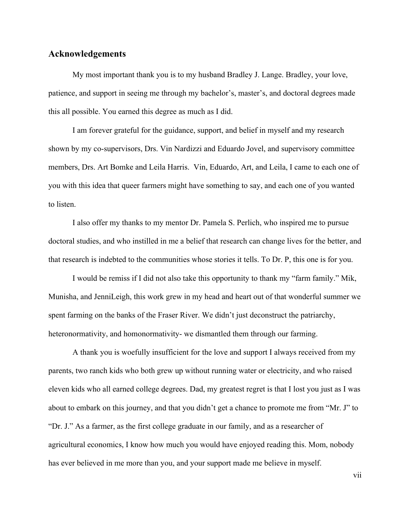#### **Acknowledgements**

My most important thank you is to my husband Bradley J. Lange. Bradley, your love, patience, and support in seeing me through my bachelor's, master's, and doctoral degrees made this all possible. You earned this degree as much as I did.

I am forever grateful for the guidance, support, and belief in myself and my research shown by my co-supervisors, Drs. Vin Nardizzi and Eduardo Jovel, and supervisory committee members, Drs. Art Bomke and Leila Harris. Vin, Eduardo, Art, and Leila, I came to each one of you with this idea that queer farmers might have something to say, and each one of you wanted to listen.

I also offer my thanks to my mentor Dr. Pamela S. Perlich, who inspired me to pursue doctoral studies, and who instilled in me a belief that research can change lives for the better, and that research is indebted to the communities whose stories it tells. To Dr. P, this one is for you.

I would be remiss if I did not also take this opportunity to thank my "farm family." Mik, Munisha, and JenniLeigh, this work grew in my head and heart out of that wonderful summer we spent farming on the banks of the Fraser River. We didn't just deconstruct the patriarchy, heteronormativity, and homonormativity- we dismantled them through our farming.

A thank you is woefully insufficient for the love and support I always received from my parents, two ranch kids who both grew up without running water or electricity, and who raised eleven kids who all earned college degrees. Dad, my greatest regret is that I lost you just as I was about to embark on this journey, and that you didn't get a chance to promote me from "Mr. J" to "Dr. J." As a farmer, as the first college graduate in our family, and as a researcher of agricultural economics, I know how much you would have enjoyed reading this. Mom, nobody has ever believed in me more than you, and your support made me believe in myself.

vii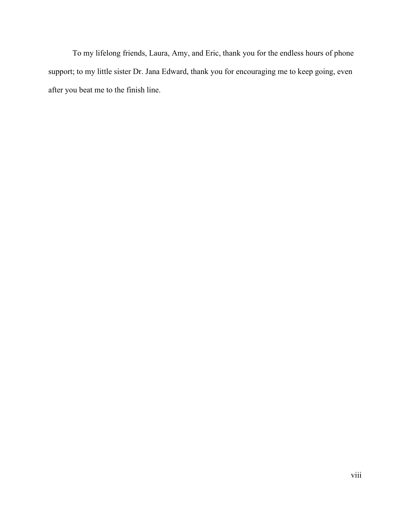To my lifelong friends, Laura, Amy, and Eric, thank you for the endless hours of phone support; to my little sister Dr. Jana Edward, thank you for encouraging me to keep going, even after you beat me to the finish line.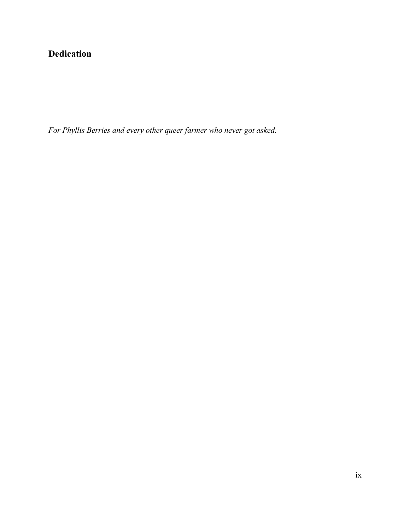## **Dedication**

*For Phyllis Berries and every other queer farmer who never got asked.*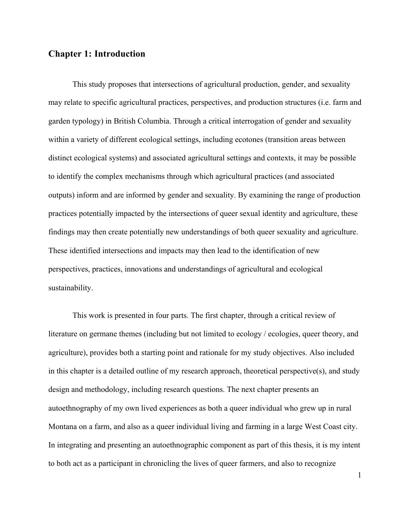### **Chapter 1: Introduction**

This study proposes that intersections of agricultural production, gender, and sexuality may relate to specific agricultural practices, perspectives, and production structures (i.e. farm and garden typology) in British Columbia. Through a critical interrogation of gender and sexuality within a variety of different ecological settings, including ecotones (transition areas between distinct ecological systems) and associated agricultural settings and contexts, it may be possible to identify the complex mechanisms through which agricultural practices (and associated outputs) inform and are informed by gender and sexuality. By examining the range of production practices potentially impacted by the intersections of queer sexual identity and agriculture, these findings may then create potentially new understandings of both queer sexuality and agriculture. These identified intersections and impacts may then lead to the identification of new perspectives, practices, innovations and understandings of agricultural and ecological sustainability.

This work is presented in four parts. The first chapter, through a critical review of literature on germane themes (including but not limited to ecology / ecologies, queer theory, and agriculture), provides both a starting point and rationale for my study objectives. Also included in this chapter is a detailed outline of my research approach, theoretical perspective(s), and study design and methodology, including research questions. The next chapter presents an autoethnography of my own lived experiences as both a queer individual who grew up in rural Montana on a farm, and also as a queer individual living and farming in a large West Coast city. In integrating and presenting an autoethnographic component as part of this thesis, it is my intent to both act as a participant in chronicling the lives of queer farmers, and also to recognize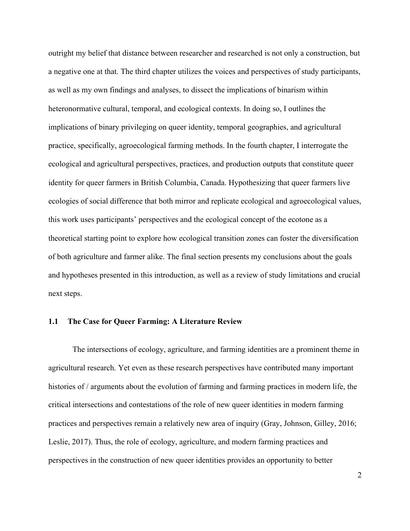outright my belief that distance between researcher and researched is not only a construction, but a negative one at that. The third chapter utilizes the voices and perspectives of study participants, as well as my own findings and analyses, to dissect the implications of binarism within heteronormative cultural, temporal, and ecological contexts. In doing so, I outlines the implications of binary privileging on queer identity, temporal geographies, and agricultural practice, specifically, agroecological farming methods. In the fourth chapter, I interrogate the ecological and agricultural perspectives, practices, and production outputs that constitute queer identity for queer farmers in British Columbia, Canada. Hypothesizing that queer farmers live ecologies of social difference that both mirror and replicate ecological and agroecological values, this work uses participants' perspectives and the ecological concept of the ecotone as a theoretical starting point to explore how ecological transition zones can foster the diversification of both agriculture and farmer alike. The final section presents my conclusions about the goals and hypotheses presented in this introduction, as well as a review of study limitations and crucial next steps.

#### **1.1 The Case for Queer Farming: A Literature Review**

The intersections of ecology, agriculture, and farming identities are a prominent theme in agricultural research. Yet even as these research perspectives have contributed many important histories of / arguments about the evolution of farming and farming practices in modern life, the critical intersections and contestations of the role of new queer identities in modern farming practices and perspectives remain a relatively new area of inquiry (Gray, Johnson, Gilley, 2016; Leslie, 2017). Thus, the role of ecology, agriculture, and modern farming practices and perspectives in the construction of new queer identities provides an opportunity to better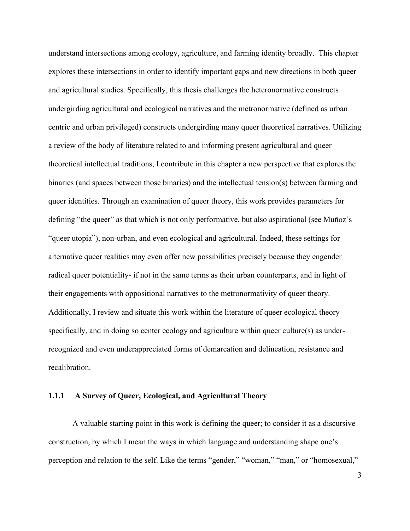understand intersections among ecology, agriculture, and farming identity broadly. This chapter explores these intersections in order to identify important gaps and new directions in both queer and agricultural studies. Specifically, this thesis challenges the heteronormative constructs undergirding agricultural and ecological narratives and the metronormative (defined as urban centric and urban privileged) constructs undergirding many queer theoretical narratives. Utilizing a review of the body of literature related to and informing present agricultural and queer theoretical intellectual traditions, I contribute in this chapter a new perspective that explores the binaries (and spaces between those binaries) and the intellectual tension(s) between farming and queer identities. Through an examination of queer theory, this work provides parameters for defining "the queer" as that which is not only performative, but also aspirational (see Muñoz's "queer utopia"), non-urban, and even ecological and agricultural. Indeed, these settings for alternative queer realities may even offer new possibilities precisely because they engender radical queer potentiality- if not in the same terms as their urban counterparts, and in light of their engagements with oppositional narratives to the metronormativity of queer theory. Additionally, I review and situate this work within the literature of queer ecological theory specifically, and in doing so center ecology and agriculture within queer culture(s) as underrecognized and even underappreciated forms of demarcation and delineation, resistance and recalibration.

### **1.1.1 A Survey of Queer, Ecological, and Agricultural Theory**

A valuable starting point in this work is defining the queer; to consider it as a discursive construction, by which I mean the ways in which language and understanding shape one's perception and relation to the self. Like the terms "gender," "woman," "man," or "homosexual,"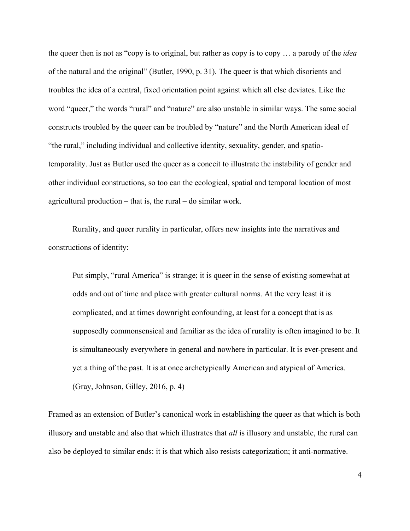the queer then is not as "copy is to original, but rather as copy is to copy … a parody of the *idea* of the natural and the original" (Butler, 1990, p. 31). The queer is that which disorients and troubles the idea of a central, fixed orientation point against which all else deviates. Like the word "queer," the words "rural" and "nature" are also unstable in similar ways. The same social constructs troubled by the queer can be troubled by "nature" and the North American ideal of "the rural," including individual and collective identity, sexuality, gender, and spatiotemporality. Just as Butler used the queer as a conceit to illustrate the instability of gender and other individual constructions, so too can the ecological, spatial and temporal location of most agricultural production – that is, the rural – do similar work.

Rurality, and queer rurality in particular, offers new insights into the narratives and constructions of identity:

Put simply, "rural America" is strange; it is queer in the sense of existing somewhat at odds and out of time and place with greater cultural norms. At the very least it is complicated, and at times downright confounding, at least for a concept that is as supposedly commonsensical and familiar as the idea of rurality is often imagined to be. It is simultaneously everywhere in general and nowhere in particular. It is ever-present and yet a thing of the past. It is at once archetypically American and atypical of America. (Gray, Johnson, Gilley, 2016, p. 4)

Framed as an extension of Butler's canonical work in establishing the queer as that which is both illusory and unstable and also that which illustrates that *all* is illusory and unstable, the rural can also be deployed to similar ends: it is that which also resists categorization; it anti-normative.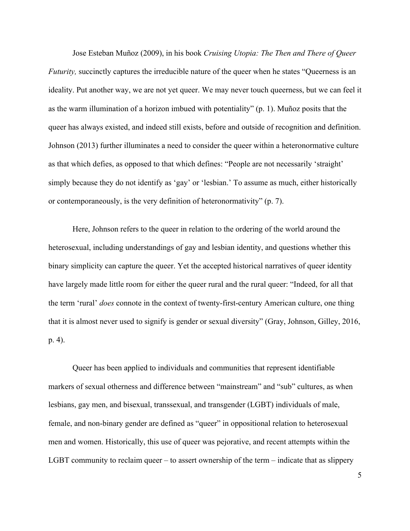Jose Esteban Muñoz (2009), in his book *Cruising Utopia: The Then and There of Queer Futurity*, succinctly captures the irreducible nature of the queer when he states "Queerness is an ideality. Put another way, we are not yet queer. We may never touch queerness, but we can feel it as the warm illumination of a horizon imbued with potentiality" (p. 1). Muñoz posits that the queer has always existed, and indeed still exists, before and outside of recognition and definition. Johnson (2013) further illuminates a need to consider the queer within a heteronormative culture as that which defies, as opposed to that which defines: "People are not necessarily 'straight' simply because they do not identify as 'gay' or 'lesbian.' To assume as much, either historically or contemporaneously, is the very definition of heteronormativity" (p. 7).

Here, Johnson refers to the queer in relation to the ordering of the world around the heterosexual, including understandings of gay and lesbian identity, and questions whether this binary simplicity can capture the queer. Yet the accepted historical narratives of queer identity have largely made little room for either the queer rural and the rural queer: "Indeed, for all that the term 'rural' *does* connote in the context of twenty-first-century American culture, one thing that it is almost never used to signify is gender or sexual diversity" (Gray, Johnson, Gilley, 2016, p. 4).

Queer has been applied to individuals and communities that represent identifiable markers of sexual otherness and difference between "mainstream" and "sub" cultures, as when lesbians, gay men, and bisexual, transsexual, and transgender (LGBT) individuals of male, female, and non-binary gender are defined as "queer" in oppositional relation to heterosexual men and women. Historically, this use of queer was pejorative, and recent attempts within the LGBT community to reclaim queer – to assert ownership of the term – indicate that as slippery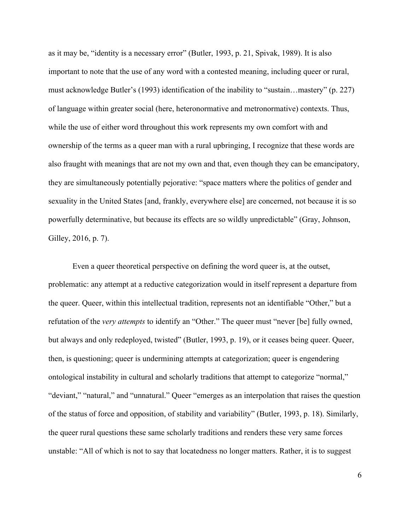as it may be, "identity is a necessary error" (Butler, 1993, p. 21, Spivak, 1989). It is also important to note that the use of any word with a contested meaning, including queer or rural, must acknowledge Butler's (1993) identification of the inability to "sustain…mastery" (p. 227) of language within greater social (here, heteronormative and metronormative) contexts. Thus, while the use of either word throughout this work represents my own comfort with and ownership of the terms as a queer man with a rural upbringing, I recognize that these words are also fraught with meanings that are not my own and that, even though they can be emancipatory, they are simultaneously potentially pejorative: "space matters where the politics of gender and sexuality in the United States [and, frankly, everywhere else] are concerned, not because it is so powerfully determinative, but because its effects are so wildly unpredictable" (Gray, Johnson, Gilley, 2016, p. 7).

Even a queer theoretical perspective on defining the word queer is, at the outset, problematic: any attempt at a reductive categorization would in itself represent a departure from the queer. Queer, within this intellectual tradition, represents not an identifiable "Other," but a refutation of the *very attempts* to identify an "Other." The queer must "never [be] fully owned, but always and only redeployed, twisted" (Butler, 1993, p. 19), or it ceases being queer. Queer, then, is questioning; queer is undermining attempts at categorization; queer is engendering ontological instability in cultural and scholarly traditions that attempt to categorize "normal," "deviant," "natural," and "unnatural." Queer "emerges as an interpolation that raises the question of the status of force and opposition, of stability and variability" (Butler, 1993, p. 18). Similarly, the queer rural questions these same scholarly traditions and renders these very same forces unstable: "All of which is not to say that locatedness no longer matters. Rather, it is to suggest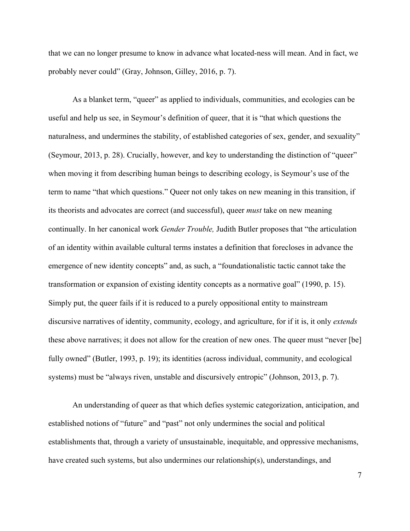that we can no longer presume to know in advance what located-ness will mean. And in fact, we probably never could" (Gray, Johnson, Gilley, 2016, p. 7).

As a blanket term, "queer" as applied to individuals, communities, and ecologies can be useful and help us see, in Seymour's definition of queer, that it is "that which questions the naturalness, and undermines the stability, of established categories of sex, gender, and sexuality" (Seymour, 2013, p. 28). Crucially, however, and key to understanding the distinction of "queer" when moving it from describing human beings to describing ecology, is Seymour's use of the term to name "that which questions." Queer not only takes on new meaning in this transition, if its theorists and advocates are correct (and successful), queer *must* take on new meaning continually. In her canonical work *Gender Trouble,* Judith Butler proposes that "the articulation of an identity within available cultural terms instates a definition that forecloses in advance the emergence of new identity concepts" and, as such, a "foundationalistic tactic cannot take the transformation or expansion of existing identity concepts as a normative goal" (1990, p. 15). Simply put, the queer fails if it is reduced to a purely oppositional entity to mainstream discursive narratives of identity, community, ecology, and agriculture, for if it is, it only *extends* these above narratives; it does not allow for the creation of new ones. The queer must "never [be] fully owned" (Butler, 1993, p. 19); its identities (across individual, community, and ecological systems) must be "always riven, unstable and discursively entropic" (Johnson, 2013, p. 7).

An understanding of queer as that which defies systemic categorization, anticipation, and established notions of "future" and "past" not only undermines the social and political establishments that, through a variety of unsustainable, inequitable, and oppressive mechanisms, have created such systems, but also undermines our relationship(s), understandings, and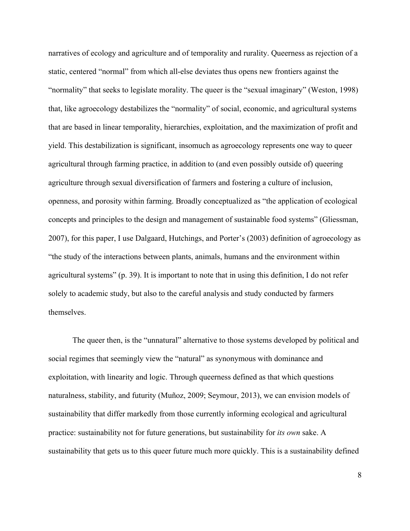narratives of ecology and agriculture and of temporality and rurality. Queerness as rejection of a static, centered "normal" from which all-else deviates thus opens new frontiers against the "normality" that seeks to legislate morality. The queer is the "sexual imaginary" (Weston, 1998) that, like agroecology destabilizes the "normality" of social, economic, and agricultural systems that are based in linear temporality, hierarchies, exploitation, and the maximization of profit and yield. This destabilization is significant, insomuch as agroecology represents one way to queer agricultural through farming practice, in addition to (and even possibly outside of) queering agriculture through sexual diversification of farmers and fostering a culture of inclusion, openness, and porosity within farming. Broadly conceptualized as "the application of ecological concepts and principles to the design and management of sustainable food systems" (Gliessman, 2007), for this paper, I use Dalgaard, Hutchings, and Porter's (2003) definition of agroecology as "the study of the interactions between plants, animals, humans and the environment within agricultural systems" (p. 39). It is important to note that in using this definition, I do not refer solely to academic study, but also to the careful analysis and study conducted by farmers themselves.

The queer then, is the "unnatural" alternative to those systems developed by political and social regimes that seemingly view the "natural" as synonymous with dominance and exploitation, with linearity and logic. Through queerness defined as that which questions naturalness, stability, and futurity (Muñoz, 2009; Seymour, 2013), we can envision models of sustainability that differ markedly from those currently informing ecological and agricultural practice: sustainability not for future generations, but sustainability for *its own* sake. A sustainability that gets us to this queer future much more quickly. This is a sustainability defined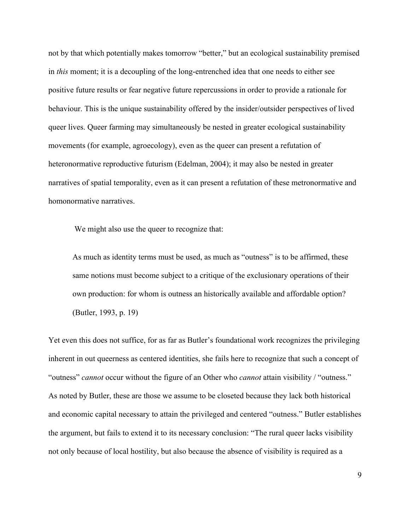not by that which potentially makes tomorrow "better," but an ecological sustainability premised in *this* moment; it is a decoupling of the long-entrenched idea that one needs to either see positive future results or fear negative future repercussions in order to provide a rationale for behaviour. This is the unique sustainability offered by the insider/outsider perspectives of lived queer lives. Queer farming may simultaneously be nested in greater ecological sustainability movements (for example, agroecology), even as the queer can present a refutation of heteronormative reproductive futurism (Edelman, 2004); it may also be nested in greater narratives of spatial temporality, even as it can present a refutation of these metronormative and homonormative narratives.

We might also use the queer to recognize that:

As much as identity terms must be used, as much as "outness" is to be affirmed, these same notions must become subject to a critique of the exclusionary operations of their own production: for whom is outness an historically available and affordable option? (Butler, 1993, p. 19)

Yet even this does not suffice, for as far as Butler's foundational work recognizes the privileging inherent in out queerness as centered identities, she fails here to recognize that such a concept of "outness" *cannot* occur without the figure of an Other who *cannot* attain visibility / "outness." As noted by Butler, these are those we assume to be closeted because they lack both historical and economic capital necessary to attain the privileged and centered "outness." Butler establishes the argument, but fails to extend it to its necessary conclusion: "The rural queer lacks visibility not only because of local hostility, but also because the absence of visibility is required as a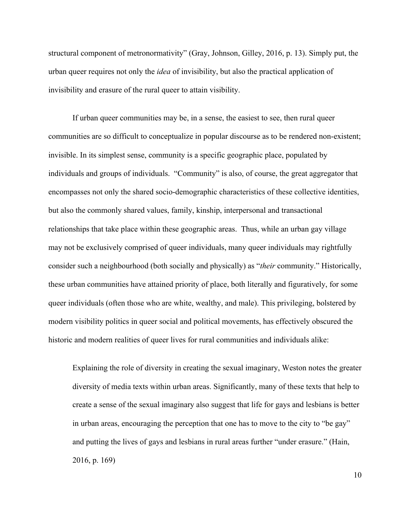structural component of metronormativity" (Gray, Johnson, Gilley, 2016, p. 13). Simply put, the urban queer requires not only the *idea* of invisibility, but also the practical application of invisibility and erasure of the rural queer to attain visibility.

If urban queer communities may be, in a sense, the easiest to see, then rural queer communities are so difficult to conceptualize in popular discourse as to be rendered non-existent; invisible. In its simplest sense, community is a specific geographic place, populated by individuals and groups of individuals. "Community" is also, of course, the great aggregator that encompasses not only the shared socio-demographic characteristics of these collective identities, but also the commonly shared values, family, kinship, interpersonal and transactional relationships that take place within these geographic areas. Thus, while an urban gay village may not be exclusively comprised of queer individuals, many queer individuals may rightfully consider such a neighbourhood (both socially and physically) as "*their* community." Historically, these urban communities have attained priority of place, both literally and figuratively, for some queer individuals (often those who are white, wealthy, and male). This privileging, bolstered by modern visibility politics in queer social and political movements, has effectively obscured the historic and modern realities of queer lives for rural communities and individuals alike:

Explaining the role of diversity in creating the sexual imaginary, Weston notes the greater diversity of media texts within urban areas. Significantly, many of these texts that help to create a sense of the sexual imaginary also suggest that life for gays and lesbians is better in urban areas, encouraging the perception that one has to move to the city to "be gay" and putting the lives of gays and lesbians in rural areas further "under erasure." (Hain, 2016, p. 169)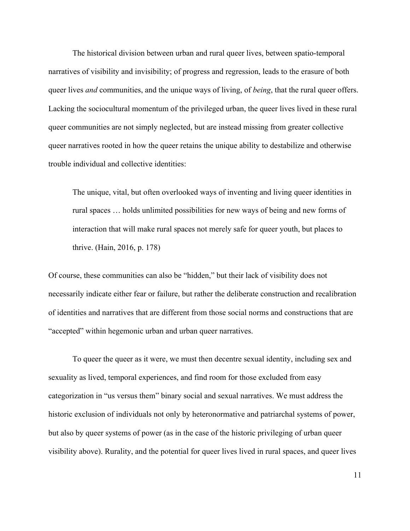The historical division between urban and rural queer lives, between spatio-temporal narratives of visibility and invisibility; of progress and regression, leads to the erasure of both queer lives *and* communities, and the unique ways of living, of *being*, that the rural queer offers. Lacking the sociocultural momentum of the privileged urban, the queer lives lived in these rural queer communities are not simply neglected, but are instead missing from greater collective queer narratives rooted in how the queer retains the unique ability to destabilize and otherwise trouble individual and collective identities:

The unique, vital, but often overlooked ways of inventing and living queer identities in rural spaces … holds unlimited possibilities for new ways of being and new forms of interaction that will make rural spaces not merely safe for queer youth, but places to thrive. (Hain, 2016, p. 178)

Of course, these communities can also be "hidden," but their lack of visibility does not necessarily indicate either fear or failure, but rather the deliberate construction and recalibration of identities and narratives that are different from those social norms and constructions that are "accepted" within hegemonic urban and urban queer narratives.

To queer the queer as it were, we must then decentre sexual identity, including sex and sexuality as lived, temporal experiences, and find room for those excluded from easy categorization in "us versus them" binary social and sexual narratives. We must address the historic exclusion of individuals not only by heteronormative and patriarchal systems of power, but also by queer systems of power (as in the case of the historic privileging of urban queer visibility above). Rurality, and the potential for queer lives lived in rural spaces, and queer lives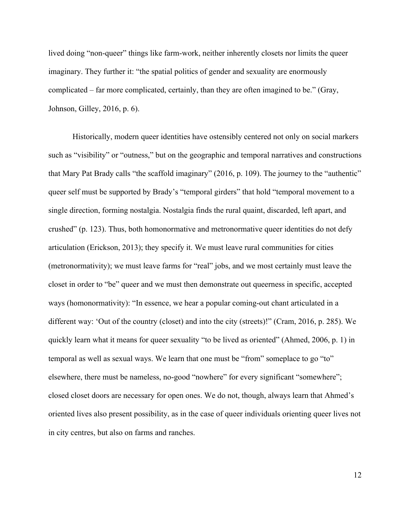lived doing "non-queer" things like farm-work, neither inherently closets nor limits the queer imaginary. They further it: "the spatial politics of gender and sexuality are enormously complicated – far more complicated, certainly, than they are often imagined to be." (Gray, Johnson, Gilley, 2016, p. 6).

Historically, modern queer identities have ostensibly centered not only on social markers such as "visibility" or "outness," but on the geographic and temporal narratives and constructions that Mary Pat Brady calls "the scaffold imaginary" (2016, p. 109). The journey to the "authentic" queer self must be supported by Brady's "temporal girders" that hold "temporal movement to a single direction, forming nostalgia. Nostalgia finds the rural quaint, discarded, left apart, and crushed" (p. 123). Thus, both homonormative and metronormative queer identities do not defy articulation (Erickson, 2013); they specify it. We must leave rural communities for cities (metronormativity); we must leave farms for "real" jobs, and we most certainly must leave the closet in order to "be" queer and we must then demonstrate out queerness in specific, accepted ways (homonormativity): "In essence, we hear a popular coming-out chant articulated in a different way: 'Out of the country (closet) and into the city (streets)!" (Cram, 2016, p. 285). We quickly learn what it means for queer sexuality "to be lived as oriented" (Ahmed, 2006, p. 1) in temporal as well as sexual ways. We learn that one must be "from" someplace to go "to" elsewhere, there must be nameless, no-good "nowhere" for every significant "somewhere"; closed closet doors are necessary for open ones. We do not, though, always learn that Ahmed's oriented lives also present possibility, as in the case of queer individuals orienting queer lives not in city centres, but also on farms and ranches.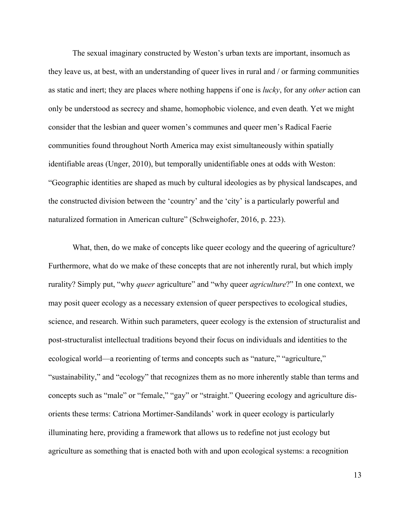The sexual imaginary constructed by Weston's urban texts are important, insomuch as they leave us, at best, with an understanding of queer lives in rural and / or farming communities as static and inert; they are places where nothing happens if one is *lucky*, for any *other* action can only be understood as secrecy and shame, homophobic violence, and even death*.* Yet we might consider that the lesbian and queer women's communes and queer men's Radical Faerie communities found throughout North America may exist simultaneously within spatially identifiable areas (Unger, 2010), but temporally unidentifiable ones at odds with Weston: "Geographic identities are shaped as much by cultural ideologies as by physical landscapes, and the constructed division between the 'country' and the 'city' is a particularly powerful and naturalized formation in American culture" (Schweighofer, 2016, p. 223).

What, then, do we make of concepts like queer ecology and the queering of agriculture? Furthermore, what do we make of these concepts that are not inherently rural, but which imply rurality? Simply put, "why *queer* agriculture" and "why queer *agriculture*?" In one context, we may posit queer ecology as a necessary extension of queer perspectives to ecological studies, science, and research. Within such parameters, queer ecology is the extension of structuralist and post-structuralist intellectual traditions beyond their focus on individuals and identities to the ecological world—a reorienting of terms and concepts such as "nature," "agriculture," "sustainability," and "ecology" that recognizes them as no more inherently stable than terms and concepts such as "male" or "female," "gay" or "straight." Queering ecology and agriculture disorients these terms: Catriona Mortimer-Sandilands' work in queer ecology is particularly illuminating here, providing a framework that allows us to redefine not just ecology but agriculture as something that is enacted both with and upon ecological systems: a recognition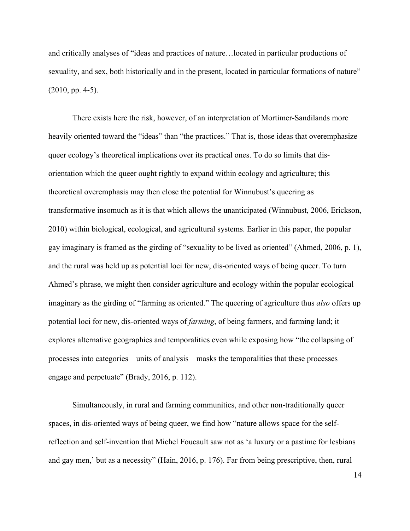and critically analyses of "ideas and practices of nature…located in particular productions of sexuality, and sex, both historically and in the present, located in particular formations of nature" (2010, pp. 4-5).

There exists here the risk, however, of an interpretation of Mortimer-Sandilands more heavily oriented toward the "ideas" than "the practices." That is, those ideas that overemphasize queer ecology's theoretical implications over its practical ones. To do so limits that disorientation which the queer ought rightly to expand within ecology and agriculture; this theoretical overemphasis may then close the potential for Winnubust's queering as transformative insomuch as it is that which allows the unanticipated (Winnubust, 2006, Erickson, 2010) within biological, ecological, and agricultural systems. Earlier in this paper, the popular gay imaginary is framed as the girding of "sexuality to be lived as oriented" (Ahmed, 2006, p. 1), and the rural was held up as potential loci for new, dis-oriented ways of being queer. To turn Ahmed's phrase, we might then consider agriculture and ecology within the popular ecological imaginary as the girding of "farming as oriented." The queering of agriculture thus *also* offers up potential loci for new, dis-oriented ways of *farming*, of being farmers, and farming land; it explores alternative geographies and temporalities even while exposing how "the collapsing of processes into categories – units of analysis – masks the temporalities that these processes engage and perpetuate" (Brady, 2016, p. 112).

Simultaneously, in rural and farming communities, and other non-traditionally queer spaces, in dis-oriented ways of being queer, we find how "nature allows space for the selfreflection and self-invention that Michel Foucault saw not as 'a luxury or a pastime for lesbians and gay men,' but as a necessity" (Hain, 2016, p. 176). Far from being prescriptive, then, rural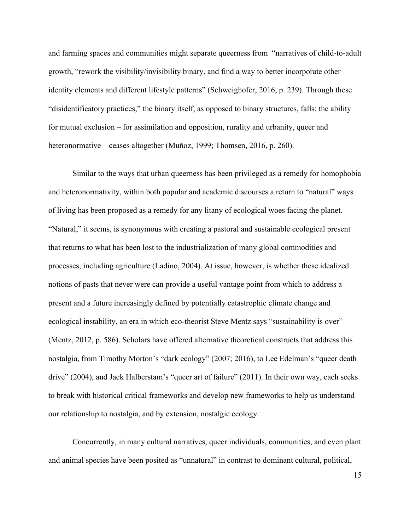and farming spaces and communities might separate queerness from "narratives of child-to-adult growth, "rework the visibility/invisibility binary, and find a way to better incorporate other identity elements and different lifestyle patterns" (Schweighofer, 2016, p. 239). Through these "disidentificatory practices," the binary itself, as opposed to binary structures, falls: the ability for mutual exclusion – for assimilation and opposition, rurality and urbanity, queer and heteronormative – ceases altogether (Muñoz, 1999; Thomsen, 2016, p. 260).

Similar to the ways that urban queerness has been privileged as a remedy for homophobia and heteronormativity, within both popular and academic discourses a return to "natural" ways of living has been proposed as a remedy for any litany of ecological woes facing the planet. "Natural," it seems, is synonymous with creating a pastoral and sustainable ecological present that returns to what has been lost to the industrialization of many global commodities and processes, including agriculture (Ladino, 2004). At issue, however, is whether these idealized notions of pasts that never were can provide a useful vantage point from which to address a present and a future increasingly defined by potentially catastrophic climate change and ecological instability, an era in which eco-theorist Steve Mentz says "sustainability is over" (Mentz, 2012, p. 586). Scholars have offered alternative theoretical constructs that address this nostalgia, from Timothy Morton's "dark ecology" (2007; 2016), to Lee Edelman's "queer death drive" (2004), and Jack Halberstam's "queer art of failure" (2011). In their own way, each seeks to break with historical critical frameworks and develop new frameworks to help us understand our relationship to nostalgia, and by extension, nostalgic ecology.

Concurrently, in many cultural narratives, queer individuals, communities, and even plant and animal species have been posited as "unnatural" in contrast to dominant cultural, political,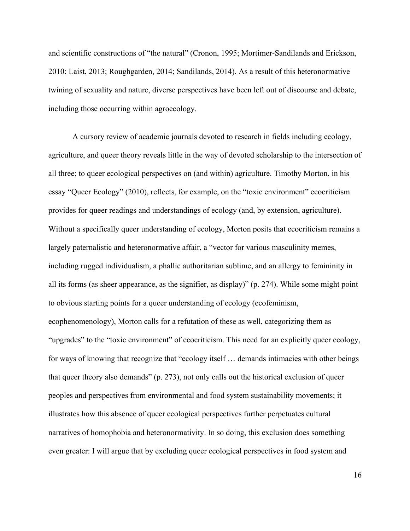and scientific constructions of "the natural" (Cronon, 1995; Mortimer-Sandilands and Erickson, 2010; Laist, 2013; Roughgarden, 2014; Sandilands, 2014). As a result of this heteronormative twining of sexuality and nature, diverse perspectives have been left out of discourse and debate, including those occurring within agroecology.

A cursory review of academic journals devoted to research in fields including ecology, agriculture, and queer theory reveals little in the way of devoted scholarship to the intersection of all three; to queer ecological perspectives on (and within) agriculture. Timothy Morton, in his essay "Queer Ecology" (2010), reflects, for example, on the "toxic environment" ecocriticism provides for queer readings and understandings of ecology (and, by extension, agriculture). Without a specifically queer understanding of ecology, Morton posits that ecocriticism remains a largely paternalistic and heteronormative affair, a "vector for various masculinity memes, including rugged individualism, a phallic authoritarian sublime, and an allergy to femininity in all its forms (as sheer appearance, as the signifier, as display)" (p. 274). While some might point to obvious starting points for a queer understanding of ecology (ecofeminism, ecophenomenology), Morton calls for a refutation of these as well, categorizing them as "upgrades" to the "toxic environment" of ecocriticism. This need for an explicitly queer ecology, for ways of knowing that recognize that "ecology itself … demands intimacies with other beings that queer theory also demands" (p. 273), not only calls out the historical exclusion of queer peoples and perspectives from environmental and food system sustainability movements; it illustrates how this absence of queer ecological perspectives further perpetuates cultural narratives of homophobia and heteronormativity. In so doing, this exclusion does something even greater: I will argue that by excluding queer ecological perspectives in food system and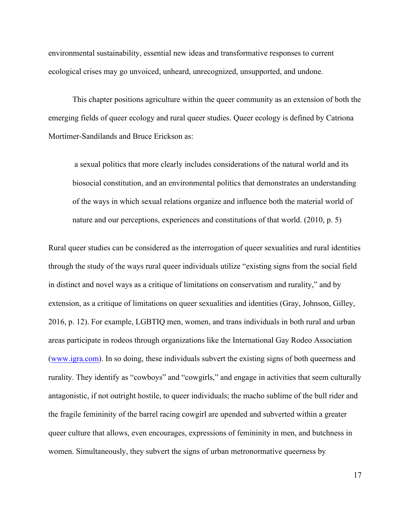environmental sustainability, essential new ideas and transformative responses to current ecological crises may go unvoiced, unheard, unrecognized, unsupported, and undone.

This chapter positions agriculture within the queer community as an extension of both the emerging fields of queer ecology and rural queer studies. Queer ecology is defined by Catriona Mortimer-Sandilands and Bruce Erickson as:

a sexual politics that more clearly includes considerations of the natural world and its biosocial constitution, and an environmental politics that demonstrates an understanding of the ways in which sexual relations organize and influence both the material world of nature and our perceptions, experiences and constitutions of that world. (2010, p. 5)

Rural queer studies can be considered as the interrogation of queer sexualities and rural identities through the study of the ways rural queer individuals utilize "existing signs from the social field in distinct and novel ways as a critique of limitations on conservatism and rurality," and by extension, as a critique of limitations on queer sexualities and identities (Gray, Johnson, Gilley, 2016, p. 12). For example, LGBTIQ men, women, and trans individuals in both rural and urban areas participate in rodeos through organizations like the International Gay Rodeo Association (www.igra.com). In so doing, these individuals subvert the existing signs of both queerness and rurality. They identify as "cowboys" and "cowgirls," and engage in activities that seem culturally antagonistic, if not outright hostile, to queer individuals; the macho sublime of the bull rider and the fragile femininity of the barrel racing cowgirl are upended and subverted within a greater queer culture that allows, even encourages, expressions of femininity in men, and butchness in women. Simultaneously, they subvert the signs of urban metronormative queerness by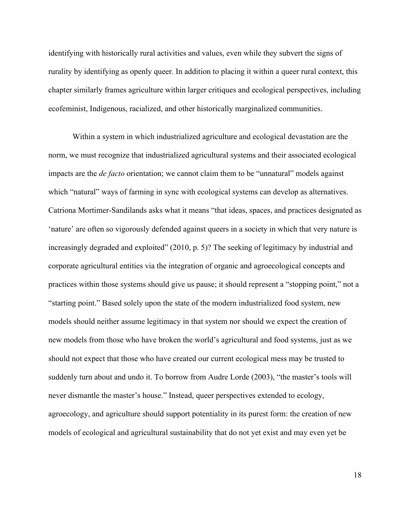identifying with historically rural activities and values, even while they subvert the signs of rurality by identifying as openly queer. In addition to placing it within a queer rural context, this chapter similarly frames agriculture within larger critiques and ecological perspectives, including ecofeminist, Indigenous, racialized, and other historically marginalized communities.

Within a system in which industrialized agriculture and ecological devastation are the norm, we must recognize that industrialized agricultural systems and their associated ecological impacts are the *de facto* orientation; we cannot claim them to be "unnatural" models against which "natural" ways of farming in sync with ecological systems can develop as alternatives. Catriona Mortimer-Sandilands asks what it means "that ideas, spaces, and practices designated as 'nature' are often so vigorously defended against queers in a society in which that very nature is increasingly degraded and exploited" (2010, p. 5)? The seeking of legitimacy by industrial and corporate agricultural entities via the integration of organic and agroecological concepts and practices within those systems should give us pause; it should represent a "stopping point," not a "starting point." Based solely upon the state of the modern industrialized food system, new models should neither assume legitimacy in that system nor should we expect the creation of new models from those who have broken the world's agricultural and food systems, just as we should not expect that those who have created our current ecological mess may be trusted to suddenly turn about and undo it. To borrow from Audre Lorde (2003), "the master's tools will never dismantle the master's house." Instead, queer perspectives extended to ecology, agroecology, and agriculture should support potentiality in its purest form: the creation of new models of ecological and agricultural sustainability that do not yet exist and may even yet be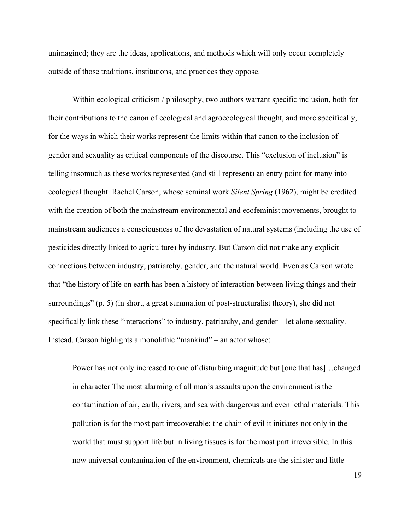unimagined; they are the ideas, applications, and methods which will only occur completely outside of those traditions, institutions, and practices they oppose.

Within ecological criticism / philosophy, two authors warrant specific inclusion, both for their contributions to the canon of ecological and agroecological thought, and more specifically, for the ways in which their works represent the limits within that canon to the inclusion of gender and sexuality as critical components of the discourse. This "exclusion of inclusion" is telling insomuch as these works represented (and still represent) an entry point for many into ecological thought. Rachel Carson, whose seminal work *Silent Spring* (1962), might be credited with the creation of both the mainstream environmental and ecofeminist movements, brought to mainstream audiences a consciousness of the devastation of natural systems (including the use of pesticides directly linked to agriculture) by industry. But Carson did not make any explicit connections between industry, patriarchy, gender, and the natural world. Even as Carson wrote that "the history of life on earth has been a history of interaction between living things and their surroundings" (p. 5) (in short, a great summation of post-structuralist theory), she did not specifically link these "interactions" to industry, patriarchy, and gender – let alone sexuality. Instead, Carson highlights a monolithic "mankind" – an actor whose:

Power has not only increased to one of disturbing magnitude but [one that has]…changed in character The most alarming of all man's assaults upon the environment is the contamination of air, earth, rivers, and sea with dangerous and even lethal materials. This pollution is for the most part irrecoverable; the chain of evil it initiates not only in the world that must support life but in living tissues is for the most part irreversible. In this now universal contamination of the environment, chemicals are the sinister and little-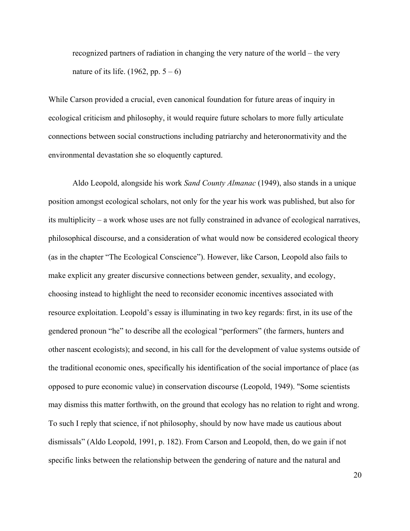recognized partners of radiation in changing the very nature of the world – the very nature of its life.  $(1962, pp. 5 - 6)$ 

While Carson provided a crucial, even canonical foundation for future areas of inquiry in ecological criticism and philosophy, it would require future scholars to more fully articulate connections between social constructions including patriarchy and heteronormativity and the environmental devastation she so eloquently captured.

Aldo Leopold, alongside his work *Sand County Almanac* (1949), also stands in a unique position amongst ecological scholars, not only for the year his work was published, but also for its multiplicity – a work whose uses are not fully constrained in advance of ecological narratives, philosophical discourse, and a consideration of what would now be considered ecological theory (as in the chapter "The Ecological Conscience"). However, like Carson, Leopold also fails to make explicit any greater discursive connections between gender, sexuality, and ecology, choosing instead to highlight the need to reconsider economic incentives associated with resource exploitation. Leopold's essay is illuminating in two key regards: first, in its use of the gendered pronoun "he" to describe all the ecological "performers" (the farmers, hunters and other nascent ecologists); and second, in his call for the development of value systems outside of the traditional economic ones, specifically his identification of the social importance of place (as opposed to pure economic value) in conservation discourse (Leopold, 1949). "Some scientists may dismiss this matter forthwith, on the ground that ecology has no relation to right and wrong. To such I reply that science, if not philosophy, should by now have made us cautious about dismissals" (Aldo Leopold, 1991, p. 182). From Carson and Leopold, then, do we gain if not specific links between the relationship between the gendering of nature and the natural and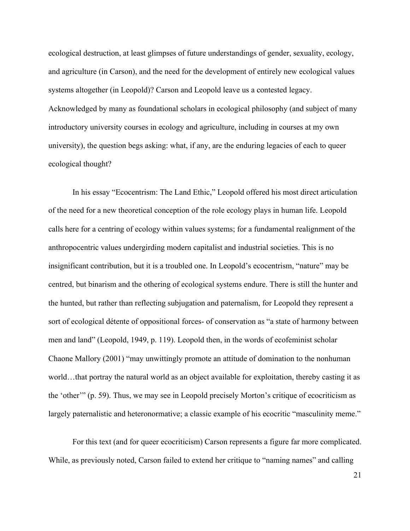ecological destruction, at least glimpses of future understandings of gender, sexuality, ecology, and agriculture (in Carson), and the need for the development of entirely new ecological values systems altogether (in Leopold)? Carson and Leopold leave us a contested legacy. Acknowledged by many as foundational scholars in ecological philosophy (and subject of many introductory university courses in ecology and agriculture, including in courses at my own university), the question begs asking: what, if any, are the enduring legacies of each to queer ecological thought?

In his essay "Ecocentrism: The Land Ethic," Leopold offered his most direct articulation of the need for a new theoretical conception of the role ecology plays in human life. Leopold calls here for a centring of ecology within values systems; for a fundamental realignment of the anthropocentric values undergirding modern capitalist and industrial societies. This is no insignificant contribution, but it is a troubled one. In Leopold's ecocentrism, "nature" may be centred, but binarism and the othering of ecological systems endure. There is still the hunter and the hunted, but rather than reflecting subjugation and paternalism, for Leopold they represent a sort of ecological détente of oppositional forces- of conservation as "a state of harmony between men and land" (Leopold, 1949, p. 119). Leopold then, in the words of ecofeminist scholar Chaone Mallory (2001) "may unwittingly promote an attitude of domination to the nonhuman world…that portray the natural world as an object available for exploitation, thereby casting it as the 'other'" (p. 59). Thus, we may see in Leopold precisely Morton's critique of ecocriticism as largely paternalistic and heteronormative; a classic example of his ecocritic "masculinity meme."

For this text (and for queer ecocriticism) Carson represents a figure far more complicated. While, as previously noted, Carson failed to extend her critique to "naming names" and calling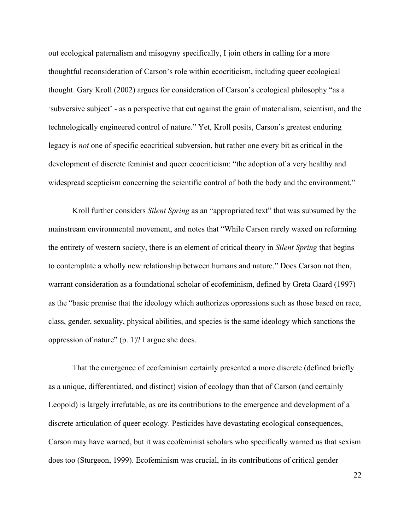out ecological paternalism and misogyny specifically, I join others in calling for a more thoughtful reconsideration of Carson's role within ecocriticism, including queer ecological thought. Gary Kroll (2002) argues for consideration of Carson's ecological philosophy "as a 'subversive subject' - as a perspective that cut against the grain of materialism, scientism, and the technologically engineered control of nature." Yet, Kroll posits, Carson's greatest enduring legacy is *not* one of specific ecocritical subversion, but rather one every bit as critical in the development of discrete feminist and queer ecocriticism: "the adoption of a very healthy and widespread scepticism concerning the scientific control of both the body and the environment."

Kroll further considers *Silent Spring* as an "appropriated text" that was subsumed by the mainstream environmental movement, and notes that "While Carson rarely waxed on reforming the entirety of western society, there is an element of critical theory in *Silent Spring* that begins to contemplate a wholly new relationship between humans and nature." Does Carson not then, warrant consideration as a foundational scholar of ecofeminism, defined by Greta Gaard (1997) as the "basic premise that the ideology which authorizes oppressions such as those based on race, class, gender, sexuality, physical abilities, and species is the same ideology which sanctions the oppression of nature" (p. 1)? I argue she does.

That the emergence of ecofeminism certainly presented a more discrete (defined briefly as a unique, differentiated, and distinct) vision of ecology than that of Carson (and certainly Leopold) is largely irrefutable, as are its contributions to the emergence and development of a discrete articulation of queer ecology. Pesticides have devastating ecological consequences, Carson may have warned, but it was ecofeminist scholars who specifically warned us that sexism does too (Sturgeon, 1999). Ecofeminism was crucial, in its contributions of critical gender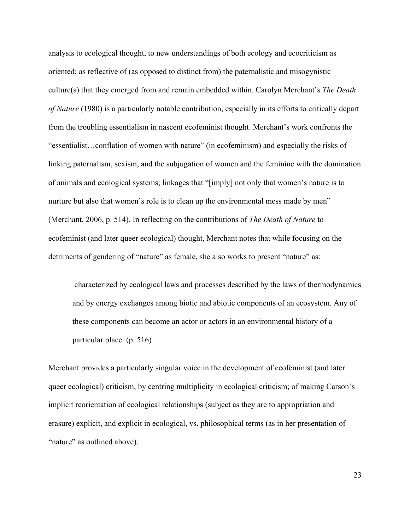analysis to ecological thought, to new understandings of both ecology and ecocriticism as oriented; as reflective of (as opposed to distinct from) the paternalistic and misogynistic culture(s) that they emerged from and remain embedded within. Carolyn Merchant's *The Death of Nature* (1980) is a particularly notable contribution, especially in its efforts to critically depart from the troubling essentialism in nascent ecofeminist thought. Merchant's work confronts the "essentialist…conflation of women with nature" (in ecofeminism) and especially the risks of linking paternalism, sexism, and the subjugation of women and the feminine with the domination of animals and ecological systems; linkages that "[imply] not only that women's nature is to nurture but also that women's role is to clean up the environmental mess made by men" (Merchant, 2006, p. 514). In reflecting on the contributions of *The Death of Nature* to ecofeminist (and later queer ecological) thought, Merchant notes that while focusing on the detriments of gendering of "nature" as female, she also works to present "nature" as:

characterized by ecological laws and processes described by the laws of thermodynamics and by energy exchanges among biotic and abiotic components of an ecosystem. Any of these components can become an actor or actors in an environmental history of a particular place. (p. 516)

Merchant provides a particularly singular voice in the development of ecofeminist (and later queer ecological) criticism, by centring multiplicity in ecological criticism; of making Carson's implicit reorientation of ecological relationships (subject as they are to appropriation and erasure) explicit, and explicit in ecological, vs. philosophical terms (as in her presentation of "nature" as outlined above).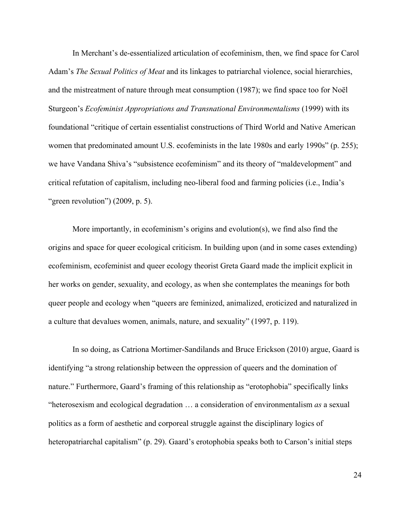In Merchant's de-essentialized articulation of ecofeminism, then, we find space for Carol Adam's *The Sexual Politics of Meat* and its linkages to patriarchal violence, social hierarchies, and the mistreatment of nature through meat consumption (1987); we find space too for Noël Sturgeon's *Ecofeminist Appropriations and Transnational Environmentalisms* (1999) with its foundational "critique of certain essentialist constructions of Third World and Native American women that predominated amount U.S. ecofeminists in the late 1980s and early 1990s" (p. 255); we have Vandana Shiva's "subsistence ecofeminism" and its theory of "maldevelopment" and critical refutation of capitalism, including neo-liberal food and farming policies (i.e., India's "green revolution")  $(2009, p. 5)$ .

More importantly, in ecofeminism's origins and evolution(s), we find also find the origins and space for queer ecological criticism. In building upon (and in some cases extending) ecofeminism, ecofeminist and queer ecology theorist Greta Gaard made the implicit explicit in her works on gender, sexuality, and ecology, as when she contemplates the meanings for both queer people and ecology when "queers are feminized, animalized, eroticized and naturalized in a culture that devalues women, animals, nature, and sexuality" (1997, p. 119).

In so doing, as Catriona Mortimer-Sandilands and Bruce Erickson (2010) argue, Gaard is identifying "a strong relationship between the oppression of queers and the domination of nature." Furthermore, Gaard's framing of this relationship as "erotophobia" specifically links "heterosexism and ecological degradation … a consideration of environmentalism *as* a sexual politics as a form of aesthetic and corporeal struggle against the disciplinary logics of heteropatriarchal capitalism" (p. 29). Gaard's erotophobia speaks both to Carson's initial steps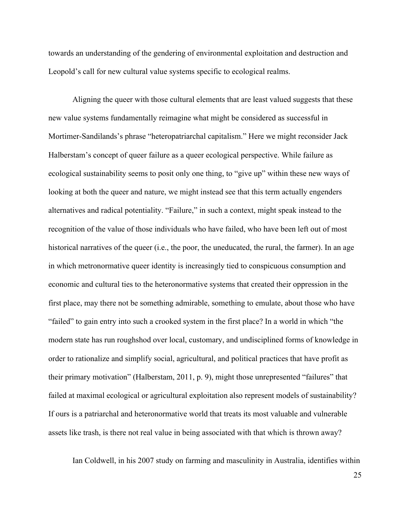towards an understanding of the gendering of environmental exploitation and destruction and Leopold's call for new cultural value systems specific to ecological realms.

Aligning the queer with those cultural elements that are least valued suggests that these new value systems fundamentally reimagine what might be considered as successful in Mortimer-Sandilands's phrase "heteropatriarchal capitalism." Here we might reconsider Jack Halberstam's concept of queer failure as a queer ecological perspective. While failure as ecological sustainability seems to posit only one thing, to "give up" within these new ways of looking at both the queer and nature, we might instead see that this term actually engenders alternatives and radical potentiality. "Failure," in such a context, might speak instead to the recognition of the value of those individuals who have failed, who have been left out of most historical narratives of the queer (i.e., the poor, the uneducated, the rural, the farmer). In an age in which metronormative queer identity is increasingly tied to conspicuous consumption and economic and cultural ties to the heteronormative systems that created their oppression in the first place, may there not be something admirable, something to emulate, about those who have "failed" to gain entry into such a crooked system in the first place? In a world in which "the modern state has run roughshod over local, customary, and undisciplined forms of knowledge in order to rationalize and simplify social, agricultural, and political practices that have profit as their primary motivation" (Halberstam, 2011, p. 9), might those unrepresented "failures" that failed at maximal ecological or agricultural exploitation also represent models of sustainability? If ours is a patriarchal and heteronormative world that treats its most valuable and vulnerable assets like trash, is there not real value in being associated with that which is thrown away?

Ian Coldwell, in his 2007 study on farming and masculinity in Australia, identifies within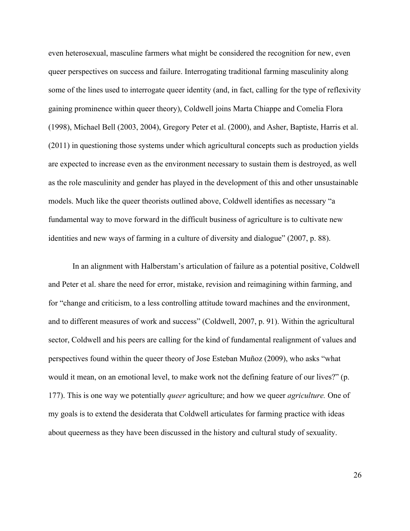even heterosexual, masculine farmers what might be considered the recognition for new, even queer perspectives on success and failure. Interrogating traditional farming masculinity along some of the lines used to interrogate queer identity (and, in fact, calling for the type of reflexivity gaining prominence within queer theory), Coldwell joins Marta Chiappe and Comelia Flora (1998), Michael Bell (2003, 2004), Gregory Peter et al. (2000), and Asher, Baptiste, Harris et al. (2011) in questioning those systems under which agricultural concepts such as production yields are expected to increase even as the environment necessary to sustain them is destroyed, as well as the role masculinity and gender has played in the development of this and other unsustainable models. Much like the queer theorists outlined above, Coldwell identifies as necessary "a fundamental way to move forward in the difficult business of agriculture is to cultivate new identities and new ways of farming in a culture of diversity and dialogue" (2007, p. 88).

In an alignment with Halberstam's articulation of failure as a potential positive, Coldwell and Peter et al. share the need for error, mistake, revision and reimagining within farming, and for "change and criticism, to a less controlling attitude toward machines and the environment, and to different measures of work and success" (Coldwell, 2007, p. 91). Within the agricultural sector, Coldwell and his peers are calling for the kind of fundamental realignment of values and perspectives found within the queer theory of Jose Esteban Muñoz (2009), who asks "what would it mean, on an emotional level, to make work not the defining feature of our lives?" (p. 177). This is one way we potentially *queer* agriculture; and how we queer *agriculture.* One of my goals is to extend the desiderata that Coldwell articulates for farming practice with ideas about queerness as they have been discussed in the history and cultural study of sexuality.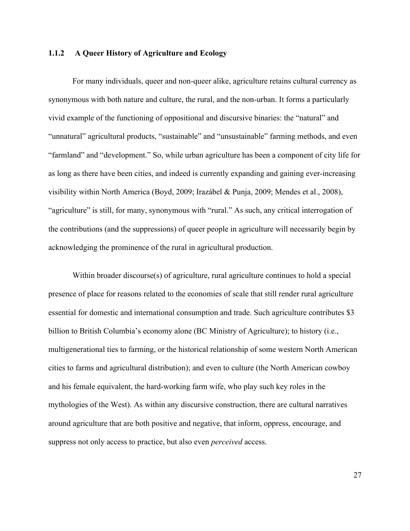#### **1.1.2 A Queer History of Agriculture and Ecology**

For many individuals, queer and non-queer alike, agriculture retains cultural currency as synonymous with both nature and culture, the rural, and the non-urban. It forms a particularly vivid example of the functioning of oppositional and discursive binaries: the "natural" and "unnatural" agricultural products, "sustainable" and "unsustainable" farming methods, and even "farmland" and "development." So, while urban agriculture has been a component of city life for as long as there have been cities, and indeed is currently expanding and gaining ever-increasing visibility within North America (Boyd, 2009; Irazábel & Punja, 2009; Mendes et al., 2008), "agriculture" is still, for many, synonymous with "rural." As such, any critical interrogation of the contributions (and the suppressions) of queer people in agriculture will necessarily begin by acknowledging the prominence of the rural in agricultural production.

Within broader discourse(s) of agriculture, rural agriculture continues to hold a special presence of place for reasons related to the economies of scale that still render rural agriculture essential for domestic and international consumption and trade. Such agriculture contributes \$3 billion to British Columbia's economy alone (BC Ministry of Agriculture); to history (i.e., multigenerational ties to farming, or the historical relationship of some western North American cities to farms and agricultural distribution); and even to culture (the North American cowboy and his female equivalent, the hard-working farm wife, who play such key roles in the mythologies of the West). As within any discursive construction, there are cultural narratives around agriculture that are both positive and negative, that inform, oppress, encourage, and suppress not only access to practice, but also even *perceived* access.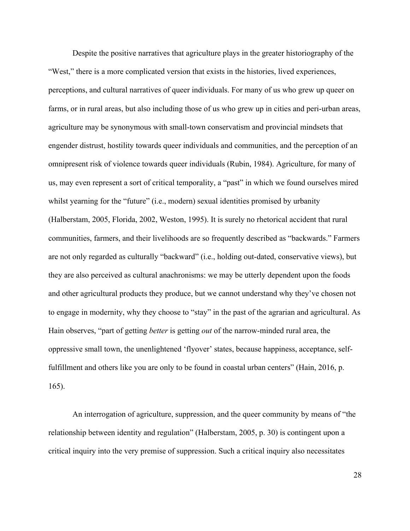Despite the positive narratives that agriculture plays in the greater historiography of the "West," there is a more complicated version that exists in the histories, lived experiences, perceptions, and cultural narratives of queer individuals. For many of us who grew up queer on farms, or in rural areas, but also including those of us who grew up in cities and peri-urban areas, agriculture may be synonymous with small-town conservatism and provincial mindsets that engender distrust, hostility towards queer individuals and communities, and the perception of an omnipresent risk of violence towards queer individuals (Rubin, 1984). Agriculture, for many of us, may even represent a sort of critical temporality, a "past" in which we found ourselves mired whilst yearning for the "future" (i.e., modern) sexual identities promised by urbanity (Halberstam, 2005, Florida, 2002, Weston, 1995). It is surely no rhetorical accident that rural communities, farmers, and their livelihoods are so frequently described as "backwards." Farmers are not only regarded as culturally "backward" (i.e., holding out-dated, conservative views), but they are also perceived as cultural anachronisms: we may be utterly dependent upon the foods and other agricultural products they produce, but we cannot understand why they've chosen not to engage in modernity, why they choose to "stay" in the past of the agrarian and agricultural. As Hain observes, "part of getting *better* is getting *out* of the narrow-minded rural area, the oppressive small town, the unenlightened 'flyover' states, because happiness, acceptance, selffulfillment and others like you are only to be found in coastal urban centers" (Hain, 2016, p. 165).

An interrogation of agriculture, suppression, and the queer community by means of "the relationship between identity and regulation" (Halberstam, 2005, p. 30) is contingent upon a critical inquiry into the very premise of suppression. Such a critical inquiry also necessitates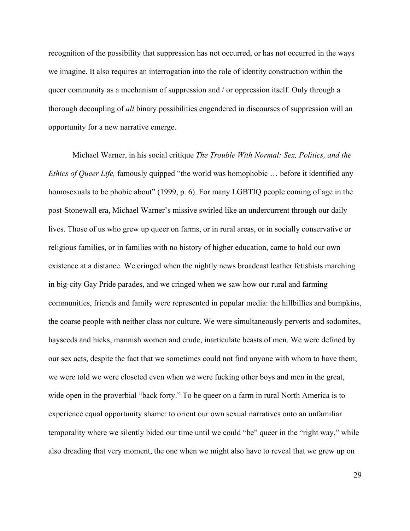recognition of the possibility that suppression has not occurred, or has not occurred in the ways we imagine. It also requires an interrogation into the role of identity construction within the queer community as a mechanism of suppression and / or oppression itself. Only through a thorough decoupling of *all* binary possibilities engendered in discourses of suppression will an opportunity for a new narrative emerge.

Michael Warner, in his social critique *The Trouble With Normal: Sex, Politics, and the Ethics of Queer Life,* famously quipped "the world was homophobic … before it identified any homosexuals to be phobic about" (1999, p. 6). For many LGBTIQ people coming of age in the post-Stonewall era, Michael Warner's missive swirled like an undercurrent through our daily lives. Those of us who grew up queer on farms, or in rural areas, or in socially conservative or religious families, or in families with no history of higher education, came to hold our own existence at a distance. We cringed when the nightly news broadcast leather fetishists marching in big-city Gay Pride parades, and we cringed when we saw how our rural and farming communities, friends and family were represented in popular media: the hillbillies and bumpkins, the coarse people with neither class nor culture. We were simultaneously perverts and sodomites, hayseeds and hicks, mannish women and crude, inarticulate beasts of men. We were defined by our sex acts, despite the fact that we sometimes could not find anyone with whom to have them; we were told we were closeted even when we were fucking other boys and men in the great, wide open in the proverbial "back forty." To be queer on a farm in rural North America is to experience equal opportunity shame: to orient our own sexual narratives onto an unfamiliar temporality where we silently bided our time until we could "be" queer in the "right way," while also dreading that very moment, the one when we might also have to reveal that we grew up on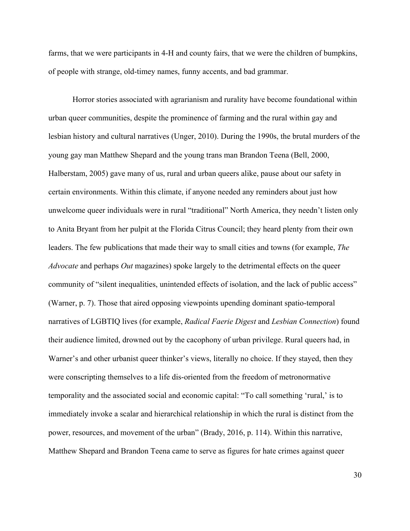farms, that we were participants in 4-H and county fairs, that we were the children of bumpkins, of people with strange, old-timey names, funny accents, and bad grammar.

Horror stories associated with agrarianism and rurality have become foundational within urban queer communities, despite the prominence of farming and the rural within gay and lesbian history and cultural narratives (Unger, 2010). During the 1990s, the brutal murders of the young gay man Matthew Shepard and the young trans man Brandon Teena (Bell, 2000, Halberstam, 2005) gave many of us, rural and urban queers alike, pause about our safety in certain environments. Within this climate, if anyone needed any reminders about just how unwelcome queer individuals were in rural "traditional" North America, they needn't listen only to Anita Bryant from her pulpit at the Florida Citrus Council; they heard plenty from their own leaders. The few publications that made their way to small cities and towns (for example, *The Advocate* and perhaps *Out* magazines) spoke largely to the detrimental effects on the queer community of "silent inequalities, unintended effects of isolation, and the lack of public access" (Warner, p. 7). Those that aired opposing viewpoints upending dominant spatio-temporal narratives of LGBTIQ lives (for example, *Radical Faerie Digest* and *Lesbian Connection*) found their audience limited, drowned out by the cacophony of urban privilege. Rural queers had, in Warner's and other urbanist queer thinker's views, literally no choice. If they stayed, then they were conscripting themselves to a life dis-oriented from the freedom of metronormative temporality and the associated social and economic capital: "To call something 'rural,' is to immediately invoke a scalar and hierarchical relationship in which the rural is distinct from the power, resources, and movement of the urban" (Brady, 2016, p. 114). Within this narrative, Matthew Shepard and Brandon Teena came to serve as figures for hate crimes against queer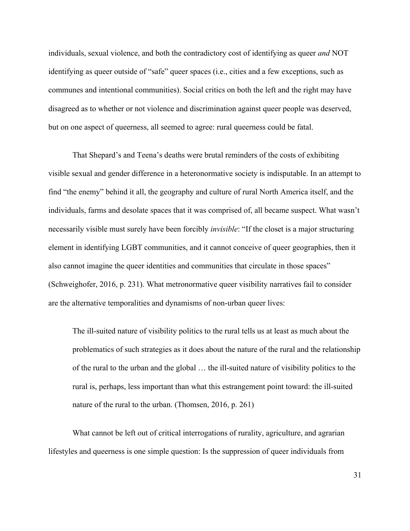individuals, sexual violence, and both the contradictory cost of identifying as queer *and* NOT identifying as queer outside of "safe" queer spaces (i.e., cities and a few exceptions, such as communes and intentional communities). Social critics on both the left and the right may have disagreed as to whether or not violence and discrimination against queer people was deserved, but on one aspect of queerness, all seemed to agree: rural queerness could be fatal.

That Shepard's and Teena's deaths were brutal reminders of the costs of exhibiting visible sexual and gender difference in a heteronormative society is indisputable. In an attempt to find "the enemy" behind it all, the geography and culture of rural North America itself, and the individuals, farms and desolate spaces that it was comprised of, all became suspect. What wasn't necessarily visible must surely have been forcibly *invisible*: "If the closet is a major structuring element in identifying LGBT communities, and it cannot conceive of queer geographies, then it also cannot imagine the queer identities and communities that circulate in those spaces" (Schweighofer, 2016, p. 231). What metronormative queer visibility narratives fail to consider are the alternative temporalities and dynamisms of non-urban queer lives:

The ill-suited nature of visibility politics to the rural tells us at least as much about the problematics of such strategies as it does about the nature of the rural and the relationship of the rural to the urban and the global … the ill-suited nature of visibility politics to the rural is, perhaps, less important than what this estrangement point toward: the ill-suited nature of the rural to the urban. (Thomsen, 2016, p. 261)

What cannot be left out of critical interrogations of rurality, agriculture, and agrarian lifestyles and queerness is one simple question: Is the suppression of queer individuals from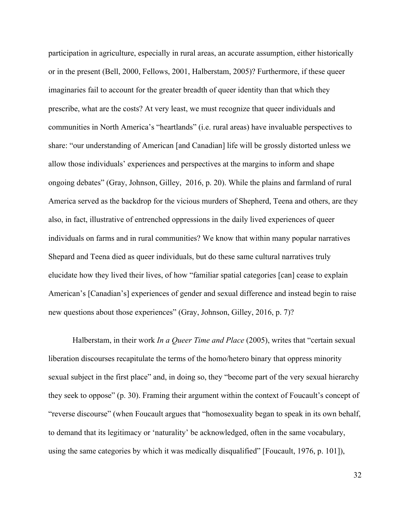participation in agriculture, especially in rural areas, an accurate assumption, either historically or in the present (Bell, 2000, Fellows, 2001, Halberstam, 2005)? Furthermore, if these queer imaginaries fail to account for the greater breadth of queer identity than that which they prescribe, what are the costs? At very least, we must recognize that queer individuals and communities in North America's "heartlands" (i.e. rural areas) have invaluable perspectives to share: "our understanding of American [and Canadian] life will be grossly distorted unless we allow those individuals' experiences and perspectives at the margins to inform and shape ongoing debates" (Gray, Johnson, Gilley, 2016, p. 20). While the plains and farmland of rural America served as the backdrop for the vicious murders of Shepherd, Teena and others, are they also, in fact, illustrative of entrenched oppressions in the daily lived experiences of queer individuals on farms and in rural communities? We know that within many popular narratives Shepard and Teena died as queer individuals, but do these same cultural narratives truly elucidate how they lived their lives, of how "familiar spatial categories [can] cease to explain American's [Canadian's] experiences of gender and sexual difference and instead begin to raise new questions about those experiences" (Gray, Johnson, Gilley, 2016, p. 7)?

Halberstam, in their work *In a Queer Time and Place* (2005), writes that "certain sexual liberation discourses recapitulate the terms of the homo/hetero binary that oppress minority sexual subject in the first place" and, in doing so, they "become part of the very sexual hierarchy they seek to oppose" (p. 30). Framing their argument within the context of Foucault's concept of "reverse discourse" (when Foucault argues that "homosexuality began to speak in its own behalf, to demand that its legitimacy or 'naturality' be acknowledged, often in the same vocabulary, using the same categories by which it was medically disqualified" [Foucault, 1976, p. 101]),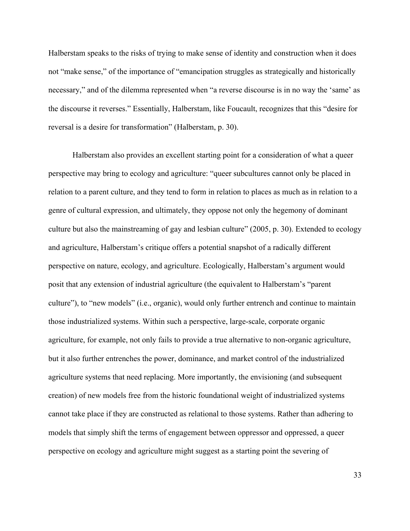Halberstam speaks to the risks of trying to make sense of identity and construction when it does not "make sense," of the importance of "emancipation struggles as strategically and historically necessary," and of the dilemma represented when "a reverse discourse is in no way the 'same' as the discourse it reverses." Essentially, Halberstam, like Foucault, recognizes that this "desire for reversal is a desire for transformation" (Halberstam, p. 30).

Halberstam also provides an excellent starting point for a consideration of what a queer perspective may bring to ecology and agriculture: "queer subcultures cannot only be placed in relation to a parent culture, and they tend to form in relation to places as much as in relation to a genre of cultural expression, and ultimately, they oppose not only the hegemony of dominant culture but also the mainstreaming of gay and lesbian culture" (2005, p. 30). Extended to ecology and agriculture, Halberstam's critique offers a potential snapshot of a radically different perspective on nature, ecology, and agriculture. Ecologically, Halberstam's argument would posit that any extension of industrial agriculture (the equivalent to Halberstam's "parent culture"), to "new models" (i.e., organic), would only further entrench and continue to maintain those industrialized systems. Within such a perspective, large-scale, corporate organic agriculture, for example, not only fails to provide a true alternative to non-organic agriculture, but it also further entrenches the power, dominance, and market control of the industrialized agriculture systems that need replacing. More importantly, the envisioning (and subsequent creation) of new models free from the historic foundational weight of industrialized systems cannot take place if they are constructed as relational to those systems. Rather than adhering to models that simply shift the terms of engagement between oppressor and oppressed, a queer perspective on ecology and agriculture might suggest as a starting point the severing of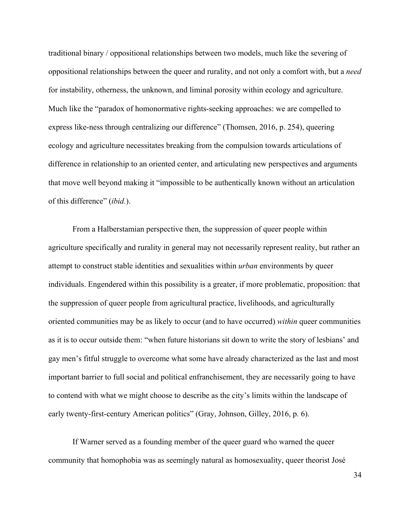traditional binary / oppositional relationships between two models, much like the severing of oppositional relationships between the queer and rurality, and not only a comfort with, but a *need* for instability, otherness, the unknown, and liminal porosity within ecology and agriculture. Much like the "paradox of homonormative rights-seeking approaches: we are compelled to express like-ness through centralizing our difference" (Thomsen, 2016, p. 254), queering ecology and agriculture necessitates breaking from the compulsion towards articulations of difference in relationship to an oriented center, and articulating new perspectives and arguments that move well beyond making it "impossible to be authentically known without an articulation of this difference" (*ibid.*).

From a Halberstamian perspective then, the suppression of queer people within agriculture specifically and rurality in general may not necessarily represent reality, but rather an attempt to construct stable identities and sexualities within *urban* environments by queer individuals. Engendered within this possibility is a greater, if more problematic, proposition: that the suppression of queer people from agricultural practice, livelihoods, and agriculturally oriented communities may be as likely to occur (and to have occurred) *within* queer communities as it is to occur outside them: "when future historians sit down to write the story of lesbians' and gay men's fitful struggle to overcome what some have already characterized as the last and most important barrier to full social and political enfranchisement, they are necessarily going to have to contend with what we might choose to describe as the city's limits within the landscape of early twenty-first-century American politics" (Gray, Johnson, Gilley, 2016, p. 6).

If Warner served as a founding member of the queer guard who warned the queer community that homophobia was as seemingly natural as homosexuality, queer theorist José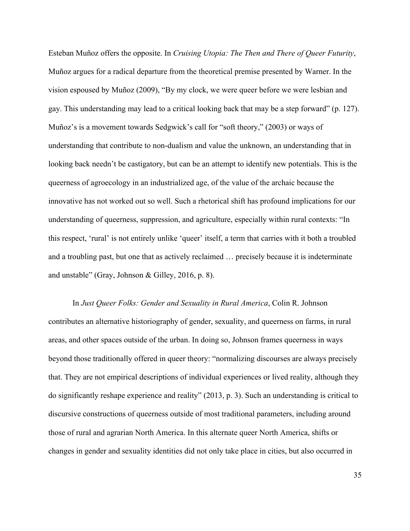Esteban Muñoz offers the opposite. In *Cruising Utopia: The Then and There of Queer Futurity*, Muñoz argues for a radical departure from the theoretical premise presented by Warner. In the vision espoused by Muñoz (2009), "By my clock, we were queer before we were lesbian and gay. This understanding may lead to a critical looking back that may be a step forward" (p. 127). Muñoz's is a movement towards Sedgwick's call for "soft theory," (2003) or ways of understanding that contribute to non-dualism and value the unknown, an understanding that in looking back needn't be castigatory, but can be an attempt to identify new potentials. This is the queerness of agroecology in an industrialized age, of the value of the archaic because the innovative has not worked out so well. Such a rhetorical shift has profound implications for our understanding of queerness, suppression, and agriculture, especially within rural contexts: "In this respect, 'rural' is not entirely unlike 'queer' itself, a term that carries with it both a troubled and a troubling past, but one that as actively reclaimed … precisely because it is indeterminate and unstable" (Gray, Johnson & Gilley, 2016, p. 8).

In *Just Queer Folks: Gender and Sexuality in Rural America*, Colin R. Johnson contributes an alternative historiography of gender, sexuality, and queerness on farms, in rural areas, and other spaces outside of the urban. In doing so, Johnson frames queerness in ways beyond those traditionally offered in queer theory: "normalizing discourses are always precisely that. They are not empirical descriptions of individual experiences or lived reality, although they do significantly reshape experience and reality" (2013, p. 3). Such an understanding is critical to discursive constructions of queerness outside of most traditional parameters, including around those of rural and agrarian North America. In this alternate queer North America, shifts or changes in gender and sexuality identities did not only take place in cities, but also occurred in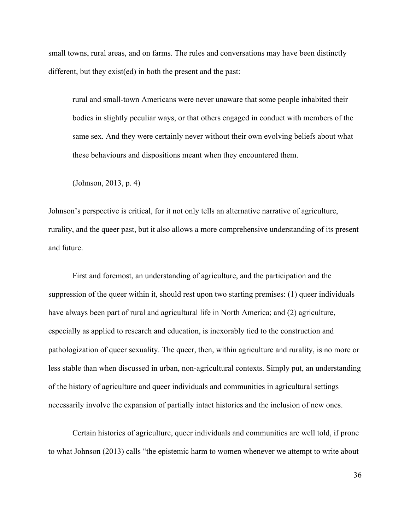small towns, rural areas, and on farms. The rules and conversations may have been distinctly different, but they exist(ed) in both the present and the past:

rural and small-town Americans were never unaware that some people inhabited their bodies in slightly peculiar ways, or that others engaged in conduct with members of the same sex. And they were certainly never without their own evolving beliefs about what these behaviours and dispositions meant when they encountered them.

(Johnson, 2013, p. 4)

Johnson's perspective is critical, for it not only tells an alternative narrative of agriculture, rurality, and the queer past, but it also allows a more comprehensive understanding of its present and future.

First and foremost, an understanding of agriculture, and the participation and the suppression of the queer within it, should rest upon two starting premises: (1) queer individuals have always been part of rural and agricultural life in North America; and (2) agriculture, especially as applied to research and education, is inexorably tied to the construction and pathologization of queer sexuality. The queer, then, within agriculture and rurality, is no more or less stable than when discussed in urban, non-agricultural contexts. Simply put, an understanding of the history of agriculture and queer individuals and communities in agricultural settings necessarily involve the expansion of partially intact histories and the inclusion of new ones.

Certain histories of agriculture, queer individuals and communities are well told, if prone to what Johnson (2013) calls "the epistemic harm to women whenever we attempt to write about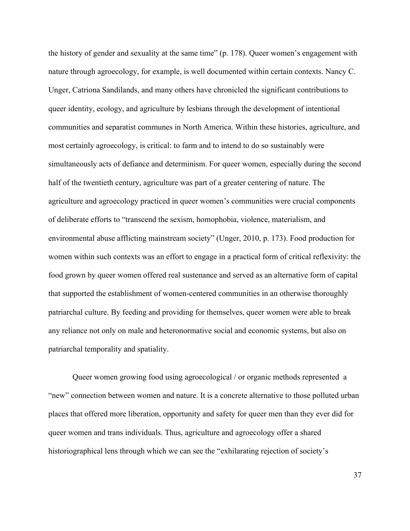the history of gender and sexuality at the same time" (p. 178). Queer women's engagement with nature through agroecology, for example, is well documented within certain contexts. Nancy C. Unger, Catriona Sandilands, and many others have chronicled the significant contributions to queer identity, ecology, and agriculture by lesbians through the development of intentional communities and separatist communes in North America. Within these histories, agriculture, and most certainly agroecology, is critical: to farm and to intend to do so sustainably were simultaneously acts of defiance and determinism. For queer women, especially during the second half of the twentieth century, agriculture was part of a greater centering of nature. The agriculture and agroecology practiced in queer women's communities were crucial components of deliberate efforts to "transcend the sexism, homophobia, violence, materialism, and environmental abuse afflicting mainstream society" (Unger, 2010, p. 173). Food production for women within such contexts was an effort to engage in a practical form of critical reflexivity: the food grown by queer women offered real sustenance and served as an alternative form of capital that supported the establishment of women-centered communities in an otherwise thoroughly patriarchal culture. By feeding and providing for themselves, queer women were able to break any reliance not only on male and heteronormative social and economic systems, but also on patriarchal temporality and spatiality.

Queer women growing food using agroecological / or organic methods represented a "new" connection between women and nature. It is a concrete alternative to those polluted urban places that offered more liberation, opportunity and safety for queer men than they ever did for queer women and trans individuals. Thus, agriculture and agroecology offer a shared historiographical lens through which we can see the "exhilarating rejection of society's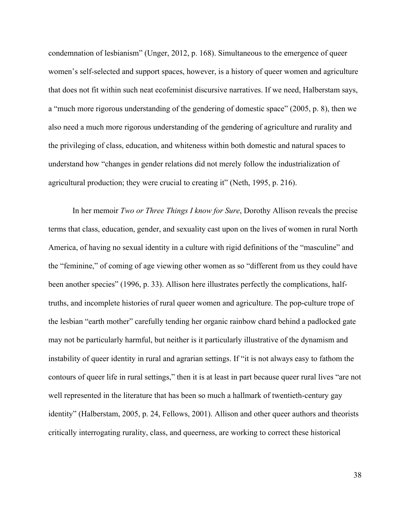condemnation of lesbianism" (Unger, 2012, p. 168). Simultaneous to the emergence of queer women's self-selected and support spaces, however, is a history of queer women and agriculture that does not fit within such neat ecofeminist discursive narratives. If we need, Halberstam says, a "much more rigorous understanding of the gendering of domestic space" (2005, p. 8), then we also need a much more rigorous understanding of the gendering of agriculture and rurality and the privileging of class, education, and whiteness within both domestic and natural spaces to understand how "changes in gender relations did not merely follow the industrialization of agricultural production; they were crucial to creating it" (Neth, 1995, p. 216).

In her memoir *Two or Three Things I know for Sure*, Dorothy Allison reveals the precise terms that class, education, gender, and sexuality cast upon on the lives of women in rural North America, of having no sexual identity in a culture with rigid definitions of the "masculine" and the "feminine," of coming of age viewing other women as so "different from us they could have been another species" (1996, p. 33). Allison here illustrates perfectly the complications, halftruths, and incomplete histories of rural queer women and agriculture. The pop-culture trope of the lesbian "earth mother" carefully tending her organic rainbow chard behind a padlocked gate may not be particularly harmful, but neither is it particularly illustrative of the dynamism and instability of queer identity in rural and agrarian settings. If "it is not always easy to fathom the contours of queer life in rural settings," then it is at least in part because queer rural lives "are not well represented in the literature that has been so much a hallmark of twentieth-century gay identity" (Halberstam, 2005, p. 24, Fellows, 2001). Allison and other queer authors and theorists critically interrogating rurality, class, and queerness, are working to correct these historical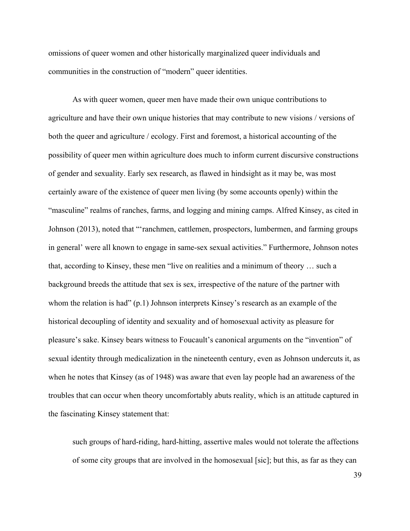omissions of queer women and other historically marginalized queer individuals and communities in the construction of "modern" queer identities.

As with queer women, queer men have made their own unique contributions to agriculture and have their own unique histories that may contribute to new visions / versions of both the queer and agriculture / ecology. First and foremost, a historical accounting of the possibility of queer men within agriculture does much to inform current discursive constructions of gender and sexuality. Early sex research, as flawed in hindsight as it may be, was most certainly aware of the existence of queer men living (by some accounts openly) within the "masculine" realms of ranches, farms, and logging and mining camps. Alfred Kinsey, as cited in Johnson (2013), noted that "'ranchmen, cattlemen, prospectors, lumbermen, and farming groups in general' were all known to engage in same-sex sexual activities." Furthermore, Johnson notes that, according to Kinsey, these men "live on realities and a minimum of theory … such a background breeds the attitude that sex is sex, irrespective of the nature of the partner with whom the relation is had" (p.1) Johnson interprets Kinsey's research as an example of the historical decoupling of identity and sexuality and of homosexual activity as pleasure for pleasure's sake. Kinsey bears witness to Foucault's canonical arguments on the "invention" of sexual identity through medicalization in the nineteenth century, even as Johnson undercuts it, as when he notes that Kinsey (as of 1948) was aware that even lay people had an awareness of the troubles that can occur when theory uncomfortably abuts reality, which is an attitude captured in the fascinating Kinsey statement that:

such groups of hard-riding, hard-hitting, assertive males would not tolerate the affections of some city groups that are involved in the homosexual [sic]; but this, as far as they can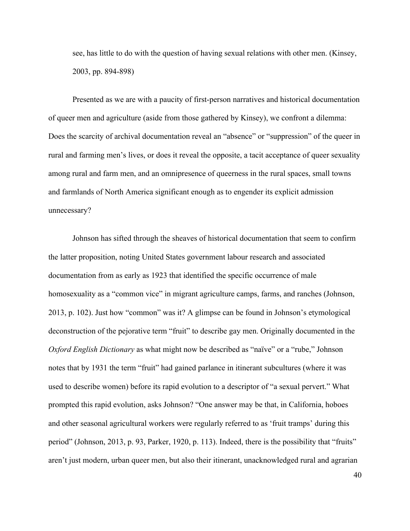see, has little to do with the question of having sexual relations with other men. (Kinsey, 2003, pp. 894-898)

Presented as we are with a paucity of first-person narratives and historical documentation of queer men and agriculture (aside from those gathered by Kinsey), we confront a dilemma: Does the scarcity of archival documentation reveal an "absence" or "suppression" of the queer in rural and farming men's lives, or does it reveal the opposite, a tacit acceptance of queer sexuality among rural and farm men, and an omnipresence of queerness in the rural spaces, small towns and farmlands of North America significant enough as to engender its explicit admission unnecessary?

Johnson has sifted through the sheaves of historical documentation that seem to confirm the latter proposition, noting United States government labour research and associated documentation from as early as 1923 that identified the specific occurrence of male homosexuality as a "common vice" in migrant agriculture camps, farms, and ranches (Johnson, 2013, p. 102). Just how "common" was it? A glimpse can be found in Johnson's etymological deconstruction of the pejorative term "fruit" to describe gay men. Originally documented in the *Oxford English Dictionary* as what might now be described as "naïve" or a "rube," Johnson notes that by 1931 the term "fruit" had gained parlance in itinerant subcultures (where it was used to describe women) before its rapid evolution to a descriptor of "a sexual pervert." What prompted this rapid evolution, asks Johnson? "One answer may be that, in California, hoboes and other seasonal agricultural workers were regularly referred to as 'fruit tramps' during this period" (Johnson, 2013, p. 93, Parker, 1920, p. 113). Indeed, there is the possibility that "fruits" aren't just modern, urban queer men, but also their itinerant, unacknowledged rural and agrarian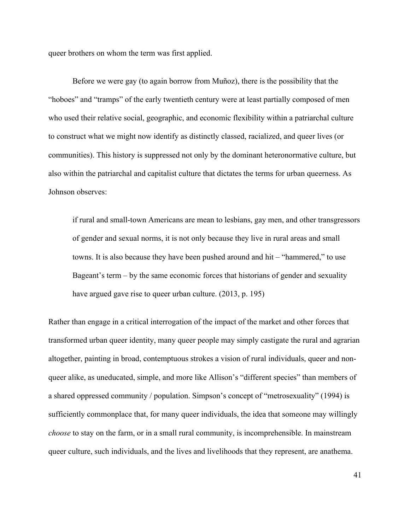queer brothers on whom the term was first applied.

Before we were gay (to again borrow from Muñoz), there is the possibility that the "hoboes" and "tramps" of the early twentieth century were at least partially composed of men who used their relative social, geographic, and economic flexibility within a patriarchal culture to construct what we might now identify as distinctly classed, racialized, and queer lives (or communities). This history is suppressed not only by the dominant heteronormative culture, but also within the patriarchal and capitalist culture that dictates the terms for urban queerness. As Johnson observes:

if rural and small-town Americans are mean to lesbians, gay men, and other transgressors of gender and sexual norms, it is not only because they live in rural areas and small towns. It is also because they have been pushed around and hit – "hammered," to use Bageant's term – by the same economic forces that historians of gender and sexuality have argued gave rise to queer urban culture. (2013, p. 195)

Rather than engage in a critical interrogation of the impact of the market and other forces that transformed urban queer identity, many queer people may simply castigate the rural and agrarian altogether, painting in broad, contemptuous strokes a vision of rural individuals, queer and nonqueer alike, as uneducated, simple, and more like Allison's "different species" than members of a shared oppressed community / population. Simpson's concept of "metrosexuality" (1994) is sufficiently commonplace that, for many queer individuals, the idea that someone may willingly *choose* to stay on the farm, or in a small rural community, is incomprehensible. In mainstream queer culture, such individuals, and the lives and livelihoods that they represent, are anathema.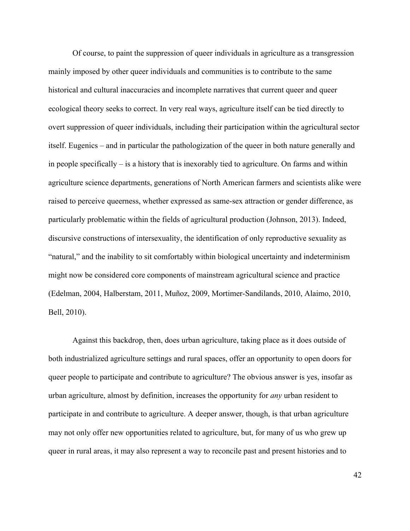Of course, to paint the suppression of queer individuals in agriculture as a transgression mainly imposed by other queer individuals and communities is to contribute to the same historical and cultural inaccuracies and incomplete narratives that current queer and queer ecological theory seeks to correct. In very real ways, agriculture itself can be tied directly to overt suppression of queer individuals, including their participation within the agricultural sector itself. Eugenics – and in particular the pathologization of the queer in both nature generally and in people specifically – is a history that is inexorably tied to agriculture. On farms and within agriculture science departments, generations of North American farmers and scientists alike were raised to perceive queerness, whether expressed as same-sex attraction or gender difference, as particularly problematic within the fields of agricultural production (Johnson, 2013). Indeed, discursive constructions of intersexuality, the identification of only reproductive sexuality as "natural," and the inability to sit comfortably within biological uncertainty and indeterminism might now be considered core components of mainstream agricultural science and practice (Edelman, 2004, Halberstam, 2011, Muñoz, 2009, Mortimer-Sandilands, 2010, Alaimo, 2010, Bell, 2010).

Against this backdrop, then, does urban agriculture, taking place as it does outside of both industrialized agriculture settings and rural spaces, offer an opportunity to open doors for queer people to participate and contribute to agriculture? The obvious answer is yes, insofar as urban agriculture, almost by definition, increases the opportunity for *any* urban resident to participate in and contribute to agriculture. A deeper answer, though, is that urban agriculture may not only offer new opportunities related to agriculture, but, for many of us who grew up queer in rural areas, it may also represent a way to reconcile past and present histories and to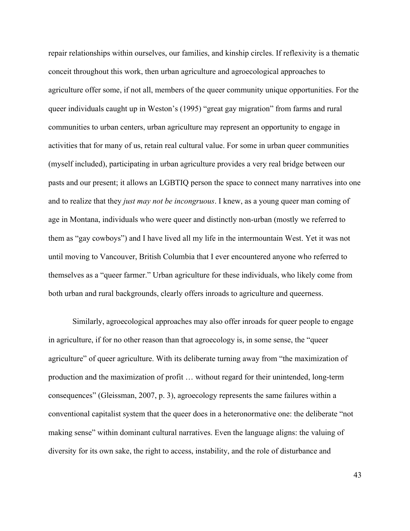repair relationships within ourselves, our families, and kinship circles. If reflexivity is a thematic conceit throughout this work, then urban agriculture and agroecological approaches to agriculture offer some, if not all, members of the queer community unique opportunities. For the queer individuals caught up in Weston's (1995) "great gay migration" from farms and rural communities to urban centers, urban agriculture may represent an opportunity to engage in activities that for many of us, retain real cultural value. For some in urban queer communities (myself included), participating in urban agriculture provides a very real bridge between our pasts and our present; it allows an LGBTIQ person the space to connect many narratives into one and to realize that they *just may not be incongruous*. I knew, as a young queer man coming of age in Montana, individuals who were queer and distinctly non-urban (mostly we referred to them as "gay cowboys") and I have lived all my life in the intermountain West. Yet it was not until moving to Vancouver, British Columbia that I ever encountered anyone who referred to themselves as a "queer farmer." Urban agriculture for these individuals, who likely come from both urban and rural backgrounds, clearly offers inroads to agriculture and queerness.

Similarly, agroecological approaches may also offer inroads for queer people to engage in agriculture, if for no other reason than that agroecology is, in some sense, the "queer agriculture" of queer agriculture. With its deliberate turning away from "the maximization of production and the maximization of profit … without regard for their unintended, long-term consequences" (Gleissman, 2007, p. 3), agroecology represents the same failures within a conventional capitalist system that the queer does in a heteronormative one: the deliberate "not making sense" within dominant cultural narratives. Even the language aligns: the valuing of diversity for its own sake, the right to access, instability, and the role of disturbance and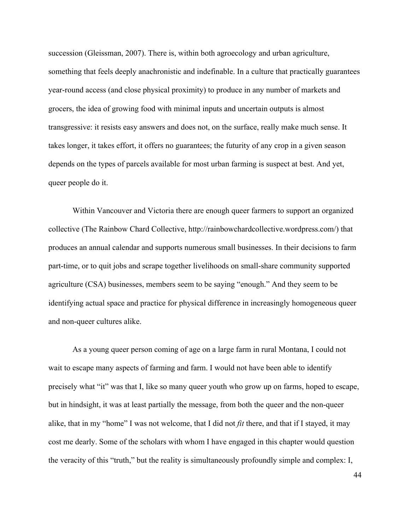succession (Gleissman, 2007). There is, within both agroecology and urban agriculture, something that feels deeply anachronistic and indefinable. In a culture that practically guarantees year-round access (and close physical proximity) to produce in any number of markets and grocers, the idea of growing food with minimal inputs and uncertain outputs is almost transgressive: it resists easy answers and does not, on the surface, really make much sense. It takes longer, it takes effort, it offers no guarantees; the futurity of any crop in a given season depends on the types of parcels available for most urban farming is suspect at best. And yet, queer people do it.

Within Vancouver and Victoria there are enough queer farmers to support an organized collective (The Rainbow Chard Collective, http://rainbowchardcollective.wordpress.com/) that produces an annual calendar and supports numerous small businesses. In their decisions to farm part-time, or to quit jobs and scrape together livelihoods on small-share community supported agriculture (CSA) businesses, members seem to be saying "enough." And they seem to be identifying actual space and practice for physical difference in increasingly homogeneous queer and non-queer cultures alike.

As a young queer person coming of age on a large farm in rural Montana, I could not wait to escape many aspects of farming and farm. I would not have been able to identify precisely what "it" was that I, like so many queer youth who grow up on farms, hoped to escape, but in hindsight, it was at least partially the message, from both the queer and the non-queer alike, that in my "home" I was not welcome, that I did not *fit* there, and that if I stayed, it may cost me dearly. Some of the scholars with whom I have engaged in this chapter would question the veracity of this "truth," but the reality is simultaneously profoundly simple and complex: I,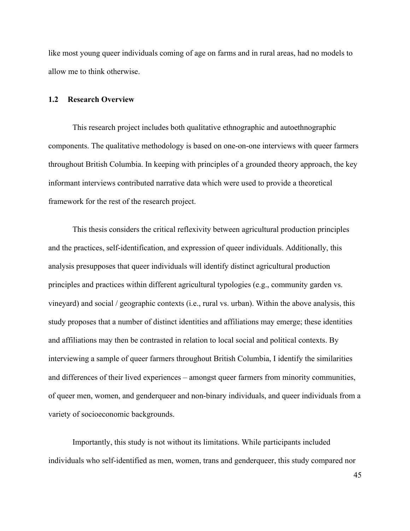like most young queer individuals coming of age on farms and in rural areas, had no models to allow me to think otherwise.

### **1.2 Research Overview**

This research project includes both qualitative ethnographic and autoethnographic components. The qualitative methodology is based on one-on-one interviews with queer farmers throughout British Columbia. In keeping with principles of a grounded theory approach, the key informant interviews contributed narrative data which were used to provide a theoretical framework for the rest of the research project.

This thesis considers the critical reflexivity between agricultural production principles and the practices, self-identification, and expression of queer individuals. Additionally, this analysis presupposes that queer individuals will identify distinct agricultural production principles and practices within different agricultural typologies (e.g., community garden vs. vineyard) and social / geographic contexts (i.e., rural vs. urban). Within the above analysis, this study proposes that a number of distinct identities and affiliations may emerge; these identities and affiliations may then be contrasted in relation to local social and political contexts. By interviewing a sample of queer farmers throughout British Columbia, I identify the similarities and differences of their lived experiences – amongst queer farmers from minority communities, of queer men, women, and genderqueer and non-binary individuals, and queer individuals from a variety of socioeconomic backgrounds.

Importantly, this study is not without its limitations. While participants included individuals who self-identified as men, women, trans and genderqueer, this study compared nor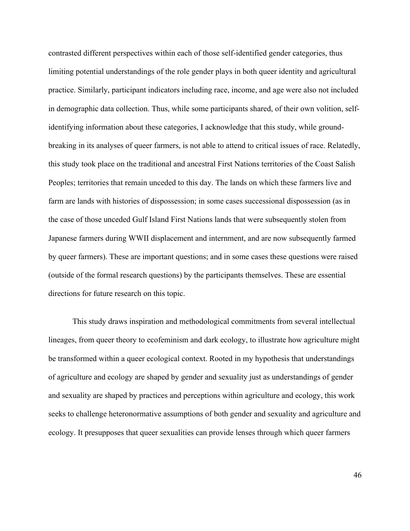contrasted different perspectives within each of those self-identified gender categories, thus limiting potential understandings of the role gender plays in both queer identity and agricultural practice. Similarly, participant indicators including race, income, and age were also not included in demographic data collection. Thus, while some participants shared, of their own volition, selfidentifying information about these categories, I acknowledge that this study, while groundbreaking in its analyses of queer farmers, is not able to attend to critical issues of race. Relatedly, this study took place on the traditional and ancestral First Nations territories of the Coast Salish Peoples; territories that remain unceded to this day. The lands on which these farmers live and farm are lands with histories of dispossession; in some cases successional dispossession (as in the case of those unceded Gulf Island First Nations lands that were subsequently stolen from Japanese farmers during WWII displacement and internment, and are now subsequently farmed by queer farmers). These are important questions; and in some cases these questions were raised (outside of the formal research questions) by the participants themselves. These are essential directions for future research on this topic.

This study draws inspiration and methodological commitments from several intellectual lineages, from queer theory to ecofeminism and dark ecology, to illustrate how agriculture might be transformed within a queer ecological context. Rooted in my hypothesis that understandings of agriculture and ecology are shaped by gender and sexuality just as understandings of gender and sexuality are shaped by practices and perceptions within agriculture and ecology, this work seeks to challenge heteronormative assumptions of both gender and sexuality and agriculture and ecology. It presupposes that queer sexualities can provide lenses through which queer farmers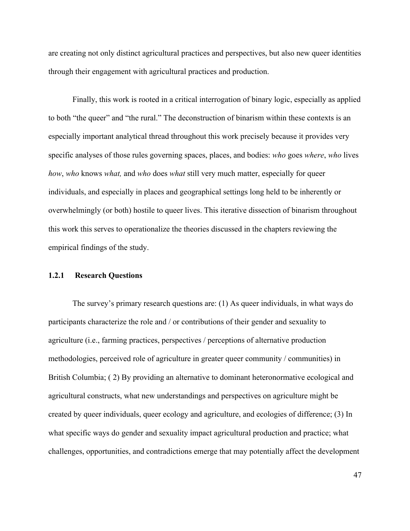are creating not only distinct agricultural practices and perspectives, but also new queer identities through their engagement with agricultural practices and production.

Finally, this work is rooted in a critical interrogation of binary logic, especially as applied to both "the queer" and "the rural." The deconstruction of binarism within these contexts is an especially important analytical thread throughout this work precisely because it provides very specific analyses of those rules governing spaces, places, and bodies: *who* goes *where*, *who* lives *how*, *who* knows *what,* and *who* does *what* still very much matter, especially for queer individuals, and especially in places and geographical settings long held to be inherently or overwhelmingly (or both) hostile to queer lives. This iterative dissection of binarism throughout this work this serves to operationalize the theories discussed in the chapters reviewing the empirical findings of the study.

#### **1.2.1 Research Questions**

The survey's primary research questions are: (1) As queer individuals, in what ways do participants characterize the role and / or contributions of their gender and sexuality to agriculture (i.e., farming practices, perspectives / perceptions of alternative production methodologies, perceived role of agriculture in greater queer community / communities) in British Columbia; (2) By providing an alternative to dominant heteronormative ecological and agricultural constructs, what new understandings and perspectives on agriculture might be created by queer individuals, queer ecology and agriculture, and ecologies of difference; (3) In what specific ways do gender and sexuality impact agricultural production and practice; what challenges, opportunities, and contradictions emerge that may potentially affect the development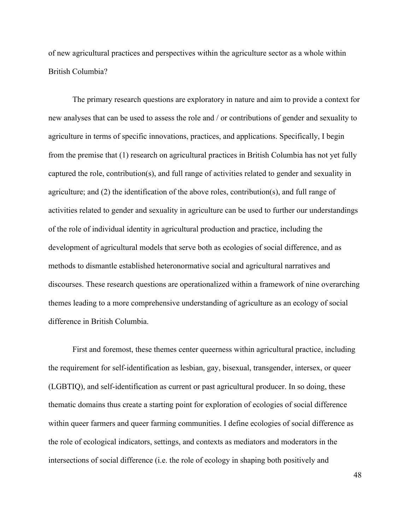of new agricultural practices and perspectives within the agriculture sector as a whole within British Columbia?

The primary research questions are exploratory in nature and aim to provide a context for new analyses that can be used to assess the role and / or contributions of gender and sexuality to agriculture in terms of specific innovations, practices, and applications. Specifically, I begin from the premise that (1) research on agricultural practices in British Columbia has not yet fully captured the role, contribution(s), and full range of activities related to gender and sexuality in agriculture; and (2) the identification of the above roles, contribution(s), and full range of activities related to gender and sexuality in agriculture can be used to further our understandings of the role of individual identity in agricultural production and practice, including the development of agricultural models that serve both as ecologies of social difference, and as methods to dismantle established heteronormative social and agricultural narratives and discourses. These research questions are operationalized within a framework of nine overarching themes leading to a more comprehensive understanding of agriculture as an ecology of social difference in British Columbia.

First and foremost, these themes center queerness within agricultural practice, including the requirement for self-identification as lesbian, gay, bisexual, transgender, intersex, or queer (LGBTIQ), and self-identification as current or past agricultural producer. In so doing, these thematic domains thus create a starting point for exploration of ecologies of social difference within queer farmers and queer farming communities. I define ecologies of social difference as the role of ecological indicators, settings, and contexts as mediators and moderators in the intersections of social difference (i.e. the role of ecology in shaping both positively and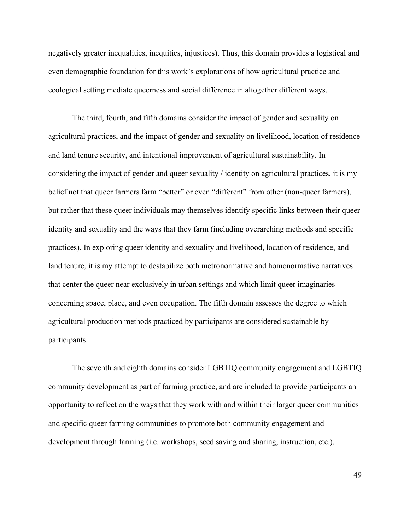negatively greater inequalities, inequities, injustices). Thus, this domain provides a logistical and even demographic foundation for this work's explorations of how agricultural practice and ecological setting mediate queerness and social difference in altogether different ways.

The third, fourth, and fifth domains consider the impact of gender and sexuality on agricultural practices, and the impact of gender and sexuality on livelihood, location of residence and land tenure security, and intentional improvement of agricultural sustainability. In considering the impact of gender and queer sexuality / identity on agricultural practices, it is my belief not that queer farmers farm "better" or even "different" from other (non-queer farmers), but rather that these queer individuals may themselves identify specific links between their queer identity and sexuality and the ways that they farm (including overarching methods and specific practices). In exploring queer identity and sexuality and livelihood, location of residence, and land tenure, it is my attempt to destabilize both metronormative and homonormative narratives that center the queer near exclusively in urban settings and which limit queer imaginaries concerning space, place, and even occupation. The fifth domain assesses the degree to which agricultural production methods practiced by participants are considered sustainable by participants.

The seventh and eighth domains consider LGBTIQ community engagement and LGBTIQ community development as part of farming practice, and are included to provide participants an opportunity to reflect on the ways that they work with and within their larger queer communities and specific queer farming communities to promote both community engagement and development through farming (i.e. workshops, seed saving and sharing, instruction, etc.).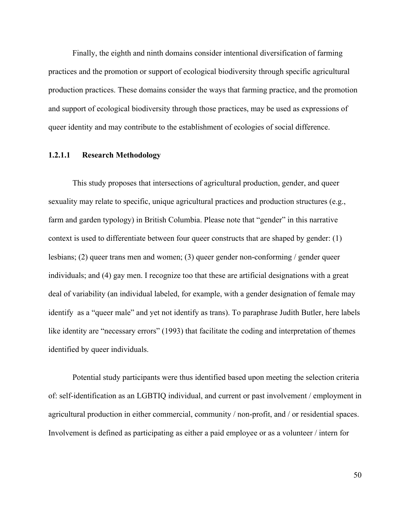Finally, the eighth and ninth domains consider intentional diversification of farming practices and the promotion or support of ecological biodiversity through specific agricultural production practices. These domains consider the ways that farming practice, and the promotion and support of ecological biodiversity through those practices, may be used as expressions of queer identity and may contribute to the establishment of ecologies of social difference.

## **1.2.1.1 Research Methodology**

This study proposes that intersections of agricultural production, gender, and queer sexuality may relate to specific, unique agricultural practices and production structures (e.g., farm and garden typology) in British Columbia. Please note that "gender" in this narrative context is used to differentiate between four queer constructs that are shaped by gender: (1) lesbians; (2) queer trans men and women; (3) queer gender non-conforming / gender queer individuals; and (4) gay men. I recognize too that these are artificial designations with a great deal of variability (an individual labeled, for example, with a gender designation of female may identify as a "queer male" and yet not identify as trans). To paraphrase Judith Butler, here labels like identity are "necessary errors" (1993) that facilitate the coding and interpretation of themes identified by queer individuals.

Potential study participants were thus identified based upon meeting the selection criteria of: self-identification as an LGBTIQ individual, and current or past involvement / employment in agricultural production in either commercial, community / non-profit, and / or residential spaces. Involvement is defined as participating as either a paid employee or as a volunteer / intern for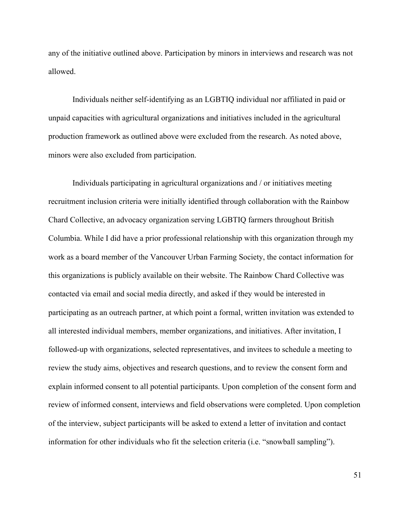any of the initiative outlined above. Participation by minors in interviews and research was not allowed.

Individuals neither self-identifying as an LGBTIQ individual nor affiliated in paid or unpaid capacities with agricultural organizations and initiatives included in the agricultural production framework as outlined above were excluded from the research. As noted above, minors were also excluded from participation.

Individuals participating in agricultural organizations and / or initiatives meeting recruitment inclusion criteria were initially identified through collaboration with the Rainbow Chard Collective, an advocacy organization serving LGBTIQ farmers throughout British Columbia. While I did have a prior professional relationship with this organization through my work as a board member of the Vancouver Urban Farming Society, the contact information for this organizations is publicly available on their website. The Rainbow Chard Collective was contacted via email and social media directly, and asked if they would be interested in participating as an outreach partner, at which point a formal, written invitation was extended to all interested individual members, member organizations, and initiatives. After invitation, I followed-up with organizations, selected representatives, and invitees to schedule a meeting to review the study aims, objectives and research questions, and to review the consent form and explain informed consent to all potential participants. Upon completion of the consent form and review of informed consent, interviews and field observations were completed. Upon completion of the interview, subject participants will be asked to extend a letter of invitation and contact information for other individuals who fit the selection criteria (i.e. "snowball sampling").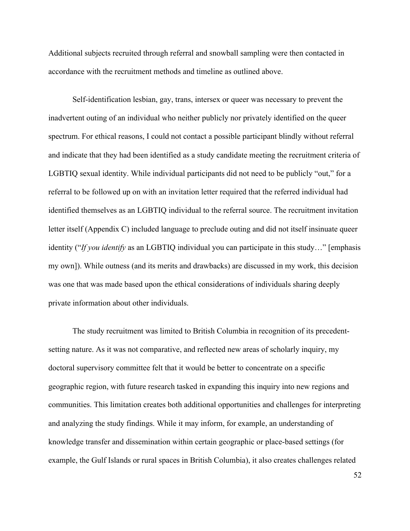Additional subjects recruited through referral and snowball sampling were then contacted in accordance with the recruitment methods and timeline as outlined above.

Self-identification lesbian, gay, trans, intersex or queer was necessary to prevent the inadvertent outing of an individual who neither publicly nor privately identified on the queer spectrum. For ethical reasons, I could not contact a possible participant blindly without referral and indicate that they had been identified as a study candidate meeting the recruitment criteria of LGBTIQ sexual identity. While individual participants did not need to be publicly "out," for a referral to be followed up on with an invitation letter required that the referred individual had identified themselves as an LGBTIQ individual to the referral source. The recruitment invitation letter itself (Appendix C) included language to preclude outing and did not itself insinuate queer identity ("*If you identify* as an LGBTIQ individual you can participate in this study…" [emphasis my own]). While outness (and its merits and drawbacks) are discussed in my work, this decision was one that was made based upon the ethical considerations of individuals sharing deeply private information about other individuals.

The study recruitment was limited to British Columbia in recognition of its precedentsetting nature. As it was not comparative, and reflected new areas of scholarly inquiry, my doctoral supervisory committee felt that it would be better to concentrate on a specific geographic region, with future research tasked in expanding this inquiry into new regions and communities. This limitation creates both additional opportunities and challenges for interpreting and analyzing the study findings. While it may inform, for example, an understanding of knowledge transfer and dissemination within certain geographic or place-based settings (for example, the Gulf Islands or rural spaces in British Columbia), it also creates challenges related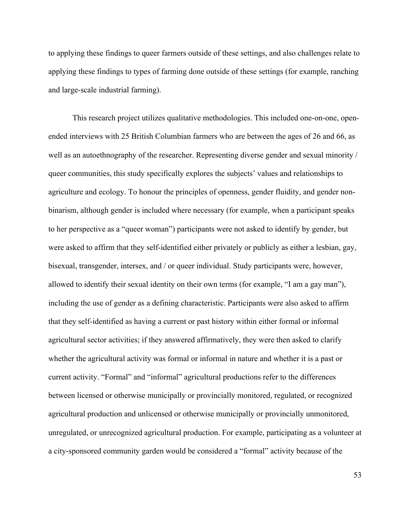to applying these findings to queer farmers outside of these settings, and also challenges relate to applying these findings to types of farming done outside of these settings (for example, ranching and large-scale industrial farming).

This research project utilizes qualitative methodologies. This included one-on-one, openended interviews with 25 British Columbian farmers who are between the ages of 26 and 66, as well as an autoethnography of the researcher. Representing diverse gender and sexual minority / queer communities, this study specifically explores the subjects' values and relationships to agriculture and ecology. To honour the principles of openness, gender fluidity, and gender nonbinarism, although gender is included where necessary (for example, when a participant speaks to her perspective as a "queer woman") participants were not asked to identify by gender, but were asked to affirm that they self-identified either privately or publicly as either a lesbian, gay, bisexual, transgender, intersex, and / or queer individual. Study participants were, however, allowed to identify their sexual identity on their own terms (for example, "I am a gay man"), including the use of gender as a defining characteristic. Participants were also asked to affirm that they self-identified as having a current or past history within either formal or informal agricultural sector activities; if they answered affirmatively, they were then asked to clarify whether the agricultural activity was formal or informal in nature and whether it is a past or current activity. "Formal" and "informal" agricultural productions refer to the differences between licensed or otherwise municipally or provincially monitored, regulated, or recognized agricultural production and unlicensed or otherwise municipally or provincially unmonitored, unregulated, or unrecognized agricultural production. For example, participating as a volunteer at a city-sponsored community garden would be considered a "formal" activity because of the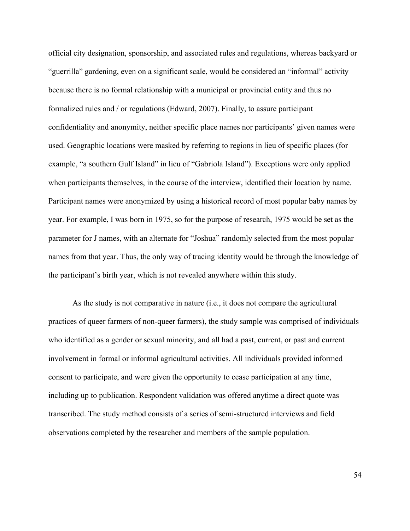official city designation, sponsorship, and associated rules and regulations, whereas backyard or "guerrilla" gardening, even on a significant scale, would be considered an "informal" activity because there is no formal relationship with a municipal or provincial entity and thus no formalized rules and / or regulations (Edward, 2007). Finally, to assure participant confidentiality and anonymity, neither specific place names nor participants' given names were used. Geographic locations were masked by referring to regions in lieu of specific places (for example, "a southern Gulf Island" in lieu of "Gabriola Island"). Exceptions were only applied when participants themselves, in the course of the interview, identified their location by name. Participant names were anonymized by using a historical record of most popular baby names by year. For example, I was born in 1975, so for the purpose of research, 1975 would be set as the parameter for J names, with an alternate for "Joshua" randomly selected from the most popular names from that year. Thus, the only way of tracing identity would be through the knowledge of the participant's birth year, which is not revealed anywhere within this study.

As the study is not comparative in nature (i.e., it does not compare the agricultural practices of queer farmers of non-queer farmers), the study sample was comprised of individuals who identified as a gender or sexual minority, and all had a past, current, or past and current involvement in formal or informal agricultural activities. All individuals provided informed consent to participate, and were given the opportunity to cease participation at any time, including up to publication. Respondent validation was offered anytime a direct quote was transcribed. The study method consists of a series of semi-structured interviews and field observations completed by the researcher and members of the sample population.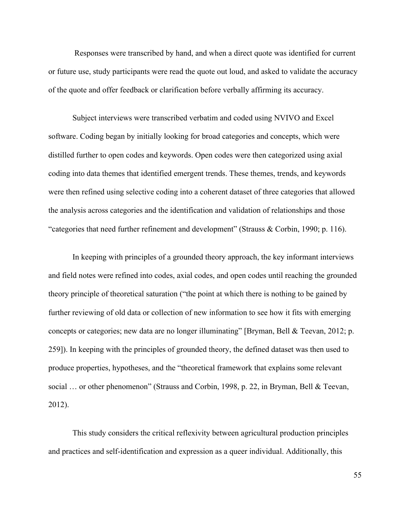Responses were transcribed by hand, and when a direct quote was identified for current or future use, study participants were read the quote out loud, and asked to validate the accuracy of the quote and offer feedback or clarification before verbally affirming its accuracy.

Subject interviews were transcribed verbatim and coded using NVIVO and Excel software. Coding began by initially looking for broad categories and concepts, which were distilled further to open codes and keywords. Open codes were then categorized using axial coding into data themes that identified emergent trends. These themes, trends, and keywords were then refined using selective coding into a coherent dataset of three categories that allowed the analysis across categories and the identification and validation of relationships and those "categories that need further refinement and development" (Strauss & Corbin, 1990; p. 116).

In keeping with principles of a grounded theory approach, the key informant interviews and field notes were refined into codes, axial codes, and open codes until reaching the grounded theory principle of theoretical saturation ("the point at which there is nothing to be gained by further reviewing of old data or collection of new information to see how it fits with emerging concepts or categories; new data are no longer illuminating" [Bryman, Bell & Teevan, 2012; p. 259]). In keeping with the principles of grounded theory, the defined dataset was then used to produce properties, hypotheses, and the "theoretical framework that explains some relevant social … or other phenomenon" (Strauss and Corbin, 1998, p. 22, in Bryman, Bell & Teevan, 2012).

This study considers the critical reflexivity between agricultural production principles and practices and self-identification and expression as a queer individual. Additionally, this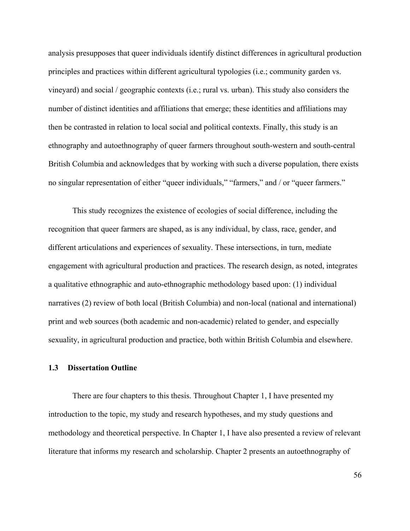analysis presupposes that queer individuals identify distinct differences in agricultural production principles and practices within different agricultural typologies (i.e.; community garden vs. vineyard) and social / geographic contexts (i.e.; rural vs. urban). This study also considers the number of distinct identities and affiliations that emerge; these identities and affiliations may then be contrasted in relation to local social and political contexts. Finally, this study is an ethnography and autoethnography of queer farmers throughout south-western and south-central British Columbia and acknowledges that by working with such a diverse population, there exists no singular representation of either "queer individuals," "farmers," and / or "queer farmers."

This study recognizes the existence of ecologies of social difference, including the recognition that queer farmers are shaped, as is any individual, by class, race, gender, and different articulations and experiences of sexuality. These intersections, in turn, mediate engagement with agricultural production and practices. The research design, as noted, integrates a qualitative ethnographic and auto-ethnographic methodology based upon: (1) individual narratives (2) review of both local (British Columbia) and non-local (national and international) print and web sources (both academic and non-academic) related to gender, and especially sexuality, in agricultural production and practice, both within British Columbia and elsewhere.

### **1.3 Dissertation Outline**

There are four chapters to this thesis. Throughout Chapter 1, I have presented my introduction to the topic, my study and research hypotheses, and my study questions and methodology and theoretical perspective. In Chapter 1, I have also presented a review of relevant literature that informs my research and scholarship. Chapter 2 presents an autoethnography of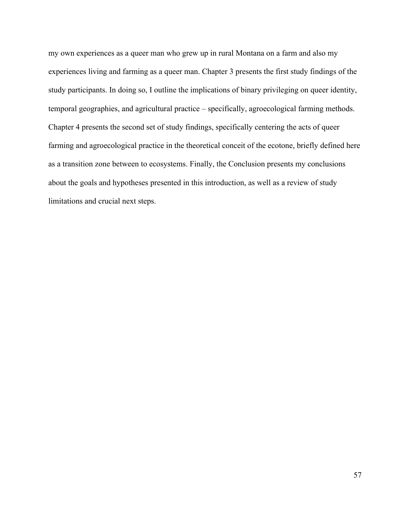my own experiences as a queer man who grew up in rural Montana on a farm and also my experiences living and farming as a queer man. Chapter 3 presents the first study findings of the study participants. In doing so, I outline the implications of binary privileging on queer identity, temporal geographies, and agricultural practice – specifically, agroecological farming methods. Chapter 4 presents the second set of study findings, specifically centering the acts of queer farming and agroecological practice in the theoretical conceit of the ecotone, briefly defined here as a transition zone between to ecosystems. Finally, the Conclusion presents my conclusions about the goals and hypotheses presented in this introduction, as well as a review of study limitations and crucial next steps.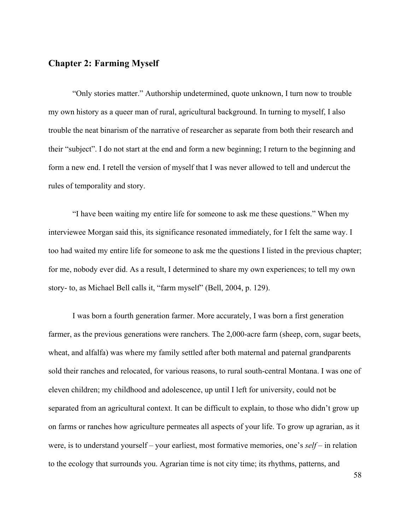# **Chapter 2: Farming Myself**

"Only stories matter." Authorship undetermined, quote unknown, I turn now to trouble my own history as a queer man of rural, agricultural background. In turning to myself, I also trouble the neat binarism of the narrative of researcher as separate from both their research and their "subject". I do not start at the end and form a new beginning; I return to the beginning and form a new end. I retell the version of myself that I was never allowed to tell and undercut the rules of temporality and story.

"I have been waiting my entire life for someone to ask me these questions." When my interviewee Morgan said this, its significance resonated immediately, for I felt the same way. I too had waited my entire life for someone to ask me the questions I listed in the previous chapter; for me, nobody ever did. As a result, I determined to share my own experiences; to tell my own story- to, as Michael Bell calls it, "farm myself" (Bell, 2004, p. 129).

I was born a fourth generation farmer. More accurately, I was born a first generation farmer, as the previous generations were ranchers. The 2,000-acre farm (sheep, corn, sugar beets, wheat, and alfalfa) was where my family settled after both maternal and paternal grandparents sold their ranches and relocated, for various reasons, to rural south-central Montana. I was one of eleven children; my childhood and adolescence, up until I left for university, could not be separated from an agricultural context. It can be difficult to explain, to those who didn't grow up on farms or ranches how agriculture permeates all aspects of your life. To grow up agrarian, as it were, is to understand yourself – your earliest, most formative memories, one's *self* – in relation to the ecology that surrounds you. Agrarian time is not city time; its rhythms, patterns, and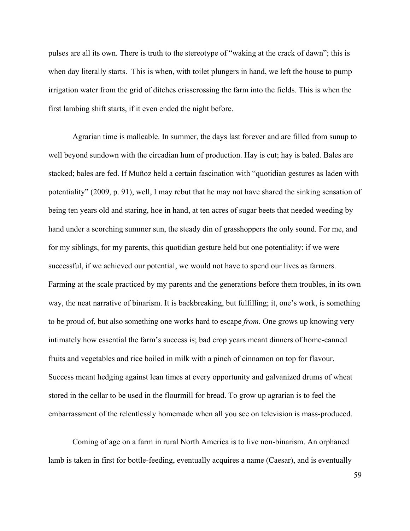pulses are all its own. There is truth to the stereotype of "waking at the crack of dawn"; this is when day literally starts. This is when, with toilet plungers in hand, we left the house to pump irrigation water from the grid of ditches crisscrossing the farm into the fields. This is when the first lambing shift starts, if it even ended the night before.

Agrarian time is malleable. In summer, the days last forever and are filled from sunup to well beyond sundown with the circadian hum of production. Hay is cut; hay is baled. Bales are stacked; bales are fed. If Muñoz held a certain fascination with "quotidian gestures as laden with potentiality" (2009, p. 91), well, I may rebut that he may not have shared the sinking sensation of being ten years old and staring, hoe in hand, at ten acres of sugar beets that needed weeding by hand under a scorching summer sun, the steady din of grasshoppers the only sound. For me, and for my siblings, for my parents, this quotidian gesture held but one potentiality: if we were successful, if we achieved our potential, we would not have to spend our lives as farmers. Farming at the scale practiced by my parents and the generations before them troubles, in its own way, the neat narrative of binarism. It is backbreaking, but fulfilling; it, one's work, is something to be proud of, but also something one works hard to escape *from.* One grows up knowing very intimately how essential the farm's success is; bad crop years meant dinners of home-canned fruits and vegetables and rice boiled in milk with a pinch of cinnamon on top for flavour. Success meant hedging against lean times at every opportunity and galvanized drums of wheat stored in the cellar to be used in the flourmill for bread. To grow up agrarian is to feel the embarrassment of the relentlessly homemade when all you see on television is mass-produced.

Coming of age on a farm in rural North America is to live non-binarism. An orphaned lamb is taken in first for bottle-feeding, eventually acquires a name (Caesar), and is eventually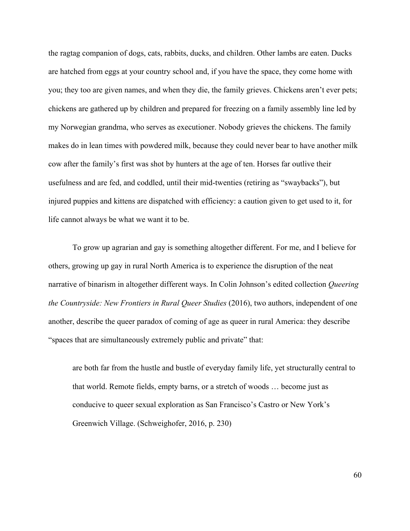the ragtag companion of dogs, cats, rabbits, ducks, and children. Other lambs are eaten. Ducks are hatched from eggs at your country school and, if you have the space, they come home with you; they too are given names, and when they die, the family grieves. Chickens aren't ever pets; chickens are gathered up by children and prepared for freezing on a family assembly line led by my Norwegian grandma, who serves as executioner. Nobody grieves the chickens. The family makes do in lean times with powdered milk, because they could never bear to have another milk cow after the family's first was shot by hunters at the age of ten. Horses far outlive their usefulness and are fed, and coddled, until their mid-twenties (retiring as "swaybacks"), but injured puppies and kittens are dispatched with efficiency: a caution given to get used to it, for life cannot always be what we want it to be.

To grow up agrarian and gay is something altogether different. For me, and I believe for others, growing up gay in rural North America is to experience the disruption of the neat narrative of binarism in altogether different ways. In Colin Johnson's edited collection *Queering the Countryside: New Frontiers in Rural Queer Studies* (2016), two authors, independent of one another, describe the queer paradox of coming of age as queer in rural America: they describe "spaces that are simultaneously extremely public and private" that:

are both far from the hustle and bustle of everyday family life, yet structurally central to that world. Remote fields, empty barns, or a stretch of woods … become just as conducive to queer sexual exploration as San Francisco's Castro or New York's Greenwich Village. (Schweighofer, 2016, p. 230)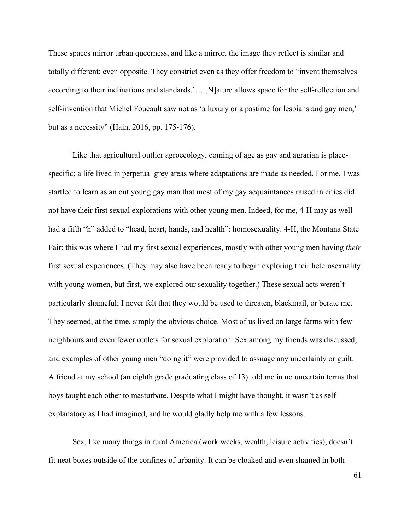These spaces mirror urban queerness, and like a mirror, the image they reflect is similar and totally different; even opposite. They constrict even as they offer freedom to "invent themselves according to their inclinations and standards.'… [N]ature allows space for the self-reflection and self-invention that Michel Foucault saw not as 'a luxury or a pastime for lesbians and gay men,' but as a necessity" (Hain, 2016, pp. 175-176).

Like that agricultural outlier agroecology, coming of age as gay and agrarian is placespecific; a life lived in perpetual grey areas where adaptations are made as needed. For me, I was startled to learn as an out young gay man that most of my gay acquaintances raised in cities did not have their first sexual explorations with other young men. Indeed, for me, 4-H may as well had a fifth "h" added to "head, heart, hands, and health": homosexuality. 4-H, the Montana State Fair: this was where I had my first sexual experiences, mostly with other young men having *their* first sexual experiences. (They may also have been ready to begin exploring their heterosexuality with young women, but first, we explored our sexuality together.) These sexual acts weren't particularly shameful; I never felt that they would be used to threaten, blackmail, or berate me. They seemed, at the time, simply the obvious choice. Most of us lived on large farms with few neighbours and even fewer outlets for sexual exploration. Sex among my friends was discussed, and examples of other young men "doing it" were provided to assuage any uncertainty or guilt. A friend at my school (an eighth grade graduating class of 13) told me in no uncertain terms that boys taught each other to masturbate. Despite what I might have thought, it wasn't as selfexplanatory as I had imagined, and he would gladly help me with a few lessons.

Sex, like many things in rural America (work weeks, wealth, leisure activities), doesn't fit neat boxes outside of the confines of urbanity. It can be cloaked and even shamed in both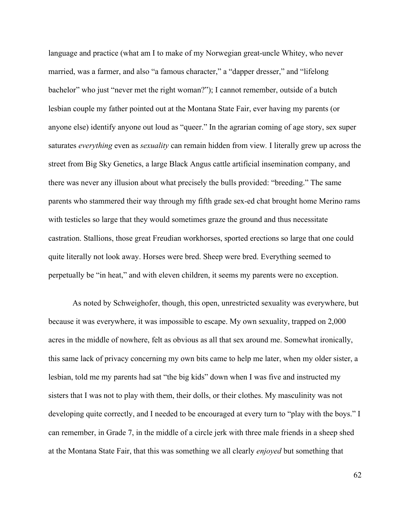language and practice (what am I to make of my Norwegian great-uncle Whitey, who never married, was a farmer, and also "a famous character," a "dapper dresser," and "lifelong bachelor" who just "never met the right woman?"); I cannot remember, outside of a butch lesbian couple my father pointed out at the Montana State Fair, ever having my parents (or anyone else) identify anyone out loud as "queer." In the agrarian coming of age story, sex super saturates *everything* even as *sexuality* can remain hidden from view*.* I literally grew up across the street from Big Sky Genetics, a large Black Angus cattle artificial insemination company, and there was never any illusion about what precisely the bulls provided: "breeding." The same parents who stammered their way through my fifth grade sex-ed chat brought home Merino rams with testicles so large that they would sometimes graze the ground and thus necessitate castration. Stallions, those great Freudian workhorses, sported erections so large that one could quite literally not look away. Horses were bred. Sheep were bred. Everything seemed to perpetually be "in heat," and with eleven children, it seems my parents were no exception.

As noted by Schweighofer, though, this open, unrestricted sexuality was everywhere, but because it was everywhere, it was impossible to escape. My own sexuality, trapped on 2,000 acres in the middle of nowhere, felt as obvious as all that sex around me. Somewhat ironically, this same lack of privacy concerning my own bits came to help me later, when my older sister, a lesbian, told me my parents had sat "the big kids" down when I was five and instructed my sisters that I was not to play with them, their dolls, or their clothes. My masculinity was not developing quite correctly, and I needed to be encouraged at every turn to "play with the boys." I can remember, in Grade 7, in the middle of a circle jerk with three male friends in a sheep shed at the Montana State Fair, that this was something we all clearly *enjoyed* but something that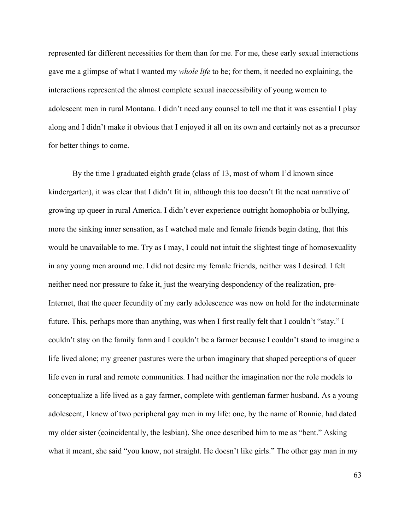represented far different necessities for them than for me. For me, these early sexual interactions gave me a glimpse of what I wanted my *whole life* to be; for them, it needed no explaining, the interactions represented the almost complete sexual inaccessibility of young women to adolescent men in rural Montana. I didn't need any counsel to tell me that it was essential I play along and I didn't make it obvious that I enjoyed it all on its own and certainly not as a precursor for better things to come.

By the time I graduated eighth grade (class of 13, most of whom I'd known since kindergarten), it was clear that I didn't fit in, although this too doesn't fit the neat narrative of growing up queer in rural America. I didn't ever experience outright homophobia or bullying, more the sinking inner sensation, as I watched male and female friends begin dating, that this would be unavailable to me. Try as I may, I could not intuit the slightest tinge of homosexuality in any young men around me. I did not desire my female friends, neither was I desired. I felt neither need nor pressure to fake it, just the wearying despondency of the realization, pre-Internet, that the queer fecundity of my early adolescence was now on hold for the indeterminate future. This, perhaps more than anything, was when I first really felt that I couldn't "stay." I couldn't stay on the family farm and I couldn't be a farmer because I couldn't stand to imagine a life lived alone; my greener pastures were the urban imaginary that shaped perceptions of queer life even in rural and remote communities. I had neither the imagination nor the role models to conceptualize a life lived as a gay farmer, complete with gentleman farmer husband. As a young adolescent, I knew of two peripheral gay men in my life: one, by the name of Ronnie, had dated my older sister (coincidentally, the lesbian). She once described him to me as "bent." Asking what it meant, she said "you know, not straight. He doesn't like girls." The other gay man in my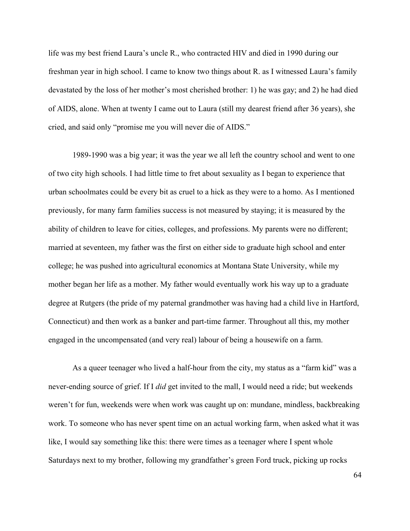life was my best friend Laura's uncle R., who contracted HIV and died in 1990 during our freshman year in high school. I came to know two things about R. as I witnessed Laura's family devastated by the loss of her mother's most cherished brother: 1) he was gay; and 2) he had died of AIDS, alone. When at twenty I came out to Laura (still my dearest friend after 36 years), she cried, and said only "promise me you will never die of AIDS."

1989-1990 was a big year; it was the year we all left the country school and went to one of two city high schools. I had little time to fret about sexuality as I began to experience that urban schoolmates could be every bit as cruel to a hick as they were to a homo. As I mentioned previously, for many farm families success is not measured by staying; it is measured by the ability of children to leave for cities, colleges, and professions. My parents were no different; married at seventeen, my father was the first on either side to graduate high school and enter college; he was pushed into agricultural economics at Montana State University, while my mother began her life as a mother. My father would eventually work his way up to a graduate degree at Rutgers (the pride of my paternal grandmother was having had a child live in Hartford, Connecticut) and then work as a banker and part-time farmer. Throughout all this, my mother engaged in the uncompensated (and very real) labour of being a housewife on a farm.

As a queer teenager who lived a half-hour from the city, my status as a "farm kid" was a never-ending source of grief. If I *did* get invited to the mall, I would need a ride; but weekends weren't for fun, weekends were when work was caught up on: mundane, mindless, backbreaking work. To someone who has never spent time on an actual working farm, when asked what it was like, I would say something like this: there were times as a teenager where I spent whole Saturdays next to my brother, following my grandfather's green Ford truck, picking up rocks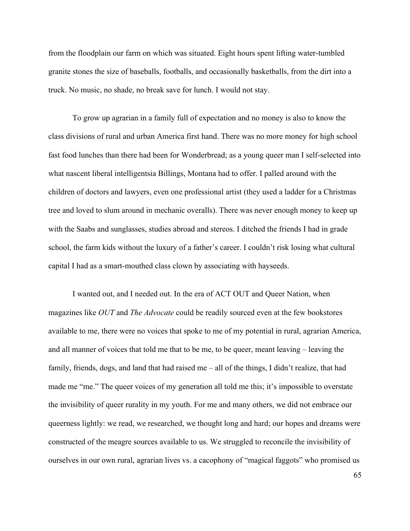from the floodplain our farm on which was situated. Eight hours spent lifting water-tumbled granite stones the size of baseballs, footballs, and occasionally basketballs, from the dirt into a truck. No music, no shade, no break save for lunch. I would not stay.

To grow up agrarian in a family full of expectation and no money is also to know the class divisions of rural and urban America first hand. There was no more money for high school fast food lunches than there had been for Wonderbread; as a young queer man I self-selected into what nascent liberal intelligentsia Billings, Montana had to offer. I palled around with the children of doctors and lawyers, even one professional artist (they used a ladder for a Christmas tree and loved to slum around in mechanic overalls). There was never enough money to keep up with the Saabs and sunglasses, studies abroad and stereos. I ditched the friends I had in grade school, the farm kids without the luxury of a father's career. I couldn't risk losing what cultural capital I had as a smart-mouthed class clown by associating with hayseeds.

I wanted out, and I needed out. In the era of ACT OUT and Queer Nation, when magazines like *OUT* and *The Advocate* could be readily sourced even at the few bookstores available to me, there were no voices that spoke to me of my potential in rural, agrarian America, and all manner of voices that told me that to be me, to be queer, meant leaving – leaving the family, friends, dogs, and land that had raised me – all of the things, I didn't realize, that had made me "me." The queer voices of my generation all told me this; it's impossible to overstate the invisibility of queer rurality in my youth. For me and many others, we did not embrace our queerness lightly: we read, we researched, we thought long and hard; our hopes and dreams were constructed of the meagre sources available to us. We struggled to reconcile the invisibility of ourselves in our own rural, agrarian lives vs. a cacophony of "magical faggots" who promised us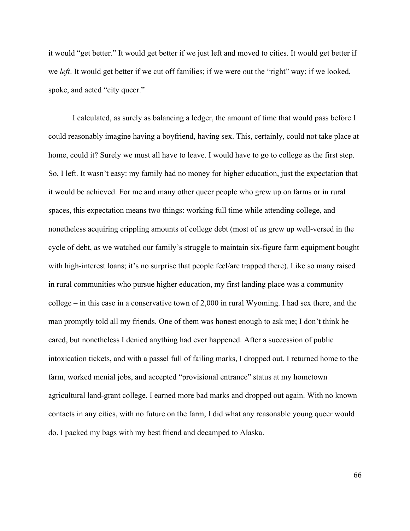it would "get better." It would get better if we just left and moved to cities. It would get better if we *left*. It would get better if we cut off families; if we were out the "right" way; if we looked, spoke, and acted "city queer."

I calculated, as surely as balancing a ledger, the amount of time that would pass before I could reasonably imagine having a boyfriend, having sex. This, certainly, could not take place at home, could it? Surely we must all have to leave. I would have to go to college as the first step. So, I left. It wasn't easy: my family had no money for higher education, just the expectation that it would be achieved. For me and many other queer people who grew up on farms or in rural spaces, this expectation means two things: working full time while attending college, and nonetheless acquiring crippling amounts of college debt (most of us grew up well-versed in the cycle of debt, as we watched our family's struggle to maintain six-figure farm equipment bought with high-interest loans; it's no surprise that people feel/are trapped there). Like so many raised in rural communities who pursue higher education, my first landing place was a community college – in this case in a conservative town of 2,000 in rural Wyoming. I had sex there, and the man promptly told all my friends. One of them was honest enough to ask me; I don't think he cared, but nonetheless I denied anything had ever happened. After a succession of public intoxication tickets, and with a passel full of failing marks, I dropped out. I returned home to the farm, worked menial jobs, and accepted "provisional entrance" status at my hometown agricultural land-grant college. I earned more bad marks and dropped out again. With no known contacts in any cities, with no future on the farm, I did what any reasonable young queer would do. I packed my bags with my best friend and decamped to Alaska.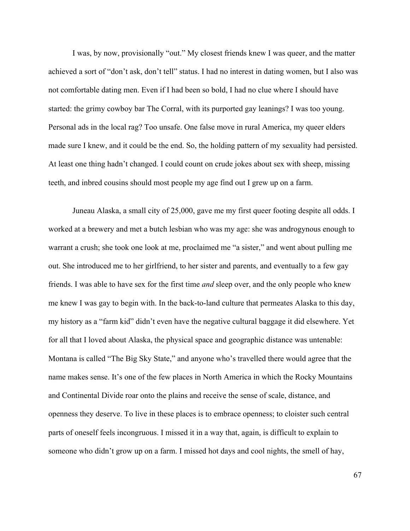I was, by now, provisionally "out." My closest friends knew I was queer, and the matter achieved a sort of "don't ask, don't tell" status. I had no interest in dating women, but I also was not comfortable dating men. Even if I had been so bold, I had no clue where I should have started: the grimy cowboy bar The Corral, with its purported gay leanings? I was too young. Personal ads in the local rag? Too unsafe. One false move in rural America, my queer elders made sure I knew, and it could be the end. So, the holding pattern of my sexuality had persisted. At least one thing hadn't changed. I could count on crude jokes about sex with sheep, missing teeth, and inbred cousins should most people my age find out I grew up on a farm.

Juneau Alaska, a small city of 25,000, gave me my first queer footing despite all odds. I worked at a brewery and met a butch lesbian who was my age: she was androgynous enough to warrant a crush; she took one look at me, proclaimed me "a sister," and went about pulling me out. She introduced me to her girlfriend, to her sister and parents, and eventually to a few gay friends. I was able to have sex for the first time *and* sleep over, and the only people who knew me knew I was gay to begin with. In the back-to-land culture that permeates Alaska to this day, my history as a "farm kid" didn't even have the negative cultural baggage it did elsewhere. Yet for all that I loved about Alaska, the physical space and geographic distance was untenable: Montana is called "The Big Sky State," and anyone who's travelled there would agree that the name makes sense. It's one of the few places in North America in which the Rocky Mountains and Continental Divide roar onto the plains and receive the sense of scale, distance, and openness they deserve. To live in these places is to embrace openness; to cloister such central parts of oneself feels incongruous. I missed it in a way that, again, is difficult to explain to someone who didn't grow up on a farm. I missed hot days and cool nights, the smell of hay,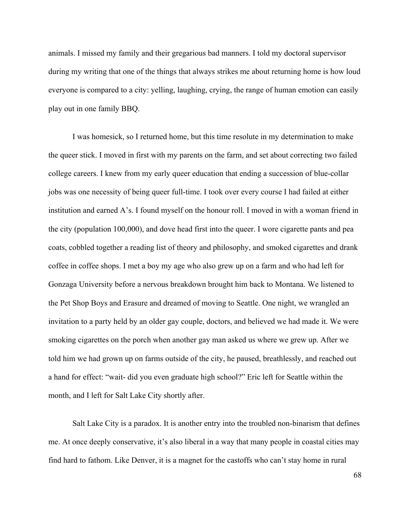animals. I missed my family and their gregarious bad manners. I told my doctoral supervisor during my writing that one of the things that always strikes me about returning home is how loud everyone is compared to a city: yelling, laughing, crying, the range of human emotion can easily play out in one family BBQ.

I was homesick, so I returned home, but this time resolute in my determination to make the queer stick. I moved in first with my parents on the farm, and set about correcting two failed college careers. I knew from my early queer education that ending a succession of blue-collar jobs was one necessity of being queer full-time. I took over every course I had failed at either institution and earned A's. I found myself on the honour roll. I moved in with a woman friend in the city (population 100,000), and dove head first into the queer. I wore cigarette pants and pea coats, cobbled together a reading list of theory and philosophy, and smoked cigarettes and drank coffee in coffee shops. I met a boy my age who also grew up on a farm and who had left for Gonzaga University before a nervous breakdown brought him back to Montana. We listened to the Pet Shop Boys and Erasure and dreamed of moving to Seattle. One night, we wrangled an invitation to a party held by an older gay couple, doctors, and believed we had made it. We were smoking cigarettes on the porch when another gay man asked us where we grew up. After we told him we had grown up on farms outside of the city, he paused, breathlessly, and reached out a hand for effect: "wait- did you even graduate high school?" Eric left for Seattle within the month, and I left for Salt Lake City shortly after.

Salt Lake City is a paradox. It is another entry into the troubled non-binarism that defines me. At once deeply conservative, it's also liberal in a way that many people in coastal cities may find hard to fathom. Like Denver, it is a magnet for the castoffs who can't stay home in rural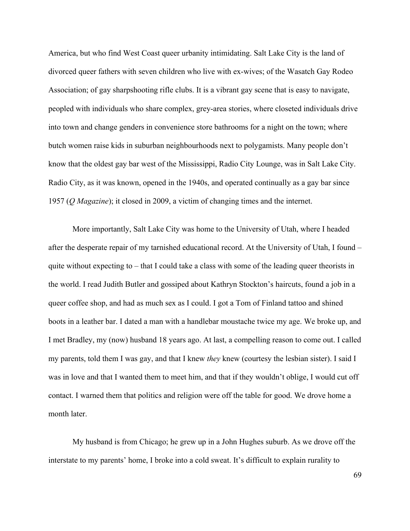America, but who find West Coast queer urbanity intimidating. Salt Lake City is the land of divorced queer fathers with seven children who live with ex-wives; of the Wasatch Gay Rodeo Association; of gay sharpshooting rifle clubs. It is a vibrant gay scene that is easy to navigate, peopled with individuals who share complex, grey-area stories, where closeted individuals drive into town and change genders in convenience store bathrooms for a night on the town; where butch women raise kids in suburban neighbourhoods next to polygamists. Many people don't know that the oldest gay bar west of the Mississippi, Radio City Lounge, was in Salt Lake City. Radio City, as it was known, opened in the 1940s, and operated continually as a gay bar since 1957 (*Q Magazine*); it closed in 2009, a victim of changing times and the internet.

More importantly, Salt Lake City was home to the University of Utah, where I headed after the desperate repair of my tarnished educational record. At the University of Utah, I found – quite without expecting to – that I could take a class with some of the leading queer theorists in the world. I read Judith Butler and gossiped about Kathryn Stockton's haircuts, found a job in a queer coffee shop, and had as much sex as I could. I got a Tom of Finland tattoo and shined boots in a leather bar. I dated a man with a handlebar moustache twice my age. We broke up, and I met Bradley, my (now) husband 18 years ago. At last, a compelling reason to come out. I called my parents, told them I was gay, and that I knew *they* knew (courtesy the lesbian sister). I said I was in love and that I wanted them to meet him, and that if they wouldn't oblige, I would cut off contact. I warned them that politics and religion were off the table for good. We drove home a month later.

My husband is from Chicago; he grew up in a John Hughes suburb. As we drove off the interstate to my parents' home, I broke into a cold sweat. It's difficult to explain rurality to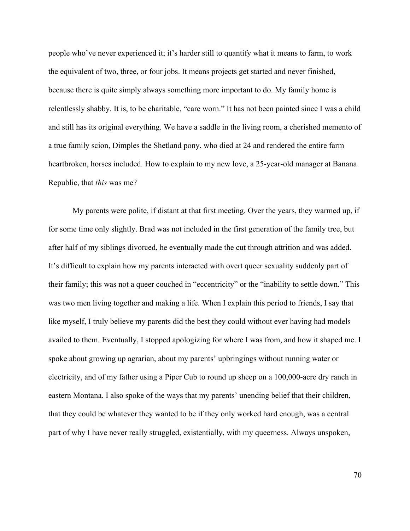people who've never experienced it; it's harder still to quantify what it means to farm, to work the equivalent of two, three, or four jobs. It means projects get started and never finished, because there is quite simply always something more important to do. My family home is relentlessly shabby. It is, to be charitable, "care worn." It has not been painted since I was a child and still has its original everything. We have a saddle in the living room, a cherished memento of a true family scion, Dimples the Shetland pony, who died at 24 and rendered the entire farm heartbroken, horses included. How to explain to my new love, a 25-year-old manager at Banana Republic, that *this* was me?

My parents were polite, if distant at that first meeting. Over the years, they warmed up, if for some time only slightly. Brad was not included in the first generation of the family tree, but after half of my siblings divorced, he eventually made the cut through attrition and was added. It's difficult to explain how my parents interacted with overt queer sexuality suddenly part of their family; this was not a queer couched in "eccentricity" or the "inability to settle down." This was two men living together and making a life. When I explain this period to friends, I say that like myself, I truly believe my parents did the best they could without ever having had models availed to them. Eventually, I stopped apologizing for where I was from, and how it shaped me. I spoke about growing up agrarian, about my parents' upbringings without running water or electricity, and of my father using a Piper Cub to round up sheep on a 100,000-acre dry ranch in eastern Montana. I also spoke of the ways that my parents' unending belief that their children, that they could be whatever they wanted to be if they only worked hard enough, was a central part of why I have never really struggled, existentially, with my queerness. Always unspoken,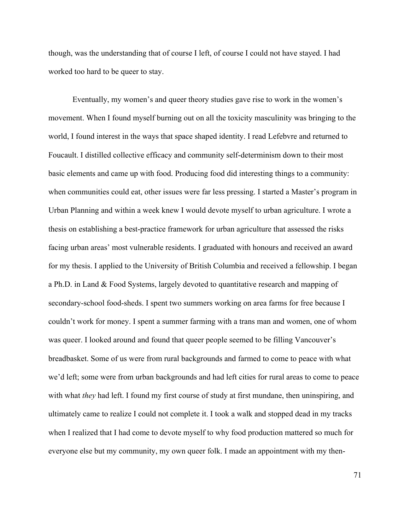though, was the understanding that of course I left, of course I could not have stayed. I had worked too hard to be queer to stay.

Eventually, my women's and queer theory studies gave rise to work in the women's movement. When I found myself burning out on all the toxicity masculinity was bringing to the world, I found interest in the ways that space shaped identity. I read Lefebvre and returned to Foucault. I distilled collective efficacy and community self-determinism down to their most basic elements and came up with food. Producing food did interesting things to a community: when communities could eat, other issues were far less pressing. I started a Master's program in Urban Planning and within a week knew I would devote myself to urban agriculture. I wrote a thesis on establishing a best-practice framework for urban agriculture that assessed the risks facing urban areas' most vulnerable residents. I graduated with honours and received an award for my thesis. I applied to the University of British Columbia and received a fellowship. I began a Ph.D. in Land & Food Systems, largely devoted to quantitative research and mapping of secondary-school food-sheds. I spent two summers working on area farms for free because I couldn't work for money. I spent a summer farming with a trans man and women, one of whom was queer. I looked around and found that queer people seemed to be filling Vancouver's breadbasket. Some of us were from rural backgrounds and farmed to come to peace with what we'd left; some were from urban backgrounds and had left cities for rural areas to come to peace with what *they* had left. I found my first course of study at first mundane, then uninspiring, and ultimately came to realize I could not complete it. I took a walk and stopped dead in my tracks when I realized that I had come to devote myself to why food production mattered so much for everyone else but my community, my own queer folk. I made an appointment with my then-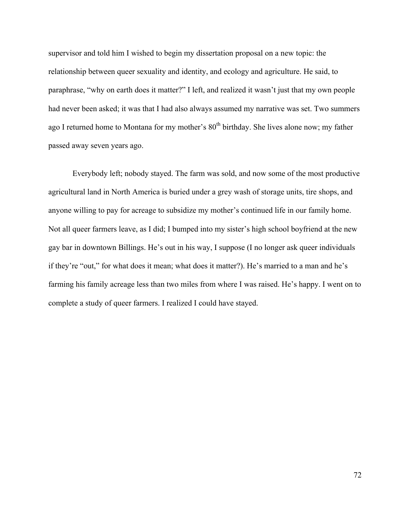supervisor and told him I wished to begin my dissertation proposal on a new topic: the relationship between queer sexuality and identity, and ecology and agriculture. He said, to paraphrase, "why on earth does it matter?" I left, and realized it wasn't just that my own people had never been asked; it was that I had also always assumed my narrative was set. Two summers ago I returned home to Montana for my mother's  $80<sup>th</sup>$  birthday. She lives alone now; my father passed away seven years ago.

Everybody left; nobody stayed. The farm was sold, and now some of the most productive agricultural land in North America is buried under a grey wash of storage units, tire shops, and anyone willing to pay for acreage to subsidize my mother's continued life in our family home. Not all queer farmers leave, as I did; I bumped into my sister's high school boyfriend at the new gay bar in downtown Billings. He's out in his way, I suppose (I no longer ask queer individuals if they're "out," for what does it mean; what does it matter?). He's married to a man and he's farming his family acreage less than two miles from where I was raised. He's happy. I went on to complete a study of queer farmers. I realized I could have stayed.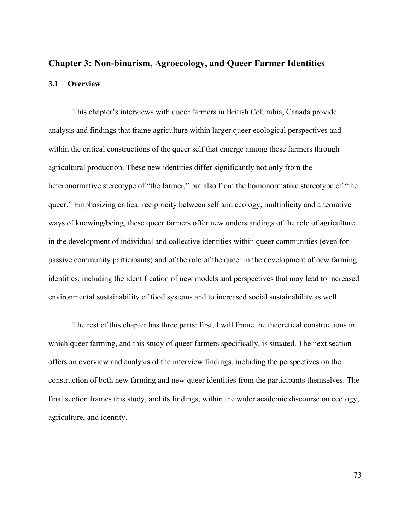# **Chapter 3: Non-binarism, Agroecology, and Queer Farmer Identities 3.1 Overview**

This chapter's interviews with queer farmers in British Columbia, Canada provide analysis and findings that frame agriculture within larger queer ecological perspectives and within the critical constructions of the queer self that emerge among these farmers through agricultural production. These new identities differ significantly not only from the heteronormative stereotype of "the farmer," but also from the homonormative stereotype of "the queer." Emphasizing critical reciprocity between self and ecology, multiplicity and alternative ways of knowing/being, these queer farmers offer new understandings of the role of agriculture in the development of individual and collective identities within queer communities (even for passive community participants) and of the role of the queer in the development of new farming identities, including the identification of new models and perspectives that may lead to increased environmental sustainability of food systems and to increased social sustainability as well.

The rest of this chapter has three parts: first, I will frame the theoretical constructions in which queer farming, and this study of queer farmers specifically, is situated. The next section offers an overview and analysis of the interview findings, including the perspectives on the construction of both new farming and new queer identities from the participants themselves. The final section frames this study, and its findings, within the wider academic discourse on ecology, agriculture, and identity.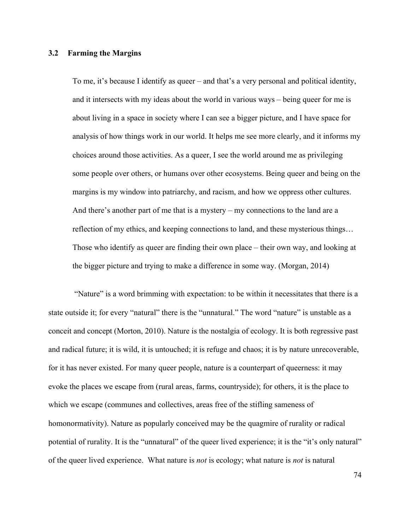## **3.2 Farming the Margins**

To me, it's because I identify as queer – and that's a very personal and political identity, and it intersects with my ideas about the world in various ways – being queer for me is about living in a space in society where I can see a bigger picture, and I have space for analysis of how things work in our world. It helps me see more clearly, and it informs my choices around those activities. As a queer, I see the world around me as privileging some people over others, or humans over other ecosystems. Being queer and being on the margins is my window into patriarchy, and racism, and how we oppress other cultures. And there's another part of me that is a mystery – my connections to the land are a reflection of my ethics, and keeping connections to land, and these mysterious things… Those who identify as queer are finding their own place – their own way, and looking at the bigger picture and trying to make a difference in some way. (Morgan, 2014)

"Nature" is a word brimming with expectation: to be within it necessitates that there is a state outside it; for every "natural" there is the "unnatural." The word "nature" is unstable as a conceit and concept (Morton, 2010). Nature is the nostalgia of ecology. It is both regressive past and radical future; it is wild, it is untouched; it is refuge and chaos; it is by nature unrecoverable, for it has never existed. For many queer people, nature is a counterpart of queerness: it may evoke the places we escape from (rural areas, farms, countryside); for others, it is the place to which we escape (communes and collectives, areas free of the stifling sameness of homonormativity). Nature as popularly conceived may be the quagmire of rurality or radical potential of rurality. It is the "unnatural" of the queer lived experience; it is the "it's only natural" of the queer lived experience. What nature is *not* is ecology; what nature is *not* is natural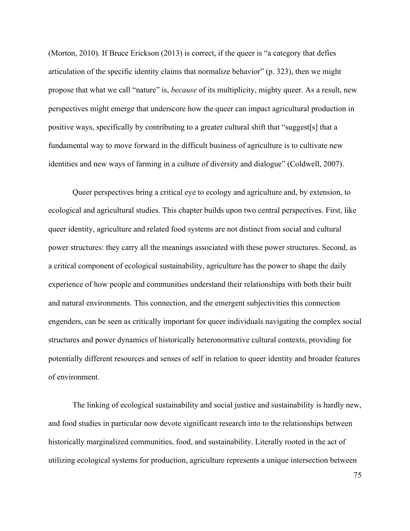(Morton, 2010). If Bruce Erickson (2013) is correct, if the queer is "a category that defies articulation of the specific identity claims that normalize behavior" (p. 323), then we might propose that what we call "nature" is, *because* of its multiplicity, mighty queer. As a result, new perspectives might emerge that underscore how the queer can impact agricultural production in positive ways, specifically by contributing to a greater cultural shift that "suggest[s] that a fundamental way to move forward in the difficult business of agriculture is to cultivate new identities and new ways of farming in a culture of diversity and dialogue" (Coldwell, 2007).

Queer perspectives bring a critical eye to ecology and agriculture and, by extension, to ecological and agricultural studies. This chapter builds upon two central perspectives. First, like queer identity, agriculture and related food systems are not distinct from social and cultural power structures: they carry all the meanings associated with these power structures. Second, as a critical component of ecological sustainability, agriculture has the power to shape the daily experience of how people and communities understand their relationships with both their built and natural environments. This connection, and the emergent subjectivities this connection engenders, can be seen as critically important for queer individuals navigating the complex social structures and power dynamics of historically heteronormative cultural contexts, providing for potentially different resources and senses of self in relation to queer identity and broader features of environment.

The linking of ecological sustainability and social justice and sustainability is hardly new, and food studies in particular now devote significant research into to the relationships between historically marginalized communities, food, and sustainability. Literally rooted in the act of utilizing ecological systems for production, agriculture represents a unique intersection between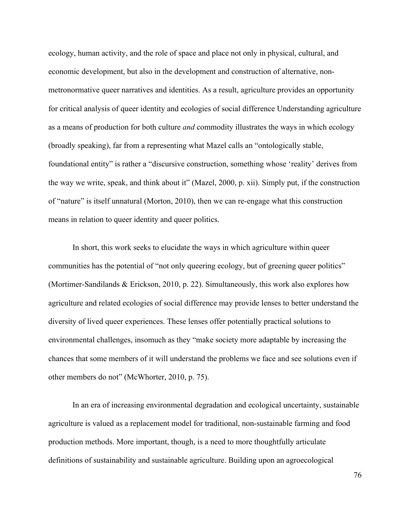ecology, human activity, and the role of space and place not only in physical, cultural, and economic development, but also in the development and construction of alternative, nonmetronormative queer narratives and identities. As a result, agriculture provides an opportunity for critical analysis of queer identity and ecologies of social difference Understanding agriculture as a means of production for both culture *and* commodity illustrates the ways in which ecology (broadly speaking), far from a representing what Mazel calls an "ontologically stable, foundational entity" is rather a "discursive construction, something whose 'reality' derives from the way we write, speak, and think about it" (Mazel, 2000, p. xii). Simply put, if the construction of "nature" is itself unnatural (Morton, 2010), then we can re-engage what this construction means in relation to queer identity and queer politics.

In short, this work seeks to elucidate the ways in which agriculture within queer communities has the potential of "not only queering ecology, but of greening queer politics" (Mortimer-Sandilands & Erickson, 2010, p. 22). Simultaneously, this work also explores how agriculture and related ecologies of social difference may provide lenses to better understand the diversity of lived queer experiences. These lenses offer potentially practical solutions to environmental challenges, insomuch as they "make society more adaptable by increasing the chances that some members of it will understand the problems we face and see solutions even if other members do not" (McWhorter, 2010, p. 75).

In an era of increasing environmental degradation and ecological uncertainty, sustainable agriculture is valued as a replacement model for traditional, non-sustainable farming and food production methods. More important, though, is a need to more thoughtfully articulate definitions of sustainability and sustainable agriculture. Building upon an agroecological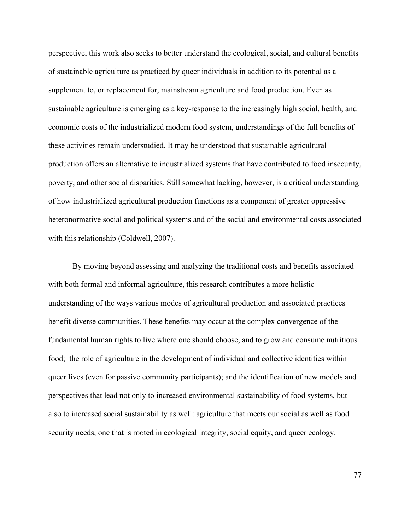perspective, this work also seeks to better understand the ecological, social, and cultural benefits of sustainable agriculture as practiced by queer individuals in addition to its potential as a supplement to, or replacement for, mainstream agriculture and food production. Even as sustainable agriculture is emerging as a key-response to the increasingly high social, health, and economic costs of the industrialized modern food system, understandings of the full benefits of these activities remain understudied. It may be understood that sustainable agricultural production offers an alternative to industrialized systems that have contributed to food insecurity, poverty, and other social disparities. Still somewhat lacking, however, is a critical understanding of how industrialized agricultural production functions as a component of greater oppressive heteronormative social and political systems and of the social and environmental costs associated with this relationship (Coldwell, 2007).

By moving beyond assessing and analyzing the traditional costs and benefits associated with both formal and informal agriculture, this research contributes a more holistic understanding of the ways various modes of agricultural production and associated practices benefit diverse communities. These benefits may occur at the complex convergence of the fundamental human rights to live where one should choose, and to grow and consume nutritious food; the role of agriculture in the development of individual and collective identities within queer lives (even for passive community participants); and the identification of new models and perspectives that lead not only to increased environmental sustainability of food systems, but also to increased social sustainability as well: agriculture that meets our social as well as food security needs, one that is rooted in ecological integrity, social equity, and queer ecology.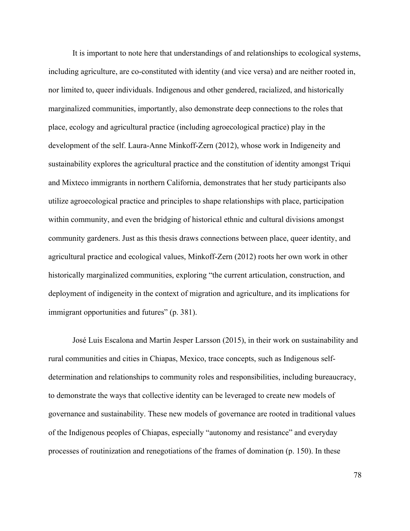It is important to note here that understandings of and relationships to ecological systems, including agriculture, are co-constituted with identity (and vice versa) and are neither rooted in, nor limited to, queer individuals. Indigenous and other gendered, racialized, and historically marginalized communities, importantly, also demonstrate deep connections to the roles that place, ecology and agricultural practice (including agroecological practice) play in the development of the self. Laura-Anne Minkoff-Zern (2012), whose work in Indigeneity and sustainability explores the agricultural practice and the constitution of identity amongst Triqui and Mixteco immigrants in northern California, demonstrates that her study participants also utilize agroecological practice and principles to shape relationships with place, participation within community, and even the bridging of historical ethnic and cultural divisions amongst community gardeners. Just as this thesis draws connections between place, queer identity, and agricultural practice and ecological values, Minkoff-Zern (2012) roots her own work in other historically marginalized communities, exploring "the current articulation, construction, and deployment of indigeneity in the context of migration and agriculture, and its implications for immigrant opportunities and futures" (p. 381).

José Luis Escalona and Martin Jesper Larsson (2015), in their work on sustainability and rural communities and cities in Chiapas, Mexico, trace concepts, such as Indigenous selfdetermination and relationships to community roles and responsibilities, including bureaucracy, to demonstrate the ways that collective identity can be leveraged to create new models of governance and sustainability. These new models of governance are rooted in traditional values of the Indigenous peoples of Chiapas, especially "autonomy and resistance" and everyday processes of routinization and renegotiations of the frames of domination (p. 150). In these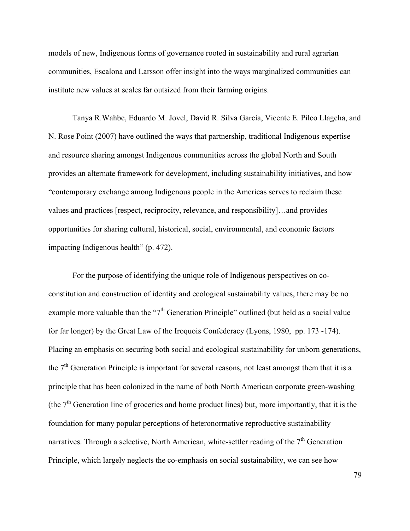models of new, Indigenous forms of governance rooted in sustainability and rural agrarian communities, Escalona and Larsson offer insight into the ways marginalized communities can institute new values at scales far outsized from their farming origins.

Tanya R.Wahbe, Eduardo M. Jovel, David R. Silva García, Vicente E. Pilco Llagcha, and N. Rose Point (2007) have outlined the ways that partnership, traditional Indigenous expertise and resource sharing amongst Indigenous communities across the global North and South provides an alternate framework for development, including sustainability initiatives, and how "contemporary exchange among Indigenous people in the Americas serves to reclaim these values and practices [respect, reciprocity, relevance, and responsibility]…and provides opportunities for sharing cultural, historical, social, environmental, and economic factors impacting Indigenous health" (p. 472).

For the purpose of identifying the unique role of Indigenous perspectives on coconstitution and construction of identity and ecological sustainability values, there may be no example more valuable than the " $7<sup>th</sup>$  Generation Principle" outlined (but held as a social value for far longer) by the Great Law of the Iroquois Confederacy (Lyons, 1980, pp. 173 -174). Placing an emphasis on securing both social and ecological sustainability for unborn generations, the  $7<sup>th</sup>$  Generation Principle is important for several reasons, not least amongst them that it is a principle that has been colonized in the name of both North American corporate green-washing (the  $7<sup>th</sup>$  Generation line of groceries and home product lines) but, more importantly, that it is the foundation for many popular perceptions of heteronormative reproductive sustainability narratives. Through a selective, North American, white-settler reading of the  $7<sup>th</sup>$  Generation Principle, which largely neglects the co-emphasis on social sustainability, we can see how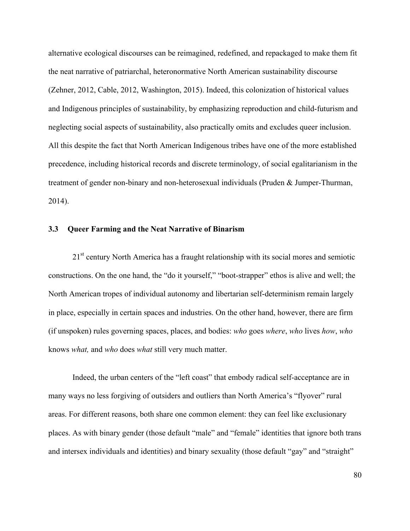alternative ecological discourses can be reimagined, redefined, and repackaged to make them fit the neat narrative of patriarchal, heteronormative North American sustainability discourse (Zehner, 2012, Cable, 2012, Washington, 2015). Indeed, this colonization of historical values and Indigenous principles of sustainability, by emphasizing reproduction and child-futurism and neglecting social aspects of sustainability, also practically omits and excludes queer inclusion. All this despite the fact that North American Indigenous tribes have one of the more established precedence, including historical records and discrete terminology, of social egalitarianism in the treatment of gender non-binary and non-heterosexual individuals (Pruden & Jumper-Thurman, 2014).

## **3.3 Queer Farming and the Neat Narrative of Binarism**

21<sup>st</sup> century North America has a fraught relationship with its social mores and semiotic constructions. On the one hand, the "do it yourself," "boot-strapper" ethos is alive and well; the North American tropes of individual autonomy and libertarian self-determinism remain largely in place, especially in certain spaces and industries. On the other hand, however, there are firm (if unspoken) rules governing spaces, places, and bodies: *who* goes *where*, *who* lives *how*, *who*  knows *what,* and *who* does *what* still very much matter.

Indeed, the urban centers of the "left coast" that embody radical self-acceptance are in many ways no less forgiving of outsiders and outliers than North America's "flyover" rural areas. For different reasons, both share one common element: they can feel like exclusionary places. As with binary gender (those default "male" and "female" identities that ignore both trans and intersex individuals and identities) and binary sexuality (those default "gay" and "straight"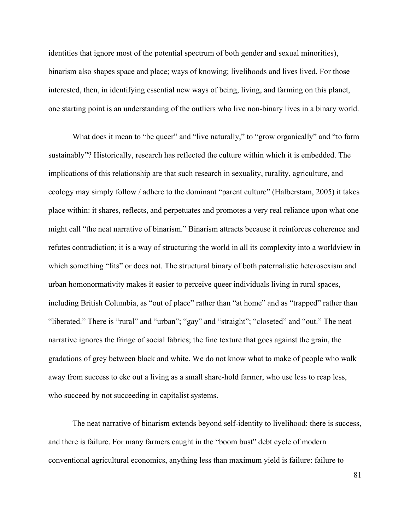identities that ignore most of the potential spectrum of both gender and sexual minorities), binarism also shapes space and place; ways of knowing; livelihoods and lives lived. For those interested, then, in identifying essential new ways of being, living, and farming on this planet, one starting point is an understanding of the outliers who live non-binary lives in a binary world.

What does it mean to "be queer" and "live naturally," to "grow organically" and "to farm sustainably"? Historically, research has reflected the culture within which it is embedded. The implications of this relationship are that such research in sexuality, rurality, agriculture, and ecology may simply follow / adhere to the dominant "parent culture" (Halberstam, 2005) it takes place within: it shares, reflects, and perpetuates and promotes a very real reliance upon what one might call "the neat narrative of binarism." Binarism attracts because it reinforces coherence and refutes contradiction; it is a way of structuring the world in all its complexity into a worldview in which something "fits" or does not. The structural binary of both paternalistic heterosexism and urban homonormativity makes it easier to perceive queer individuals living in rural spaces, including British Columbia, as "out of place" rather than "at home" and as "trapped" rather than "liberated." There is "rural" and "urban"; "gay" and "straight"; "closeted" and "out." The neat narrative ignores the fringe of social fabrics; the fine texture that goes against the grain, the gradations of grey between black and white. We do not know what to make of people who walk away from success to eke out a living as a small share-hold farmer, who use less to reap less, who succeed by not succeeding in capitalist systems.

The neat narrative of binarism extends beyond self-identity to livelihood: there is success, and there is failure. For many farmers caught in the "boom bust" debt cycle of modern conventional agricultural economics, anything less than maximum yield is failure: failure to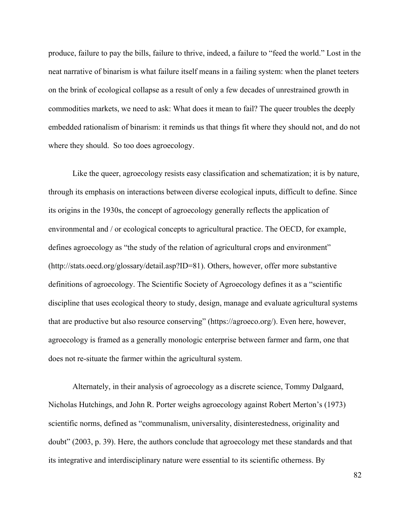produce, failure to pay the bills, failure to thrive, indeed, a failure to "feed the world." Lost in the neat narrative of binarism is what failure itself means in a failing system: when the planet teeters on the brink of ecological collapse as a result of only a few decades of unrestrained growth in commodities markets, we need to ask: What does it mean to fail? The queer troubles the deeply embedded rationalism of binarism: it reminds us that things fit where they should not, and do not where they should. So too does agroecology.

Like the queer, agroecology resists easy classification and schematization; it is by nature, through its emphasis on interactions between diverse ecological inputs, difficult to define. Since its origins in the 1930s, the concept of agroecology generally reflects the application of environmental and / or ecological concepts to agricultural practice. The OECD, for example, defines agroecology as "the study of the relation of agricultural crops and environment" (http://stats.oecd.org/glossary/detail.asp?ID=81). Others, however, offer more substantive definitions of agroecology. The Scientific Society of Agroecology defines it as a "scientific discipline that uses ecological theory to study, design, manage and evaluate agricultural systems that are productive but also resource conserving" (https://agroeco.org/). Even here, however, agroecology is framed as a generally monologic enterprise between farmer and farm, one that does not re-situate the farmer within the agricultural system.

Alternately, in their analysis of agroecology as a discrete science, Tommy Dalgaard, Nicholas Hutchings, and John R. Porter weighs agroecology against Robert Merton's (1973) scientific norms, defined as "communalism, universality, disinterestedness, originality and doubt" (2003, p. 39). Here, the authors conclude that agroecology met these standards and that its integrative and interdisciplinary nature were essential to its scientific otherness. By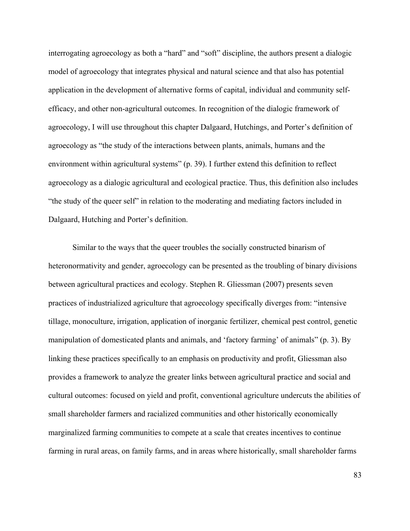interrogating agroecology as both a "hard" and "soft" discipline, the authors present a dialogic model of agroecology that integrates physical and natural science and that also has potential application in the development of alternative forms of capital, individual and community selfefficacy, and other non-agricultural outcomes. In recognition of the dialogic framework of agroecology, I will use throughout this chapter Dalgaard, Hutchings, and Porter's definition of agroecology as "the study of the interactions between plants, animals, humans and the environment within agricultural systems" (p. 39). I further extend this definition to reflect agroecology as a dialogic agricultural and ecological practice. Thus, this definition also includes "the study of the queer self" in relation to the moderating and mediating factors included in Dalgaard, Hutching and Porter's definition.

Similar to the ways that the queer troubles the socially constructed binarism of heteronormativity and gender, agroecology can be presented as the troubling of binary divisions between agricultural practices and ecology. Stephen R. Gliessman (2007) presents seven practices of industrialized agriculture that agroecology specifically diverges from: "intensive tillage, monoculture, irrigation, application of inorganic fertilizer, chemical pest control, genetic manipulation of domesticated plants and animals, and 'factory farming' of animals" (p. 3). By linking these practices specifically to an emphasis on productivity and profit, Gliessman also provides a framework to analyze the greater links between agricultural practice and social and cultural outcomes: focused on yield and profit, conventional agriculture undercuts the abilities of small shareholder farmers and racialized communities and other historically economically marginalized farming communities to compete at a scale that creates incentives to continue farming in rural areas, on family farms, and in areas where historically, small shareholder farms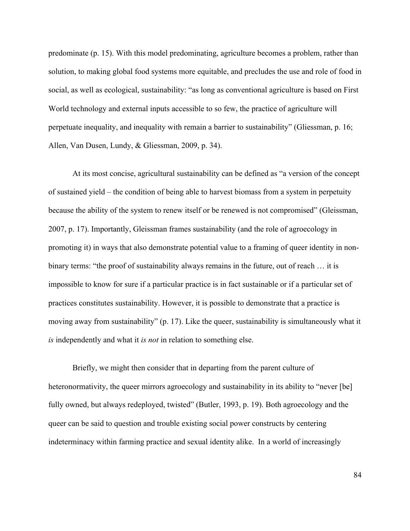predominate (p. 15). With this model predominating, agriculture becomes a problem, rather than solution, to making global food systems more equitable, and precludes the use and role of food in social, as well as ecological, sustainability: "as long as conventional agriculture is based on First World technology and external inputs accessible to so few, the practice of agriculture will perpetuate inequality, and inequality with remain a barrier to sustainability" (Gliessman, p. 16; Allen, Van Dusen, Lundy, & Gliessman, 2009, p. 34).

At its most concise, agricultural sustainability can be defined as "a version of the concept of sustained yield – the condition of being able to harvest biomass from a system in perpetuity because the ability of the system to renew itself or be renewed is not compromised" (Gleissman, 2007, p. 17). Importantly, Gleissman frames sustainability (and the role of agroecology in promoting it) in ways that also demonstrate potential value to a framing of queer identity in nonbinary terms: "the proof of sustainability always remains in the future, out of reach … it is impossible to know for sure if a particular practice is in fact sustainable or if a particular set of practices constitutes sustainability. However, it is possible to demonstrate that a practice is moving away from sustainability" (p. 17). Like the queer, sustainability is simultaneously what it *is* independently and what it *is not* in relation to something else.

Briefly, we might then consider that in departing from the parent culture of heteronormativity, the queer mirrors agroecology and sustainability in its ability to "never [be] fully owned, but always redeployed, twisted" (Butler, 1993, p. 19). Both agroecology and the queer can be said to question and trouble existing social power constructs by centering indeterminacy within farming practice and sexual identity alike. In a world of increasingly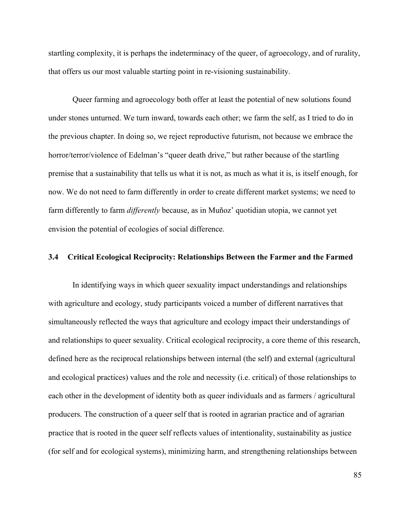startling complexity, it is perhaps the indeterminacy of the queer, of agroecology, and of rurality, that offers us our most valuable starting point in re-visioning sustainability.

Queer farming and agroecology both offer at least the potential of new solutions found under stones unturned. We turn inward, towards each other; we farm the self, as I tried to do in the previous chapter. In doing so, we reject reproductive futurism, not because we embrace the horror/terror/violence of Edelman's "queer death drive," but rather because of the startling premise that a sustainability that tells us what it is not, as much as what it is, is itself enough, for now. We do not need to farm differently in order to create different market systems; we need to farm differently to farm *differently* because, as in Muñoz' quotidian utopia, we cannot yet envision the potential of ecologies of social difference.

### **3.4 Critical Ecological Reciprocity: Relationships Between the Farmer and the Farmed**

In identifying ways in which queer sexuality impact understandings and relationships with agriculture and ecology, study participants voiced a number of different narratives that simultaneously reflected the ways that agriculture and ecology impact their understandings of and relationships to queer sexuality. Critical ecological reciprocity, a core theme of this research, defined here as the reciprocal relationships between internal (the self) and external (agricultural and ecological practices) values and the role and necessity (i.e. critical) of those relationships to each other in the development of identity both as queer individuals and as farmers / agricultural producers. The construction of a queer self that is rooted in agrarian practice and of agrarian practice that is rooted in the queer self reflects values of intentionality, sustainability as justice (for self and for ecological systems), minimizing harm, and strengthening relationships between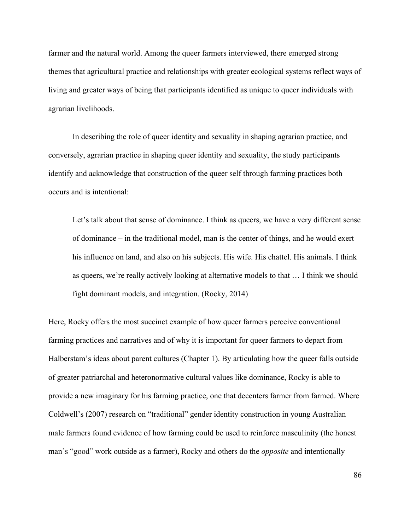farmer and the natural world. Among the queer farmers interviewed, there emerged strong themes that agricultural practice and relationships with greater ecological systems reflect ways of living and greater ways of being that participants identified as unique to queer individuals with agrarian livelihoods.

In describing the role of queer identity and sexuality in shaping agrarian practice, and conversely, agrarian practice in shaping queer identity and sexuality, the study participants identify and acknowledge that construction of the queer self through farming practices both occurs and is intentional:

Let's talk about that sense of dominance. I think as queers, we have a very different sense of dominance – in the traditional model, man is the center of things, and he would exert his influence on land, and also on his subjects. His wife. His chattel. His animals. I think as queers, we're really actively looking at alternative models to that … I think we should fight dominant models, and integration. (Rocky, 2014)

Here, Rocky offers the most succinct example of how queer farmers perceive conventional farming practices and narratives and of why it is important for queer farmers to depart from Halberstam's ideas about parent cultures (Chapter 1). By articulating how the queer falls outside of greater patriarchal and heteronormative cultural values like dominance, Rocky is able to provide a new imaginary for his farming practice, one that decenters farmer from farmed. Where Coldwell's (2007) research on "traditional" gender identity construction in young Australian male farmers found evidence of how farming could be used to reinforce masculinity (the honest man's "good" work outside as a farmer), Rocky and others do the *opposite* and intentionally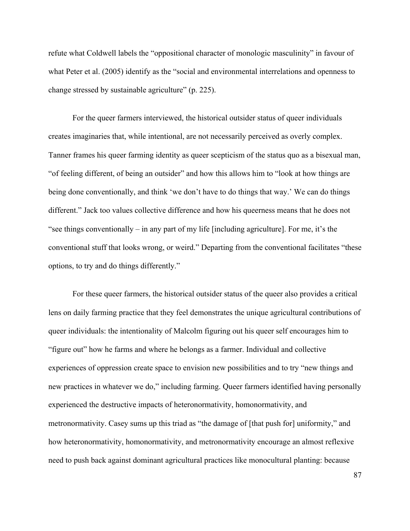refute what Coldwell labels the "oppositional character of monologic masculinity" in favour of what Peter et al. (2005) identify as the "social and environmental interrelations and openness to change stressed by sustainable agriculture" (p. 225).

For the queer farmers interviewed, the historical outsider status of queer individuals creates imaginaries that, while intentional, are not necessarily perceived as overly complex. Tanner frames his queer farming identity as queer scepticism of the status quo as a bisexual man, "of feeling different, of being an outsider" and how this allows him to "look at how things are being done conventionally, and think 'we don't have to do things that way.' We can do things different." Jack too values collective difference and how his queerness means that he does not "see things conventionally – in any part of my life [including agriculture]. For me, it's the conventional stuff that looks wrong, or weird." Departing from the conventional facilitates "these options, to try and do things differently."

For these queer farmers, the historical outsider status of the queer also provides a critical lens on daily farming practice that they feel demonstrates the unique agricultural contributions of queer individuals: the intentionality of Malcolm figuring out his queer self encourages him to "figure out" how he farms and where he belongs as a farmer. Individual and collective experiences of oppression create space to envision new possibilities and to try "new things and new practices in whatever we do," including farming. Queer farmers identified having personally experienced the destructive impacts of heteronormativity, homonormativity, and metronormativity. Casey sums up this triad as "the damage of [that push for] uniformity," and how heteronormativity, homonormativity, and metronormativity encourage an almost reflexive need to push back against dominant agricultural practices like monocultural planting: because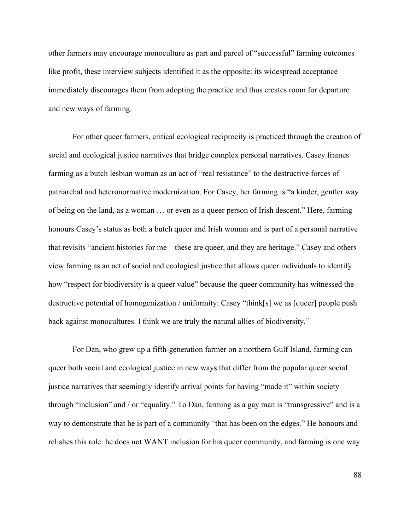other farmers may encourage monoculture as part and parcel of "successful" farming outcomes like profit, these interview subjects identified it as the opposite: its widespread acceptance immediately discourages them from adopting the practice and thus creates room for departure and new ways of farming.

For other queer farmers, critical ecological reciprocity is practiced through the creation of social and ecological justice narratives that bridge complex personal narratives. Casey frames farming as a butch lesbian woman as an act of "real resistance" to the destructive forces of patriarchal and heteronormative modernization. For Casey, her farming is "a kinder, gentler way of being on the land, as a woman … or even as a queer person of Irish descent." Here, farming honours Casey's status as both a butch queer and Irish woman and is part of a personal narrative that revisits "ancient histories for me – these are queer, and they are heritage." Casey and others view farming as an act of social and ecological justice that allows queer individuals to identify how "respect for biodiversity is a queer value" because the queer community has witnessed the destructive potential of homogenization / uniformity: Casey "think[s] we as [queer] people push back against monocultures. I think we are truly the natural allies of biodiversity."

For Dan, who grew up a fifth-generation farmer on a northern Gulf Island, farming can queer both social and ecological justice in new ways that differ from the popular queer social justice narratives that seemingly identify arrival points for having "made it" within society through "inclusion" and / or "equality." To Dan, farming as a gay man is "transgressive" and is a way to demonstrate that he is part of a community "that has been on the edges." He honours and relishes this role: he does not WANT inclusion for his queer community, and farming is one way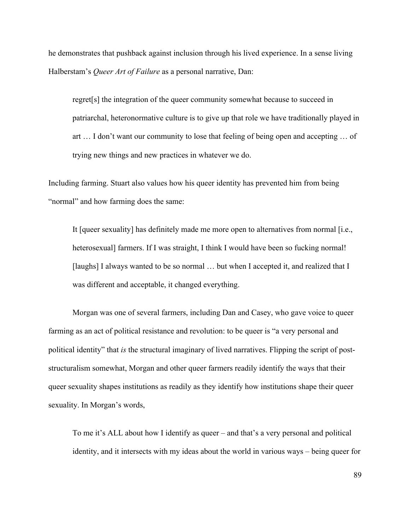he demonstrates that pushback against inclusion through his lived experience. In a sense living Halberstam's *Queer Art of Failure* as a personal narrative, Dan:

regret[s] the integration of the queer community somewhat because to succeed in patriarchal, heteronormative culture is to give up that role we have traditionally played in art … I don't want our community to lose that feeling of being open and accepting … of trying new things and new practices in whatever we do.

Including farming. Stuart also values how his queer identity has prevented him from being "normal" and how farming does the same:

It [queer sexuality] has definitely made me more open to alternatives from normal [i.e., heterosexual] farmers. If I was straight, I think I would have been so fucking normal! [laughs] I always wanted to be so normal ... but when I accepted it, and realized that I was different and acceptable, it changed everything.

Morgan was one of several farmers, including Dan and Casey, who gave voice to queer farming as an act of political resistance and revolution: to be queer is "a very personal and political identity" that *is* the structural imaginary of lived narratives. Flipping the script of poststructuralism somewhat, Morgan and other queer farmers readily identify the ways that their queer sexuality shapes institutions as readily as they identify how institutions shape their queer sexuality. In Morgan's words,

To me it's ALL about how I identify as queer – and that's a very personal and political identity, and it intersects with my ideas about the world in various ways – being queer for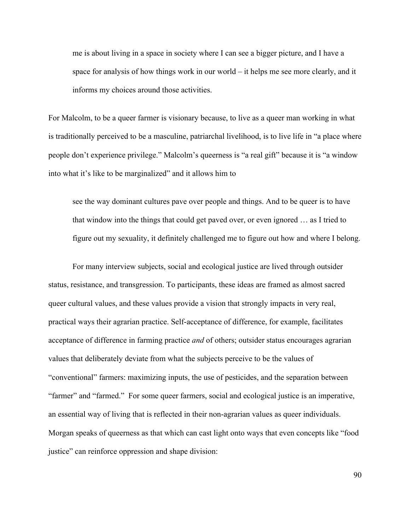me is about living in a space in society where I can see a bigger picture, and I have a space for analysis of how things work in our world – it helps me see more clearly, and it informs my choices around those activities.

For Malcolm, to be a queer farmer is visionary because, to live as a queer man working in what is traditionally perceived to be a masculine, patriarchal livelihood, is to live life in "a place where people don't experience privilege." Malcolm's queerness is "a real gift" because it is "a window into what it's like to be marginalized" and it allows him to

see the way dominant cultures pave over people and things. And to be queer is to have that window into the things that could get paved over, or even ignored … as I tried to figure out my sexuality, it definitely challenged me to figure out how and where I belong.

For many interview subjects, social and ecological justice are lived through outsider status, resistance, and transgression. To participants, these ideas are framed as almost sacred queer cultural values, and these values provide a vision that strongly impacts in very real, practical ways their agrarian practice. Self-acceptance of difference, for example, facilitates acceptance of difference in farming practice *and* of others; outsider status encourages agrarian values that deliberately deviate from what the subjects perceive to be the values of "conventional" farmers: maximizing inputs, the use of pesticides, and the separation between "farmer" and "farmed." For some queer farmers, social and ecological justice is an imperative, an essential way of living that is reflected in their non-agrarian values as queer individuals. Morgan speaks of queerness as that which can cast light onto ways that even concepts like "food justice" can reinforce oppression and shape division: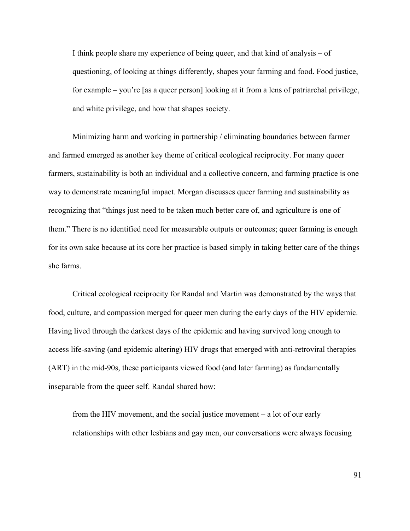I think people share my experience of being queer, and that kind of analysis – of questioning, of looking at things differently, shapes your farming and food. Food justice, for example – you're [as a queer person] looking at it from a lens of patriarchal privilege, and white privilege, and how that shapes society.

Minimizing harm and working in partnership / eliminating boundaries between farmer and farmed emerged as another key theme of critical ecological reciprocity. For many queer farmers, sustainability is both an individual and a collective concern, and farming practice is one way to demonstrate meaningful impact. Morgan discusses queer farming and sustainability as recognizing that "things just need to be taken much better care of, and agriculture is one of them." There is no identified need for measurable outputs or outcomes; queer farming is enough for its own sake because at its core her practice is based simply in taking better care of the things she farms.

Critical ecological reciprocity for Randal and Martin was demonstrated by the ways that food, culture, and compassion merged for queer men during the early days of the HIV epidemic. Having lived through the darkest days of the epidemic and having survived long enough to access life-saving (and epidemic altering) HIV drugs that emerged with anti-retroviral therapies (ART) in the mid-90s, these participants viewed food (and later farming) as fundamentally inseparable from the queer self. Randal shared how:

from the HIV movement, and the social justice movement – a lot of our early relationships with other lesbians and gay men, our conversations were always focusing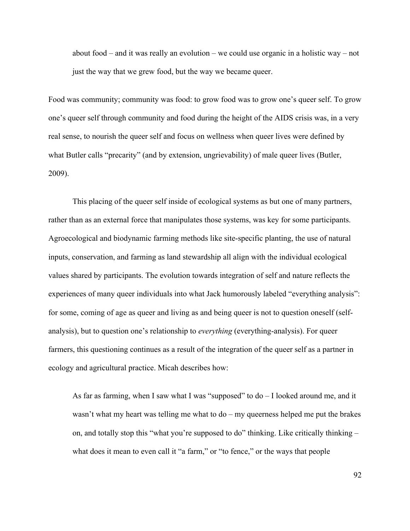about food – and it was really an evolution – we could use organic in a holistic way – not just the way that we grew food, but the way we became queer.

Food was community; community was food: to grow food was to grow one's queer self. To grow one's queer self through community and food during the height of the AIDS crisis was, in a very real sense, to nourish the queer self and focus on wellness when queer lives were defined by what Butler calls "precarity" (and by extension, ungrievability) of male queer lives (Butler, 2009).

This placing of the queer self inside of ecological systems as but one of many partners, rather than as an external force that manipulates those systems, was key for some participants. Agroecological and biodynamic farming methods like site-specific planting, the use of natural inputs, conservation, and farming as land stewardship all align with the individual ecological values shared by participants. The evolution towards integration of self and nature reflects the experiences of many queer individuals into what Jack humorously labeled "everything analysis": for some, coming of age as queer and living as and being queer is not to question oneself (selfanalysis), but to question one's relationship to *everything* (everything-analysis). For queer farmers, this questioning continues as a result of the integration of the queer self as a partner in ecology and agricultural practice. Micah describes how:

As far as farming, when I saw what I was "supposed" to do – I looked around me, and it wasn't what my heart was telling me what to do – my queerness helped me put the brakes on, and totally stop this "what you're supposed to do" thinking. Like critically thinking – what does it mean to even call it "a farm," or "to fence," or the ways that people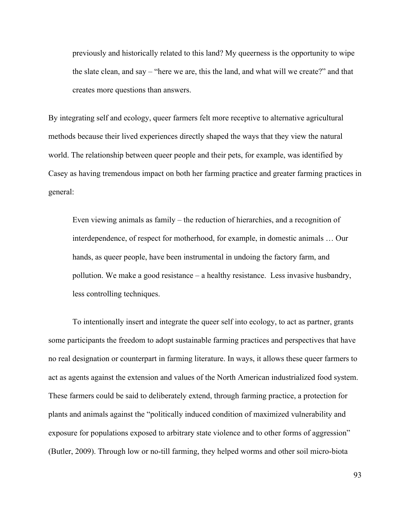previously and historically related to this land? My queerness is the opportunity to wipe the slate clean, and say – "here we are, this the land, and what will we create?" and that creates more questions than answers.

By integrating self and ecology, queer farmers felt more receptive to alternative agricultural methods because their lived experiences directly shaped the ways that they view the natural world. The relationship between queer people and their pets, for example, was identified by Casey as having tremendous impact on both her farming practice and greater farming practices in general:

Even viewing animals as family – the reduction of hierarchies, and a recognition of interdependence, of respect for motherhood, for example, in domestic animals … Our hands, as queer people, have been instrumental in undoing the factory farm, and pollution. We make a good resistance – a healthy resistance. Less invasive husbandry, less controlling techniques.

To intentionally insert and integrate the queer self into ecology, to act as partner, grants some participants the freedom to adopt sustainable farming practices and perspectives that have no real designation or counterpart in farming literature. In ways, it allows these queer farmers to act as agents against the extension and values of the North American industrialized food system. These farmers could be said to deliberately extend, through farming practice, a protection for plants and animals against the "politically induced condition of maximized vulnerability and exposure for populations exposed to arbitrary state violence and to other forms of aggression" (Butler, 2009). Through low or no-till farming, they helped worms and other soil micro-biota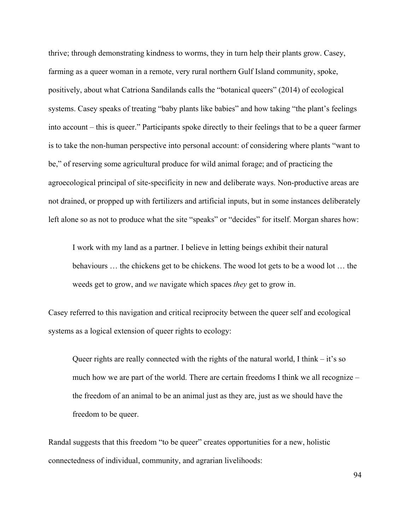thrive; through demonstrating kindness to worms, they in turn help their plants grow. Casey, farming as a queer woman in a remote, very rural northern Gulf Island community, spoke, positively, about what Catriona Sandilands calls the "botanical queers" (2014) of ecological systems. Casey speaks of treating "baby plants like babies" and how taking "the plant's feelings into account – this is queer." Participants spoke directly to their feelings that to be a queer farmer is to take the non-human perspective into personal account: of considering where plants "want to be," of reserving some agricultural produce for wild animal forage; and of practicing the agroecological principal of site-specificity in new and deliberate ways. Non-productive areas are not drained, or propped up with fertilizers and artificial inputs, but in some instances deliberately left alone so as not to produce what the site "speaks" or "decides" for itself. Morgan shares how:

I work with my land as a partner. I believe in letting beings exhibit their natural behaviours … the chickens get to be chickens. The wood lot gets to be a wood lot … the weeds get to grow, and *we* navigate which spaces *they* get to grow in.

Casey referred to this navigation and critical reciprocity between the queer self and ecological systems as a logical extension of queer rights to ecology:

Queer rights are really connected with the rights of the natural world, I think – it's so much how we are part of the world. There are certain freedoms I think we all recognize – the freedom of an animal to be an animal just as they are, just as we should have the freedom to be queer.

Randal suggests that this freedom "to be queer" creates opportunities for a new, holistic connectedness of individual, community, and agrarian livelihoods: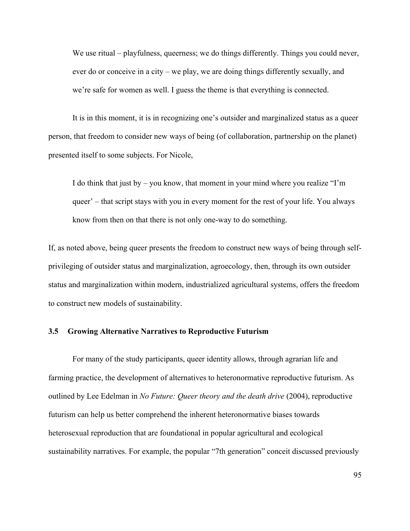We use ritual – playfulness, queerness; we do things differently. Things you could never, ever do or conceive in a city – we play, we are doing things differently sexually, and we're safe for women as well. I guess the theme is that everything is connected.

It is in this moment, it is in recognizing one's outsider and marginalized status as a queer person, that freedom to consider new ways of being (of collaboration, partnership on the planet) presented itself to some subjects. For Nicole,

I do think that just by – you know, that moment in your mind where you realize "I'm queer' – that script stays with you in every moment for the rest of your life. You always know from then on that there is not only one-way to do something.

If, as noted above, being queer presents the freedom to construct new ways of being through selfprivileging of outsider status and marginalization, agroecology, then, through its own outsider status and marginalization within modern, industrialized agricultural systems, offers the freedom to construct new models of sustainability.

### **3.5 Growing Alternative Narratives to Reproductive Futurism**

For many of the study participants, queer identity allows, through agrarian life and farming practice, the development of alternatives to heteronormative reproductive futurism. As outlined by Lee Edelman in *No Future: Queer theory and the death drive* (2004), reproductive futurism can help us better comprehend the inherent heteronormative biases towards heterosexual reproduction that are foundational in popular agricultural and ecological sustainability narratives. For example, the popular "7th generation" conceit discussed previously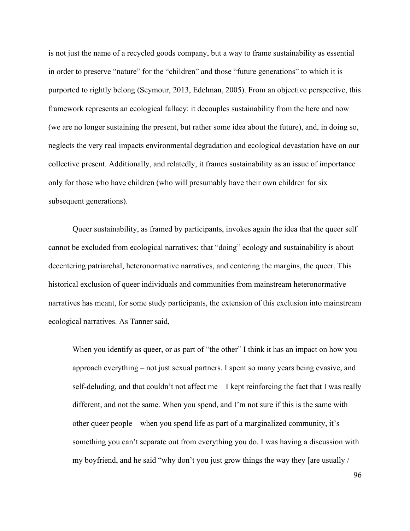is not just the name of a recycled goods company, but a way to frame sustainability as essential in order to preserve "nature" for the "children" and those "future generations" to which it is purported to rightly belong (Seymour, 2013, Edelman, 2005). From an objective perspective, this framework represents an ecological fallacy: it decouples sustainability from the here and now (we are no longer sustaining the present, but rather some idea about the future), and, in doing so, neglects the very real impacts environmental degradation and ecological devastation have on our collective present. Additionally, and relatedly, it frames sustainability as an issue of importance only for those who have children (who will presumably have their own children for six subsequent generations).

Queer sustainability, as framed by participants, invokes again the idea that the queer self cannot be excluded from ecological narratives; that "doing" ecology and sustainability is about decentering patriarchal, heteronormative narratives, and centering the margins, the queer. This historical exclusion of queer individuals and communities from mainstream heteronormative narratives has meant, for some study participants, the extension of this exclusion into mainstream ecological narratives. As Tanner said,

When you identify as queer, or as part of "the other" I think it has an impact on how you approach everything – not just sexual partners. I spent so many years being evasive, and self-deluding, and that couldn't not affect me – I kept reinforcing the fact that I was really different, and not the same. When you spend, and I'm not sure if this is the same with other queer people – when you spend life as part of a marginalized community, it's something you can't separate out from everything you do. I was having a discussion with my boyfriend, and he said "why don't you just grow things the way they [are usually /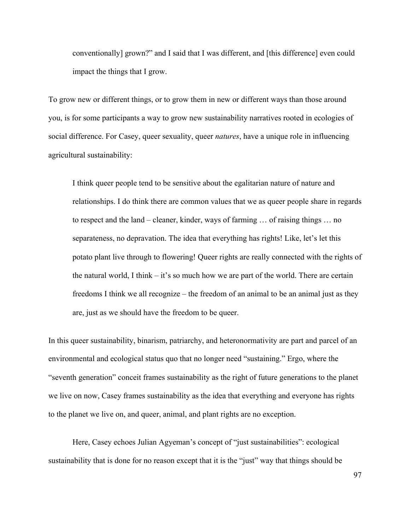conventionally] grown?" and I said that I was different, and [this difference] even could impact the things that I grow.

To grow new or different things, or to grow them in new or different ways than those around you, is for some participants a way to grow new sustainability narratives rooted in ecologies of social difference. For Casey, queer sexuality, queer *natures*, have a unique role in influencing agricultural sustainability:

I think queer people tend to be sensitive about the egalitarian nature of nature and relationships. I do think there are common values that we as queer people share in regards to respect and the land – cleaner, kinder, ways of farming … of raising things … no separateness, no depravation. The idea that everything has rights! Like, let's let this potato plant live through to flowering! Queer rights are really connected with the rights of the natural world, I think – it's so much how we are part of the world. There are certain freedoms I think we all recognize – the freedom of an animal to be an animal just as they are, just as we should have the freedom to be queer.

In this queer sustainability, binarism, patriarchy, and heteronormativity are part and parcel of an environmental and ecological status quo that no longer need "sustaining." Ergo, where the "seventh generation" conceit frames sustainability as the right of future generations to the planet we live on now, Casey frames sustainability as the idea that everything and everyone has rights to the planet we live on, and queer, animal, and plant rights are no exception.

Here, Casey echoes Julian Agyeman's concept of "just sustainabilities": ecological sustainability that is done for no reason except that it is the "just" way that things should be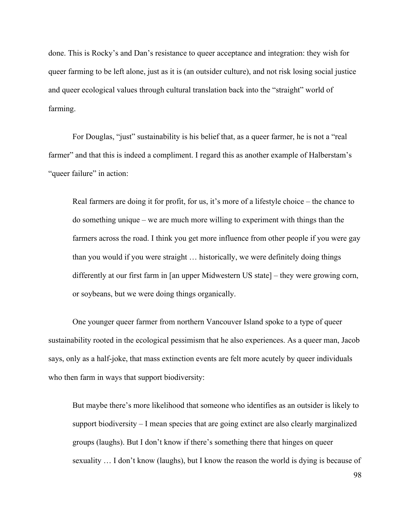done. This is Rocky's and Dan's resistance to queer acceptance and integration: they wish for queer farming to be left alone, just as it is (an outsider culture), and not risk losing social justice and queer ecological values through cultural translation back into the "straight" world of farming.

For Douglas, "just" sustainability is his belief that, as a queer farmer, he is not a "real farmer" and that this is indeed a compliment. I regard this as another example of Halberstam's "queer failure" in action:

Real farmers are doing it for profit, for us, it's more of a lifestyle choice – the chance to do something unique – we are much more willing to experiment with things than the farmers across the road. I think you get more influence from other people if you were gay than you would if you were straight … historically, we were definitely doing things differently at our first farm in [an upper Midwestern US state] – they were growing corn, or soybeans, but we were doing things organically.

One younger queer farmer from northern Vancouver Island spoke to a type of queer sustainability rooted in the ecological pessimism that he also experiences. As a queer man, Jacob says, only as a half-joke, that mass extinction events are felt more acutely by queer individuals who then farm in ways that support biodiversity:

But maybe there's more likelihood that someone who identifies as an outsider is likely to support biodiversity – I mean species that are going extinct are also clearly marginalized groups (laughs). But I don't know if there's something there that hinges on queer sexuality … I don't know (laughs), but I know the reason the world is dying is because of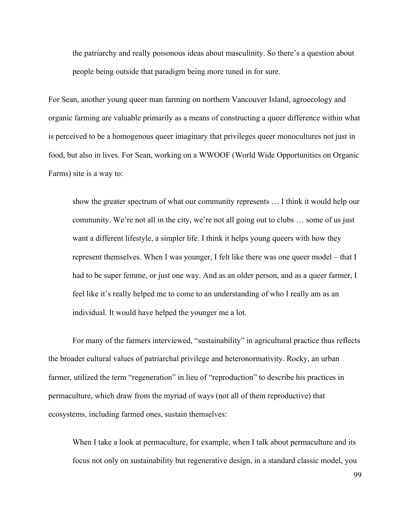the patriarchy and really poisonous ideas about masculinity. So there's a question about people being outside that paradigm being more tuned in for sure.

For Sean, another young queer man farming on northern Vancouver Island, agroecology and organic farming are valuable primarily as a means of constructing a queer difference within what is perceived to be a homogenous queer imaginary that privileges queer monocultures not just in food, but also in lives. For Sean, working on a WWOOF (World Wide Opportunities on Organic Farms) site is a way to:

show the greater spectrum of what our community represents … I think it would help our community. We're not all in the city, we're not all going out to clubs … some of us just want a different lifestyle, a simpler life. I think it helps young queers with how they represent themselves. When I was younger, I felt like there was one queer model – that I had to be super femme, or just one way. And as an older person, and as a queer farmer, I feel like it's really helped me to come to an understanding of who I really am as an individual. It would have helped the younger me a lot.

For many of the farmers interviewed, "sustainability" in agricultural practice thus reflects the broader cultural values of patriarchal privilege and heteronormativity. Rocky, an urban farmer, utilized the term "regeneration" in lieu of "reproduction" to describe his practices in permaculture, which draw from the myriad of ways (not all of them reproductive) that ecosystems, including farmed ones, sustain themselves:

When I take a look at permaculture, for example, when I talk about permaculture and its focus not only on sustainability but regenerative design, in a standard classic model, you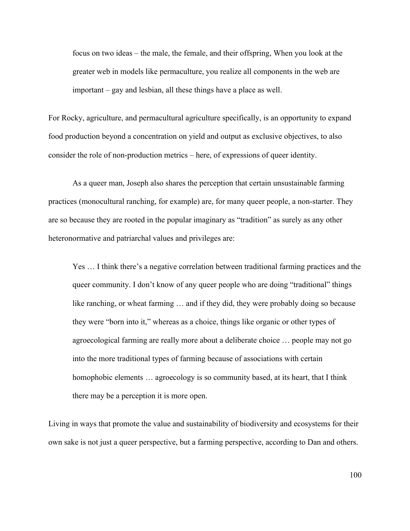focus on two ideas – the male, the female, and their offspring, When you look at the greater web in models like permaculture, you realize all components in the web are important – gay and lesbian, all these things have a place as well.

For Rocky, agriculture, and permacultural agriculture specifically, is an opportunity to expand food production beyond a concentration on yield and output as exclusive objectives, to also consider the role of non-production metrics – here, of expressions of queer identity.

As a queer man, Joseph also shares the perception that certain unsustainable farming practices (monocultural ranching, for example) are, for many queer people, a non-starter. They are so because they are rooted in the popular imaginary as "tradition" as surely as any other heteronormative and patriarchal values and privileges are:

Yes … I think there's a negative correlation between traditional farming practices and the queer community. I don't know of any queer people who are doing "traditional" things like ranching, or wheat farming … and if they did, they were probably doing so because they were "born into it," whereas as a choice, things like organic or other types of agroecological farming are really more about a deliberate choice … people may not go into the more traditional types of farming because of associations with certain homophobic elements … agroecology is so community based, at its heart, that I think there may be a perception it is more open.

Living in ways that promote the value and sustainability of biodiversity and ecosystems for their own sake is not just a queer perspective, but a farming perspective, according to Dan and others.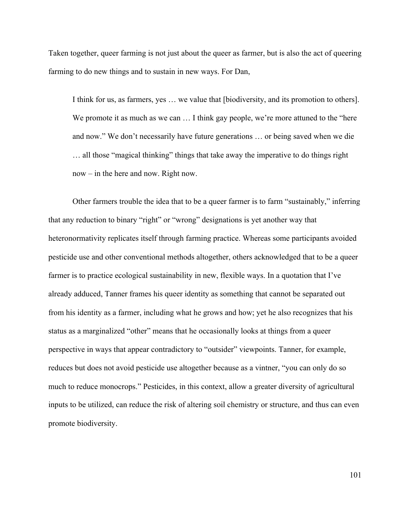Taken together, queer farming is not just about the queer as farmer, but is also the act of queering farming to do new things and to sustain in new ways. For Dan,

I think for us, as farmers, yes … we value that [biodiversity, and its promotion to others]. We promote it as much as we can ... I think gay people, we're more attuned to the "here" and now." We don't necessarily have future generations … or being saved when we die … all those "magical thinking" things that take away the imperative to do things right now – in the here and now. Right now.

Other farmers trouble the idea that to be a queer farmer is to farm "sustainably," inferring that any reduction to binary "right" or "wrong" designations is yet another way that heteronormativity replicates itself through farming practice. Whereas some participants avoided pesticide use and other conventional methods altogether, others acknowledged that to be a queer farmer is to practice ecological sustainability in new, flexible ways. In a quotation that I've already adduced, Tanner frames his queer identity as something that cannot be separated out from his identity as a farmer, including what he grows and how; yet he also recognizes that his status as a marginalized "other" means that he occasionally looks at things from a queer perspective in ways that appear contradictory to "outsider" viewpoints. Tanner, for example, reduces but does not avoid pesticide use altogether because as a vintner, "you can only do so much to reduce monocrops." Pesticides, in this context, allow a greater diversity of agricultural inputs to be utilized, can reduce the risk of altering soil chemistry or structure, and thus can even promote biodiversity.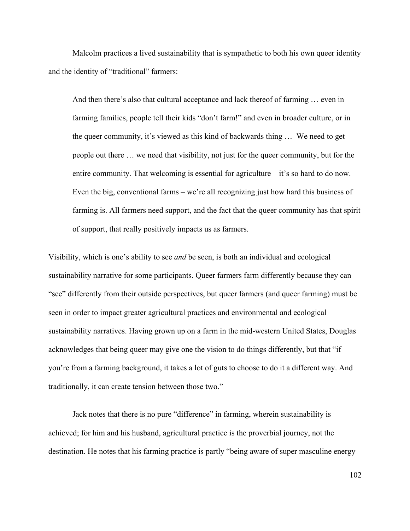Malcolm practices a lived sustainability that is sympathetic to both his own queer identity and the identity of "traditional" farmers:

And then there's also that cultural acceptance and lack thereof of farming … even in farming families, people tell their kids "don't farm!" and even in broader culture, or in the queer community, it's viewed as this kind of backwards thing … We need to get people out there … we need that visibility, not just for the queer community, but for the entire community. That welcoming is essential for agriculture – it's so hard to do now. Even the big, conventional farms – we're all recognizing just how hard this business of farming is. All farmers need support, and the fact that the queer community has that spirit of support, that really positively impacts us as farmers.

Visibility, which is one's ability to see *and* be seen, is both an individual and ecological sustainability narrative for some participants. Queer farmers farm differently because they can "see" differently from their outside perspectives, but queer farmers (and queer farming) must be seen in order to impact greater agricultural practices and environmental and ecological sustainability narratives. Having grown up on a farm in the mid-western United States, Douglas acknowledges that being queer may give one the vision to do things differently, but that "if you're from a farming background, it takes a lot of guts to choose to do it a different way. And traditionally, it can create tension between those two."

Jack notes that there is no pure "difference" in farming, wherein sustainability is achieved; for him and his husband, agricultural practice is the proverbial journey, not the destination. He notes that his farming practice is partly "being aware of super masculine energy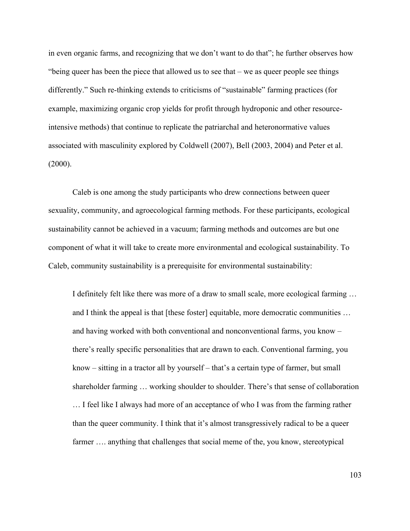in even organic farms, and recognizing that we don't want to do that"; he further observes how "being queer has been the piece that allowed us to see that – we as queer people see things differently." Such re-thinking extends to criticisms of "sustainable" farming practices (for example, maximizing organic crop yields for profit through hydroponic and other resourceintensive methods) that continue to replicate the patriarchal and heteronormative values associated with masculinity explored by Coldwell (2007), Bell (2003, 2004) and Peter et al.  $(2000)$ .

Caleb is one among the study participants who drew connections between queer sexuality, community, and agroecological farming methods. For these participants, ecological sustainability cannot be achieved in a vacuum; farming methods and outcomes are but one component of what it will take to create more environmental and ecological sustainability. To Caleb, community sustainability is a prerequisite for environmental sustainability:

I definitely felt like there was more of a draw to small scale, more ecological farming … and I think the appeal is that [these foster] equitable, more democratic communities ... and having worked with both conventional and nonconventional farms, you know – there's really specific personalities that are drawn to each. Conventional farming, you know – sitting in a tractor all by yourself – that's a certain type of farmer, but small shareholder farming … working shoulder to shoulder. There's that sense of collaboration … I feel like I always had more of an acceptance of who I was from the farming rather than the queer community. I think that it's almost transgressively radical to be a queer farmer .... anything that challenges that social meme of the, you know, stereotypical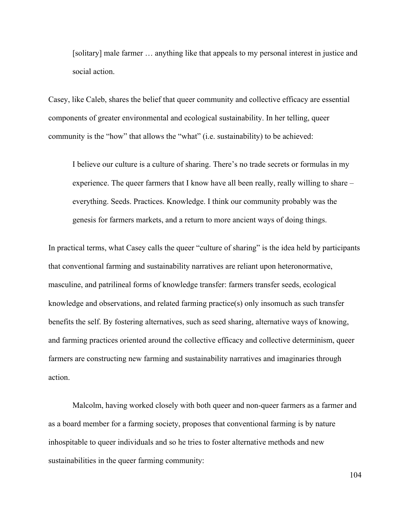[solitary] male farmer … anything like that appeals to my personal interest in justice and social action.

Casey, like Caleb, shares the belief that queer community and collective efficacy are essential components of greater environmental and ecological sustainability. In her telling, queer community is the "how" that allows the "what" (i.e. sustainability) to be achieved:

I believe our culture is a culture of sharing. There's no trade secrets or formulas in my experience. The queer farmers that I know have all been really, really willing to share – everything. Seeds. Practices. Knowledge. I think our community probably was the genesis for farmers markets, and a return to more ancient ways of doing things.

In practical terms, what Casey calls the queer "culture of sharing" is the idea held by participants that conventional farming and sustainability narratives are reliant upon heteronormative, masculine, and patrilineal forms of knowledge transfer: farmers transfer seeds, ecological knowledge and observations, and related farming practice(s) only insomuch as such transfer benefits the self. By fostering alternatives, such as seed sharing, alternative ways of knowing, and farming practices oriented around the collective efficacy and collective determinism, queer farmers are constructing new farming and sustainability narratives and imaginaries through action.

Malcolm, having worked closely with both queer and non-queer farmers as a farmer and as a board member for a farming society, proposes that conventional farming is by nature inhospitable to queer individuals and so he tries to foster alternative methods and new sustainabilities in the queer farming community: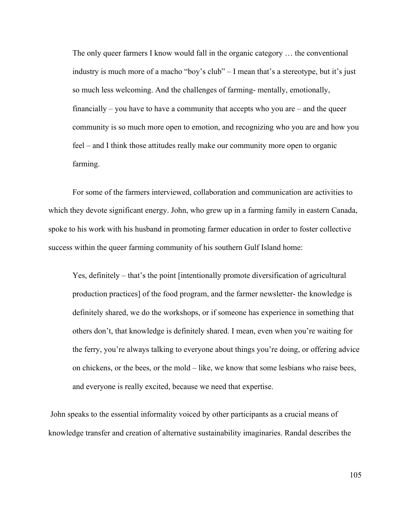The only queer farmers I know would fall in the organic category … the conventional industry is much more of a macho "boy's club" – I mean that's a stereotype, but it's just so much less welcoming. And the challenges of farming- mentally, emotionally, financially  $-$  you have to have a community that accepts who you are  $-$  and the queer community is so much more open to emotion, and recognizing who you are and how you feel – and I think those attitudes really make our community more open to organic farming.

For some of the farmers interviewed, collaboration and communication are activities to which they devote significant energy. John, who grew up in a farming family in eastern Canada, spoke to his work with his husband in promoting farmer education in order to foster collective success within the queer farming community of his southern Gulf Island home:

Yes, definitely – that's the point [intentionally promote diversification of agricultural production practices] of the food program, and the farmer newsletter- the knowledge is definitely shared, we do the workshops, or if someone has experience in something that others don't, that knowledge is definitely shared. I mean, even when you're waiting for the ferry, you're always talking to everyone about things you're doing, or offering advice on chickens, or the bees, or the mold – like, we know that some lesbians who raise bees, and everyone is really excited, because we need that expertise.

John speaks to the essential informality voiced by other participants as a crucial means of knowledge transfer and creation of alternative sustainability imaginaries. Randal describes the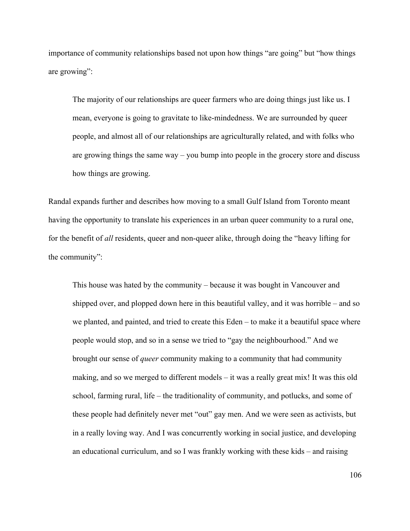importance of community relationships based not upon how things "are going" but "how things are growing":

The majority of our relationships are queer farmers who are doing things just like us. I mean, everyone is going to gravitate to like-mindedness. We are surrounded by queer people, and almost all of our relationships are agriculturally related, and with folks who are growing things the same way – you bump into people in the grocery store and discuss how things are growing.

Randal expands further and describes how moving to a small Gulf Island from Toronto meant having the opportunity to translate his experiences in an urban queer community to a rural one, for the benefit of *all* residents, queer and non-queer alike, through doing the "heavy lifting for the community":

This house was hated by the community – because it was bought in Vancouver and shipped over, and plopped down here in this beautiful valley, and it was horrible – and so we planted, and painted, and tried to create this Eden – to make it a beautiful space where people would stop, and so in a sense we tried to "gay the neighbourhood." And we brought our sense of *queer* community making to a community that had community making, and so we merged to different models – it was a really great mix! It was this old school, farming rural, life – the traditionality of community, and potlucks, and some of these people had definitely never met "out" gay men. And we were seen as activists, but in a really loving way. And I was concurrently working in social justice, and developing an educational curriculum, and so I was frankly working with these kids – and raising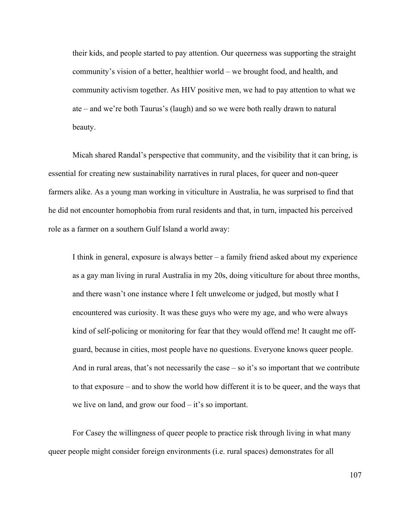their kids, and people started to pay attention. Our queerness was supporting the straight community's vision of a better, healthier world – we brought food, and health, and community activism together. As HIV positive men, we had to pay attention to what we ate – and we're both Taurus's (laugh) and so we were both really drawn to natural beauty.

Micah shared Randal's perspective that community, and the visibility that it can bring, is essential for creating new sustainability narratives in rural places, for queer and non-queer farmers alike. As a young man working in viticulture in Australia, he was surprised to find that he did not encounter homophobia from rural residents and that, in turn, impacted his perceived role as a farmer on a southern Gulf Island a world away:

I think in general, exposure is always better – a family friend asked about my experience as a gay man living in rural Australia in my 20s, doing viticulture for about three months, and there wasn't one instance where I felt unwelcome or judged, but mostly what I encountered was curiosity. It was these guys who were my age, and who were always kind of self-policing or monitoring for fear that they would offend me! It caught me offguard, because in cities, most people have no questions. Everyone knows queer people. And in rural areas, that's not necessarily the case  $-$  so it's so important that we contribute to that exposure – and to show the world how different it is to be queer, and the ways that we live on land, and grow our food – it's so important.

For Casey the willingness of queer people to practice risk through living in what many queer people might consider foreign environments (i.e. rural spaces) demonstrates for all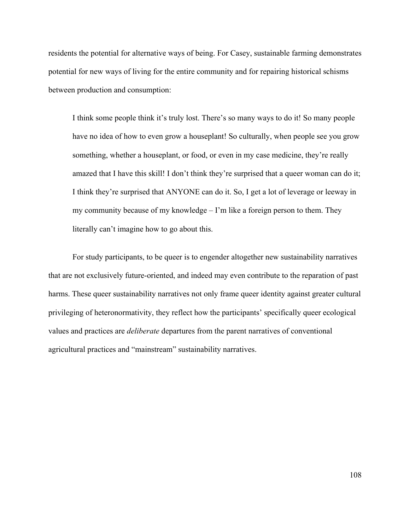residents the potential for alternative ways of being. For Casey, sustainable farming demonstrates potential for new ways of living for the entire community and for repairing historical schisms between production and consumption:

I think some people think it's truly lost. There's so many ways to do it! So many people have no idea of how to even grow a houseplant! So culturally, when people see you grow something, whether a houseplant, or food, or even in my case medicine, they're really amazed that I have this skill! I don't think they're surprised that a queer woman can do it; I think they're surprised that ANYONE can do it. So, I get a lot of leverage or leeway in my community because of my knowledge – I'm like a foreign person to them. They literally can't imagine how to go about this.

For study participants, to be queer is to engender altogether new sustainability narratives that are not exclusively future-oriented, and indeed may even contribute to the reparation of past harms. These queer sustainability narratives not only frame queer identity against greater cultural privileging of heteronormativity, they reflect how the participants' specifically queer ecological values and practices are *deliberate* departures from the parent narratives of conventional agricultural practices and "mainstream" sustainability narratives.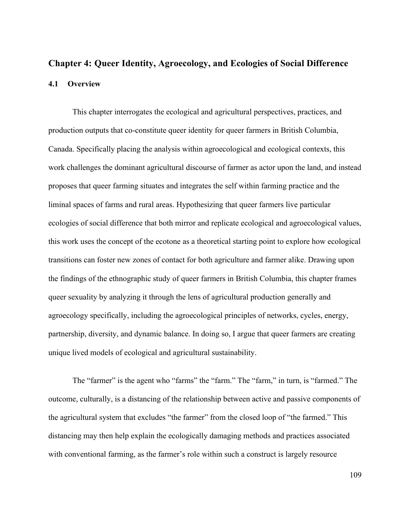# **Chapter 4: Queer Identity, Agroecology, and Ecologies of Social Difference 4.1 Overview**

This chapter interrogates the ecological and agricultural perspectives, practices, and production outputs that co-constitute queer identity for queer farmers in British Columbia, Canada. Specifically placing the analysis within agroecological and ecological contexts, this work challenges the dominant agricultural discourse of farmer as actor upon the land, and instead proposes that queer farming situates and integrates the self within farming practice and the liminal spaces of farms and rural areas. Hypothesizing that queer farmers live particular ecologies of social difference that both mirror and replicate ecological and agroecological values, this work uses the concept of the ecotone as a theoretical starting point to explore how ecological transitions can foster new zones of contact for both agriculture and farmer alike. Drawing upon the findings of the ethnographic study of queer farmers in British Columbia, this chapter frames queer sexuality by analyzing it through the lens of agricultural production generally and agroecology specifically, including the agroecological principles of networks, cycles, energy, partnership, diversity, and dynamic balance. In doing so, I argue that queer farmers are creating unique lived models of ecological and agricultural sustainability.

The "farmer" is the agent who "farms" the "farm." The "farm," in turn, is "farmed." The outcome, culturally, is a distancing of the relationship between active and passive components of the agricultural system that excludes "the farmer" from the closed loop of "the farmed." This distancing may then help explain the ecologically damaging methods and practices associated with conventional farming, as the farmer's role within such a construct is largely resource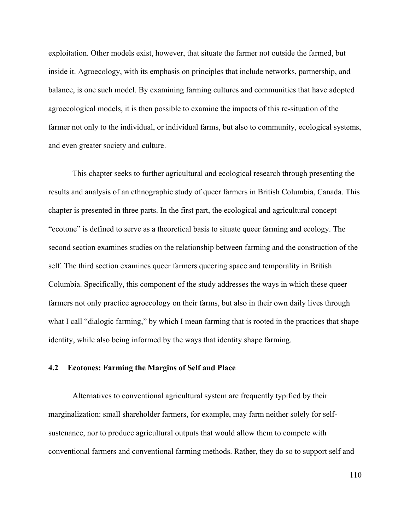exploitation. Other models exist, however, that situate the farmer not outside the farmed, but inside it. Agroecology, with its emphasis on principles that include networks, partnership, and balance, is one such model. By examining farming cultures and communities that have adopted agroecological models, it is then possible to examine the impacts of this re-situation of the farmer not only to the individual, or individual farms, but also to community, ecological systems, and even greater society and culture.

This chapter seeks to further agricultural and ecological research through presenting the results and analysis of an ethnographic study of queer farmers in British Columbia, Canada. This chapter is presented in three parts. In the first part, the ecological and agricultural concept "ecotone" is defined to serve as a theoretical basis to situate queer farming and ecology. The second section examines studies on the relationship between farming and the construction of the self. The third section examines queer farmers queering space and temporality in British Columbia. Specifically, this component of the study addresses the ways in which these queer farmers not only practice agroecology on their farms, but also in their own daily lives through what I call "dialogic farming," by which I mean farming that is rooted in the practices that shape identity, while also being informed by the ways that identity shape farming.

### **4.2 Ecotones: Farming the Margins of Self and Place**

Alternatives to conventional agricultural system are frequently typified by their marginalization: small shareholder farmers, for example, may farm neither solely for selfsustenance, nor to produce agricultural outputs that would allow them to compete with conventional farmers and conventional farming methods. Rather, they do so to support self and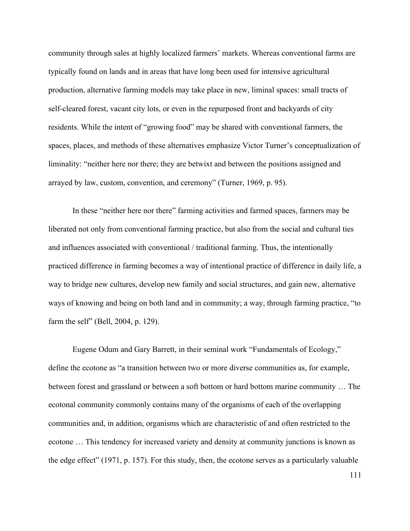community through sales at highly localized farmers' markets. Whereas conventional farms are typically found on lands and in areas that have long been used for intensive agricultural production, alternative farming models may take place in new, liminal spaces: small tracts of self-cleared forest, vacant city lots, or even in the repurposed front and backyards of city residents. While the intent of "growing food" may be shared with conventional farmers, the spaces, places, and methods of these alternatives emphasize Victor Turner's conceptualization of liminality: "neither here nor there; they are betwixt and between the positions assigned and arrayed by law, custom, convention, and ceremony" (Turner, 1969, p. 95).

In these "neither here nor there" farming activities and farmed spaces, farmers may be liberated not only from conventional farming practice, but also from the social and cultural ties and influences associated with conventional / traditional farming. Thus, the intentionally practiced difference in farming becomes a way of intentional practice of difference in daily life, a way to bridge new cultures, develop new family and social structures, and gain new, alternative ways of knowing and being on both land and in community; a way, through farming practice, "to farm the self" (Bell, 2004, p. 129).

Eugene Odum and Gary Barrett, in their seminal work "Fundamentals of Ecology," define the ecotone as "a transition between two or more diverse communities as, for example, between forest and grassland or between a soft bottom or hard bottom marine community … The ecotonal community commonly contains many of the organisms of each of the overlapping communities and, in addition, organisms which are characteristic of and often restricted to the ecotone … This tendency for increased variety and density at community junctions is known as the edge effect" (1971, p. 157). For this study, then, the ecotone serves as a particularly valuable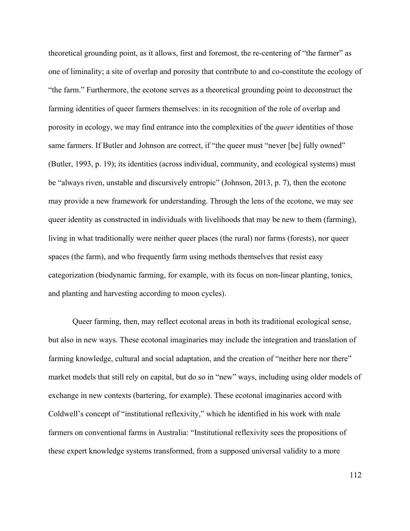theoretical grounding point, as it allows, first and foremost, the re-centering of "the farmer" as one of liminality; a site of overlap and porosity that contribute to and co-constitute the ecology of "the farm." Furthermore, the ecotone serves as a theoretical grounding point to deconstruct the farming identities of queer farmers themselves: in its recognition of the role of overlap and porosity in ecology, we may find entrance into the complexities of the *queer* identities of those same farmers. If Butler and Johnson are correct, if "the queer must "never [be] fully owned" (Butler, 1993, p. 19); its identities (across individual, community, and ecological systems) must be "always riven, unstable and discursively entropic" (Johnson, 2013, p. 7), then the ecotone may provide a new framework for understanding. Through the lens of the ecotone, we may see queer identity as constructed in individuals with livelihoods that may be new to them (farming), living in what traditionally were neither queer places (the rural) nor farms (forests), nor queer spaces (the farm), and who frequently farm using methods themselves that resist easy categorization (biodynamic farming, for example, with its focus on non-linear planting, tonics, and planting and harvesting according to moon cycles).

Queer farming, then, may reflect ecotonal areas in both its traditional ecological sense, but also in new ways. These ecotonal imaginaries may include the integration and translation of farming knowledge, cultural and social adaptation, and the creation of "neither here nor there" market models that still rely on capital, but do so in "new" ways, including using older models of exchange in new contexts (bartering, for example). These ecotonal imaginaries accord with Coldwell's concept of "institutional reflexivity," which he identified in his work with male farmers on conventional farms in Australia: "Institutional reflexivity sees the propositions of these expert knowledge systems transformed, from a supposed universal validity to a more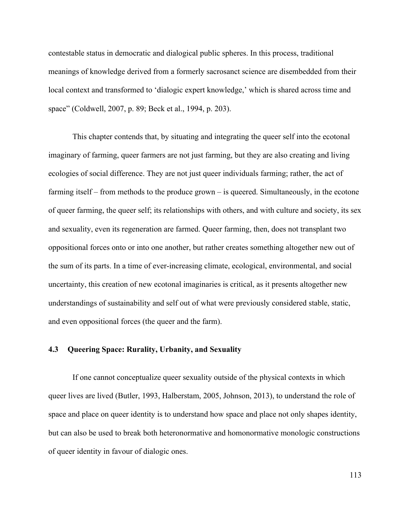contestable status in democratic and dialogical public spheres. In this process, traditional meanings of knowledge derived from a formerly sacrosanct science are disembedded from their local context and transformed to 'dialogic expert knowledge,' which is shared across time and space" (Coldwell, 2007, p. 89; Beck et al., 1994, p. 203).

This chapter contends that, by situating and integrating the queer self into the ecotonal imaginary of farming, queer farmers are not just farming, but they are also creating and living ecologies of social difference. They are not just queer individuals farming; rather, the act of farming itself – from methods to the produce grown – is queered. Simultaneously, in the ecotone of queer farming, the queer self; its relationships with others, and with culture and society, its sex and sexuality, even its regeneration are farmed. Queer farming, then, does not transplant two oppositional forces onto or into one another, but rather creates something altogether new out of the sum of its parts. In a time of ever-increasing climate, ecological, environmental, and social uncertainty, this creation of new ecotonal imaginaries is critical, as it presents altogether new understandings of sustainability and self out of what were previously considered stable, static, and even oppositional forces (the queer and the farm).

#### **4.3 Queering Space: Rurality, Urbanity, and Sexuality**

If one cannot conceptualize queer sexuality outside of the physical contexts in which queer lives are lived (Butler, 1993, Halberstam, 2005, Johnson, 2013), to understand the role of space and place on queer identity is to understand how space and place not only shapes identity, but can also be used to break both heteronormative and homonormative monologic constructions of queer identity in favour of dialogic ones.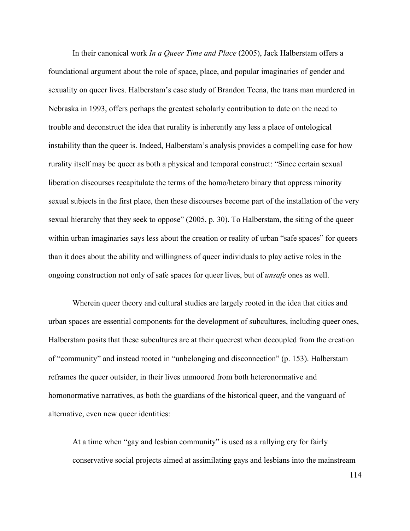In their canonical work *In a Queer Time and Place* (2005), Jack Halberstam offers a foundational argument about the role of space, place, and popular imaginaries of gender and sexuality on queer lives. Halberstam's case study of Brandon Teena, the trans man murdered in Nebraska in 1993, offers perhaps the greatest scholarly contribution to date on the need to trouble and deconstruct the idea that rurality is inherently any less a place of ontological instability than the queer is. Indeed, Halberstam's analysis provides a compelling case for how rurality itself may be queer as both a physical and temporal construct: "Since certain sexual liberation discourses recapitulate the terms of the homo/hetero binary that oppress minority sexual subjects in the first place, then these discourses become part of the installation of the very sexual hierarchy that they seek to oppose" (2005, p. 30). To Halberstam, the siting of the queer within urban imaginaries says less about the creation or reality of urban "safe spaces" for queers than it does about the ability and willingness of queer individuals to play active roles in the ongoing construction not only of safe spaces for queer lives, but of *unsafe* ones as well.

Wherein queer theory and cultural studies are largely rooted in the idea that cities and urban spaces are essential components for the development of subcultures, including queer ones, Halberstam posits that these subcultures are at their queerest when decoupled from the creation of "community" and instead rooted in "unbelonging and disconnection" (p. 153). Halberstam reframes the queer outsider, in their lives unmoored from both heteronormative and homonormative narratives, as both the guardians of the historical queer, and the vanguard of alternative, even new queer identities:

At a time when "gay and lesbian community" is used as a rallying cry for fairly conservative social projects aimed at assimilating gays and lesbians into the mainstream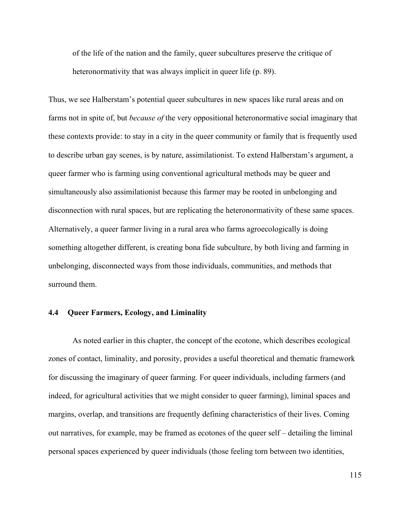of the life of the nation and the family, queer subcultures preserve the critique of heteronormativity that was always implicit in queer life (p. 89).

Thus, we see Halberstam's potential queer subcultures in new spaces like rural areas and on farms not in spite of, but *because of* the very oppositional heteronormative social imaginary that these contexts provide: to stay in a city in the queer community or family that is frequently used to describe urban gay scenes, is by nature, assimilationist. To extend Halberstam's argument, a queer farmer who is farming using conventional agricultural methods may be queer and simultaneously also assimilationist because this farmer may be rooted in unbelonging and disconnection with rural spaces, but are replicating the heteronormativity of these same spaces. Alternatively, a queer farmer living in a rural area who farms agroecologically is doing something altogether different, is creating bona fide subculture, by both living and farming in unbelonging, disconnected ways from those individuals, communities, and methods that surround them.

#### **4.4 Queer Farmers, Ecology, and Liminality**

As noted earlier in this chapter, the concept of the ecotone, which describes ecological zones of contact, liminality, and porosity, provides a useful theoretical and thematic framework for discussing the imaginary of queer farming. For queer individuals, including farmers (and indeed, for agricultural activities that we might consider to queer farming), liminal spaces and margins, overlap, and transitions are frequently defining characteristics of their lives. Coming out narratives, for example, may be framed as ecotones of the queer self – detailing the liminal personal spaces experienced by queer individuals (those feeling torn between two identities,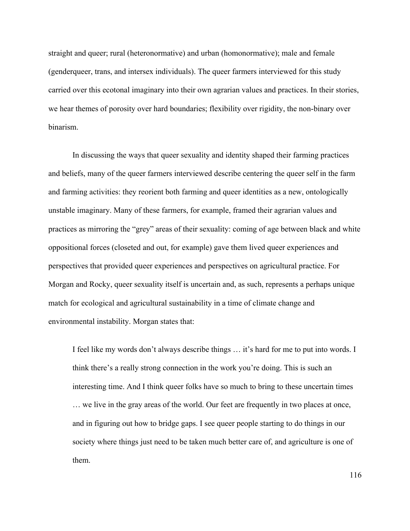straight and queer; rural (heteronormative) and urban (homonormative); male and female (genderqueer, trans, and intersex individuals). The queer farmers interviewed for this study carried over this ecotonal imaginary into their own agrarian values and practices. In their stories, we hear themes of porosity over hard boundaries; flexibility over rigidity, the non-binary over binarism.

In discussing the ways that queer sexuality and identity shaped their farming practices and beliefs, many of the queer farmers interviewed describe centering the queer self in the farm and farming activities: they reorient both farming and queer identities as a new, ontologically unstable imaginary. Many of these farmers, for example, framed their agrarian values and practices as mirroring the "grey" areas of their sexuality: coming of age between black and white oppositional forces (closeted and out, for example) gave them lived queer experiences and perspectives that provided queer experiences and perspectives on agricultural practice. For Morgan and Rocky, queer sexuality itself is uncertain and, as such, represents a perhaps unique match for ecological and agricultural sustainability in a time of climate change and environmental instability. Morgan states that:

I feel like my words don't always describe things … it's hard for me to put into words. I think there's a really strong connection in the work you're doing. This is such an interesting time. And I think queer folks have so much to bring to these uncertain times … we live in the gray areas of the world. Our feet are frequently in two places at once, and in figuring out how to bridge gaps. I see queer people starting to do things in our society where things just need to be taken much better care of, and agriculture is one of them.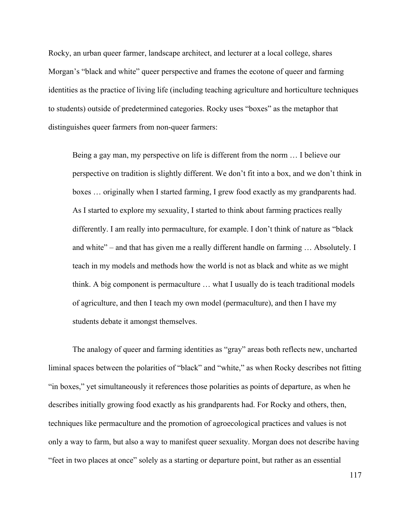Rocky, an urban queer farmer, landscape architect, and lecturer at a local college, shares Morgan's "black and white" queer perspective and frames the ecotone of queer and farming identities as the practice of living life (including teaching agriculture and horticulture techniques to students) outside of predetermined categories. Rocky uses "boxes" as the metaphor that distinguishes queer farmers from non-queer farmers:

Being a gay man, my perspective on life is different from the norm … I believe our perspective on tradition is slightly different. We don't fit into a box, and we don't think in boxes … originally when I started farming, I grew food exactly as my grandparents had. As I started to explore my sexuality, I started to think about farming practices really differently. I am really into permaculture, for example. I don't think of nature as "black and white" – and that has given me a really different handle on farming … Absolutely. I teach in my models and methods how the world is not as black and white as we might think. A big component is permaculture … what I usually do is teach traditional models of agriculture, and then I teach my own model (permaculture), and then I have my students debate it amongst themselves.

The analogy of queer and farming identities as "gray" areas both reflects new, uncharted liminal spaces between the polarities of "black" and "white," as when Rocky describes not fitting "in boxes," yet simultaneously it references those polarities as points of departure, as when he describes initially growing food exactly as his grandparents had. For Rocky and others, then, techniques like permaculture and the promotion of agroecological practices and values is not only a way to farm, but also a way to manifest queer sexuality. Morgan does not describe having "feet in two places at once" solely as a starting or departure point, but rather as an essential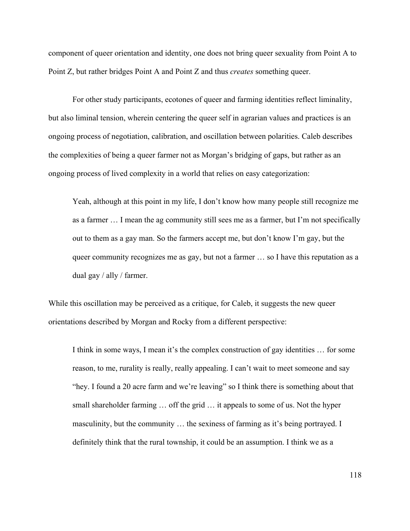component of queer orientation and identity, one does not bring queer sexuality from Point A to Point Z, but rather bridges Point A and Point Z and thus *creates* something queer.

For other study participants, ecotones of queer and farming identities reflect liminality, but also liminal tension, wherein centering the queer self in agrarian values and practices is an ongoing process of negotiation, calibration, and oscillation between polarities. Caleb describes the complexities of being a queer farmer not as Morgan's bridging of gaps, but rather as an ongoing process of lived complexity in a world that relies on easy categorization:

Yeah, although at this point in my life, I don't know how many people still recognize me as a farmer … I mean the ag community still sees me as a farmer, but I'm not specifically out to them as a gay man. So the farmers accept me, but don't know I'm gay, but the queer community recognizes me as gay, but not a farmer … so I have this reputation as a dual gay / ally / farmer.

While this oscillation may be perceived as a critique, for Caleb, it suggests the new queer orientations described by Morgan and Rocky from a different perspective:

I think in some ways, I mean it's the complex construction of gay identities … for some reason, to me, rurality is really, really appealing. I can't wait to meet someone and say "hey. I found a 20 acre farm and we're leaving" so I think there is something about that small shareholder farming … off the grid … it appeals to some of us. Not the hyper masculinity, but the community … the sexiness of farming as it's being portrayed. I definitely think that the rural township, it could be an assumption. I think we as a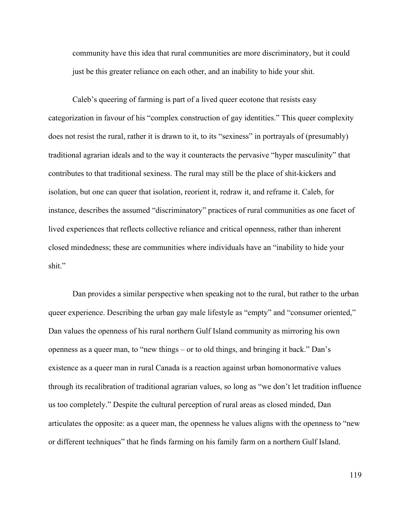community have this idea that rural communities are more discriminatory, but it could just be this greater reliance on each other, and an inability to hide your shit.

Caleb's queering of farming is part of a lived queer ecotone that resists easy categorization in favour of his "complex construction of gay identities." This queer complexity does not resist the rural, rather it is drawn to it, to its "sexiness" in portrayals of (presumably) traditional agrarian ideals and to the way it counteracts the pervasive "hyper masculinity" that contributes to that traditional sexiness. The rural may still be the place of shit-kickers and isolation, but one can queer that isolation, reorient it, redraw it, and reframe it. Caleb, for instance, describes the assumed "discriminatory" practices of rural communities as one facet of lived experiences that reflects collective reliance and critical openness, rather than inherent closed mindedness; these are communities where individuals have an "inability to hide your shit."

Dan provides a similar perspective when speaking not to the rural, but rather to the urban queer experience. Describing the urban gay male lifestyle as "empty" and "consumer oriented," Dan values the openness of his rural northern Gulf Island community as mirroring his own openness as a queer man, to "new things – or to old things, and bringing it back." Dan's existence as a queer man in rural Canada is a reaction against urban homonormative values through its recalibration of traditional agrarian values, so long as "we don't let tradition influence us too completely." Despite the cultural perception of rural areas as closed minded, Dan articulates the opposite: as a queer man, the openness he values aligns with the openness to "new or different techniques" that he finds farming on his family farm on a northern Gulf Island.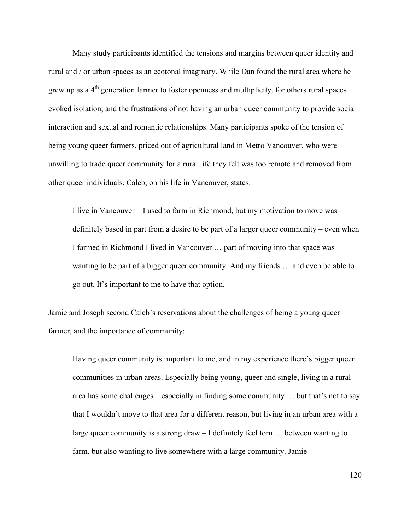Many study participants identified the tensions and margins between queer identity and rural and / or urban spaces as an ecotonal imaginary. While Dan found the rural area where he grew up as a  $4<sup>th</sup>$  generation farmer to foster openness and multiplicity, for others rural spaces evoked isolation, and the frustrations of not having an urban queer community to provide social interaction and sexual and romantic relationships. Many participants spoke of the tension of being young queer farmers, priced out of agricultural land in Metro Vancouver, who were unwilling to trade queer community for a rural life they felt was too remote and removed from other queer individuals. Caleb, on his life in Vancouver, states:

I live in Vancouver – I used to farm in Richmond, but my motivation to move was definitely based in part from a desire to be part of a larger queer community – even when I farmed in Richmond I lived in Vancouver … part of moving into that space was wanting to be part of a bigger queer community. And my friends … and even be able to go out. It's important to me to have that option.

Jamie and Joseph second Caleb's reservations about the challenges of being a young queer farmer, and the importance of community:

Having queer community is important to me, and in my experience there's bigger queer communities in urban areas. Especially being young, queer and single, living in a rural area has some challenges – especially in finding some community … but that's not to say that I wouldn't move to that area for a different reason, but living in an urban area with a large queer community is a strong draw – I definitely feel torn … between wanting to farm, but also wanting to live somewhere with a large community. Jamie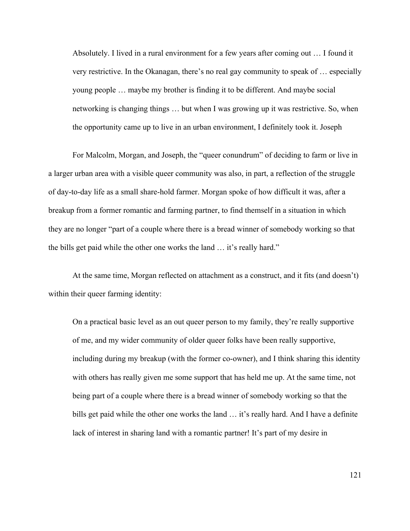Absolutely. I lived in a rural environment for a few years after coming out … I found it very restrictive. In the Okanagan, there's no real gay community to speak of … especially young people … maybe my brother is finding it to be different. And maybe social networking is changing things … but when I was growing up it was restrictive. So, when the opportunity came up to live in an urban environment, I definitely took it. Joseph

For Malcolm, Morgan, and Joseph, the "queer conundrum" of deciding to farm or live in a larger urban area with a visible queer community was also, in part, a reflection of the struggle of day-to-day life as a small share-hold farmer. Morgan spoke of how difficult it was, after a breakup from a former romantic and farming partner, to find themself in a situation in which they are no longer "part of a couple where there is a bread winner of somebody working so that the bills get paid while the other one works the land … it's really hard."

At the same time, Morgan reflected on attachment as a construct, and it fits (and doesn't) within their queer farming identity:

On a practical basic level as an out queer person to my family, they're really supportive of me, and my wider community of older queer folks have been really supportive, including during my breakup (with the former co-owner), and I think sharing this identity with others has really given me some support that has held me up. At the same time, not being part of a couple where there is a bread winner of somebody working so that the bills get paid while the other one works the land ... it's really hard. And I have a definite lack of interest in sharing land with a romantic partner! It's part of my desire in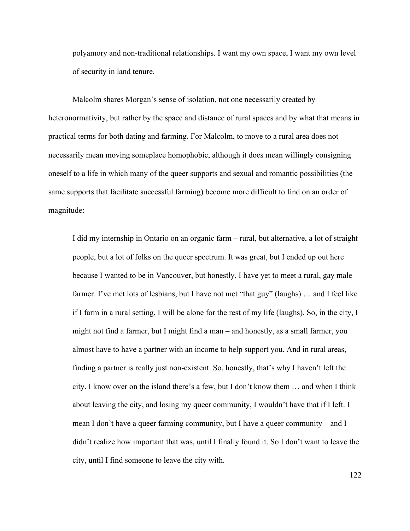polyamory and non-traditional relationships. I want my own space, I want my own level of security in land tenure.

Malcolm shares Morgan's sense of isolation, not one necessarily created by heteronormativity, but rather by the space and distance of rural spaces and by what that means in practical terms for both dating and farming. For Malcolm, to move to a rural area does not necessarily mean moving someplace homophobic, although it does mean willingly consigning oneself to a life in which many of the queer supports and sexual and romantic possibilities (the same supports that facilitate successful farming) become more difficult to find on an order of magnitude:

I did my internship in Ontario on an organic farm – rural, but alternative, a lot of straight people, but a lot of folks on the queer spectrum. It was great, but I ended up out here because I wanted to be in Vancouver, but honestly, I have yet to meet a rural, gay male farmer. I've met lots of lesbians, but I have not met "that guy" (laughs) ... and I feel like if I farm in a rural setting, I will be alone for the rest of my life (laughs). So, in the city, I might not find a farmer, but I might find a man – and honestly, as a small farmer, you almost have to have a partner with an income to help support you. And in rural areas, finding a partner is really just non-existent. So, honestly, that's why I haven't left the city. I know over on the island there's a few, but I don't know them … and when I think about leaving the city, and losing my queer community, I wouldn't have that if I left. I mean I don't have a queer farming community, but I have a queer community – and I didn't realize how important that was, until I finally found it. So I don't want to leave the city, until I find someone to leave the city with.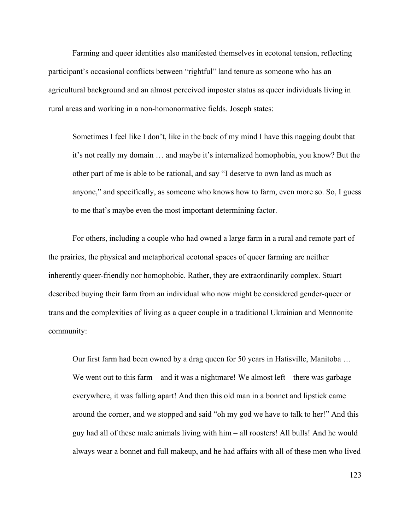Farming and queer identities also manifested themselves in ecotonal tension, reflecting participant's occasional conflicts between "rightful" land tenure as someone who has an agricultural background and an almost perceived imposter status as queer individuals living in rural areas and working in a non-homonormative fields. Joseph states:

Sometimes I feel like I don't, like in the back of my mind I have this nagging doubt that it's not really my domain … and maybe it's internalized homophobia, you know? But the other part of me is able to be rational, and say "I deserve to own land as much as anyone," and specifically, as someone who knows how to farm, even more so. So, I guess to me that's maybe even the most important determining factor.

For others, including a couple who had owned a large farm in a rural and remote part of the prairies, the physical and metaphorical ecotonal spaces of queer farming are neither inherently queer-friendly nor homophobic. Rather, they are extraordinarily complex. Stuart described buying their farm from an individual who now might be considered gender-queer or trans and the complexities of living as a queer couple in a traditional Ukrainian and Mennonite community:

Our first farm had been owned by a drag queen for 50 years in Hatisville, Manitoba … We went out to this farm – and it was a nightmare! We almost left – there was garbage everywhere, it was falling apart! And then this old man in a bonnet and lipstick came around the corner, and we stopped and said "oh my god we have to talk to her!" And this guy had all of these male animals living with him – all roosters! All bulls! And he would always wear a bonnet and full makeup, and he had affairs with all of these men who lived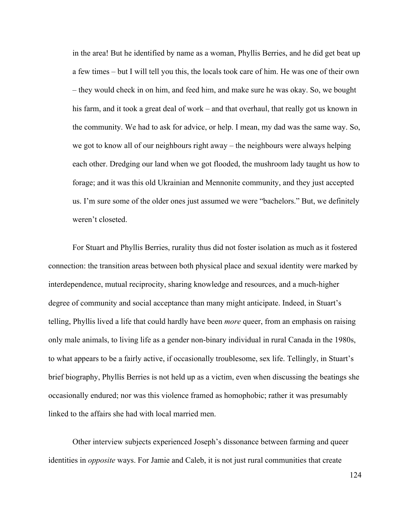in the area! But he identified by name as a woman, Phyllis Berries, and he did get beat up a few times – but I will tell you this, the locals took care of him. He was one of their own – they would check in on him, and feed him, and make sure he was okay. So, we bought his farm, and it took a great deal of work – and that overhaul, that really got us known in the community. We had to ask for advice, or help. I mean, my dad was the same way. So, we got to know all of our neighbours right away – the neighbours were always helping each other. Dredging our land when we got flooded, the mushroom lady taught us how to forage; and it was this old Ukrainian and Mennonite community, and they just accepted us. I'm sure some of the older ones just assumed we were "bachelors." But, we definitely weren't closeted.

For Stuart and Phyllis Berries, rurality thus did not foster isolation as much as it fostered connection: the transition areas between both physical place and sexual identity were marked by interdependence, mutual reciprocity, sharing knowledge and resources, and a much-higher degree of community and social acceptance than many might anticipate. Indeed, in Stuart's telling, Phyllis lived a life that could hardly have been *more* queer, from an emphasis on raising only male animals, to living life as a gender non-binary individual in rural Canada in the 1980s, to what appears to be a fairly active, if occasionally troublesome, sex life. Tellingly, in Stuart's brief biography, Phyllis Berries is not held up as a victim, even when discussing the beatings she occasionally endured; nor was this violence framed as homophobic; rather it was presumably linked to the affairs she had with local married men.

Other interview subjects experienced Joseph's dissonance between farming and queer identities in *opposite* ways. For Jamie and Caleb, it is not just rural communities that create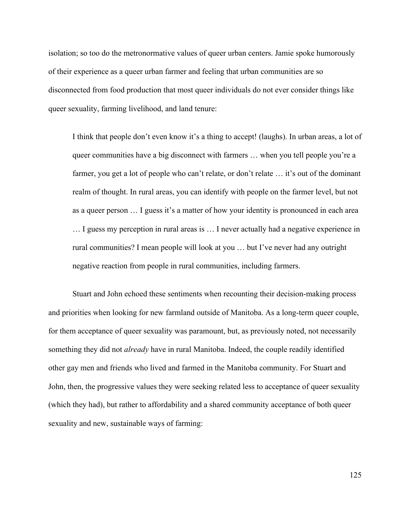isolation; so too do the metronormative values of queer urban centers. Jamie spoke humorously of their experience as a queer urban farmer and feeling that urban communities are so disconnected from food production that most queer individuals do not ever consider things like queer sexuality, farming livelihood, and land tenure:

I think that people don't even know it's a thing to accept! (laughs). In urban areas, a lot of queer communities have a big disconnect with farmers … when you tell people you're a farmer, you get a lot of people who can't relate, or don't relate ... it's out of the dominant realm of thought. In rural areas, you can identify with people on the farmer level, but not as a queer person … I guess it's a matter of how your identity is pronounced in each area … I guess my perception in rural areas is … I never actually had a negative experience in rural communities? I mean people will look at you … but I've never had any outright negative reaction from people in rural communities, including farmers.

Stuart and John echoed these sentiments when recounting their decision-making process and priorities when looking for new farmland outside of Manitoba. As a long-term queer couple, for them acceptance of queer sexuality was paramount, but, as previously noted, not necessarily something they did not *already* have in rural Manitoba. Indeed, the couple readily identified other gay men and friends who lived and farmed in the Manitoba community. For Stuart and John, then, the progressive values they were seeking related less to acceptance of queer sexuality (which they had), but rather to affordability and a shared community acceptance of both queer sexuality and new, sustainable ways of farming: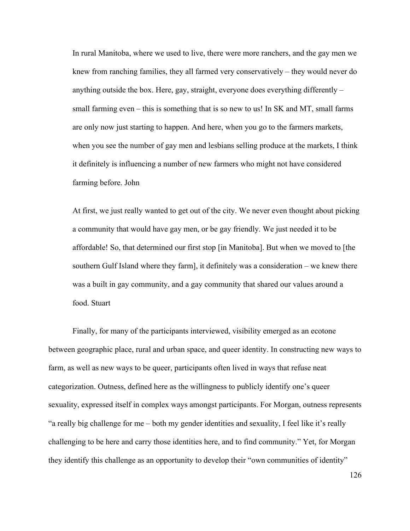In rural Manitoba, where we used to live, there were more ranchers, and the gay men we knew from ranching families, they all farmed very conservatively – they would never do anything outside the box. Here, gay, straight, everyone does everything differently – small farming even – this is something that is so new to us! In SK and MT, small farms are only now just starting to happen. And here, when you go to the farmers markets, when you see the number of gay men and lesbians selling produce at the markets, I think it definitely is influencing a number of new farmers who might not have considered farming before. John

At first, we just really wanted to get out of the city. We never even thought about picking a community that would have gay men, or be gay friendly. We just needed it to be affordable! So, that determined our first stop [in Manitoba]. But when we moved to [the southern Gulf Island where they farm], it definitely was a consideration – we knew there was a built in gay community, and a gay community that shared our values around a food. Stuart

Finally, for many of the participants interviewed, visibility emerged as an ecotone between geographic place, rural and urban space, and queer identity. In constructing new ways to farm, as well as new ways to be queer, participants often lived in ways that refuse neat categorization. Outness, defined here as the willingness to publicly identify one's queer sexuality, expressed itself in complex ways amongst participants. For Morgan, outness represents "a really big challenge for me – both my gender identities and sexuality, I feel like it's really challenging to be here and carry those identities here, and to find community." Yet, for Morgan they identify this challenge as an opportunity to develop their "own communities of identity"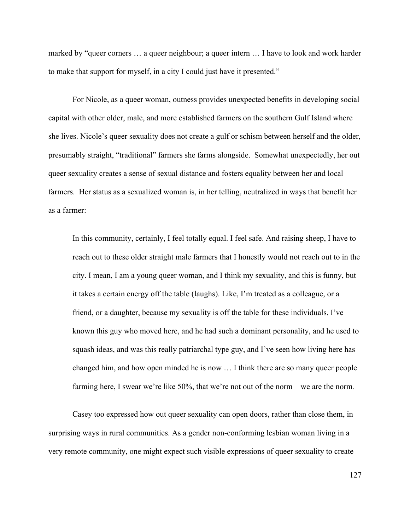marked by "queer corners … a queer neighbour; a queer intern … I have to look and work harder to make that support for myself, in a city I could just have it presented."

For Nicole, as a queer woman, outness provides unexpected benefits in developing social capital with other older, male, and more established farmers on the southern Gulf Island where she lives. Nicole's queer sexuality does not create a gulf or schism between herself and the older, presumably straight, "traditional" farmers she farms alongside. Somewhat unexpectedly, her out queer sexuality creates a sense of sexual distance and fosters equality between her and local farmers. Her status as a sexualized woman is, in her telling, neutralized in ways that benefit her as a farmer:

In this community, certainly, I feel totally equal. I feel safe. And raising sheep, I have to reach out to these older straight male farmers that I honestly would not reach out to in the city. I mean, I am a young queer woman, and I think my sexuality, and this is funny, but it takes a certain energy off the table (laughs). Like, I'm treated as a colleague, or a friend, or a daughter, because my sexuality is off the table for these individuals. I've known this guy who moved here, and he had such a dominant personality, and he used to squash ideas, and was this really patriarchal type guy, and I've seen how living here has changed him, and how open minded he is now … I think there are so many queer people farming here, I swear we're like 50%, that we're not out of the norm – we are the norm*.* 

Casey too expressed how out queer sexuality can open doors, rather than close them, in surprising ways in rural communities. As a gender non-conforming lesbian woman living in a very remote community, one might expect such visible expressions of queer sexuality to create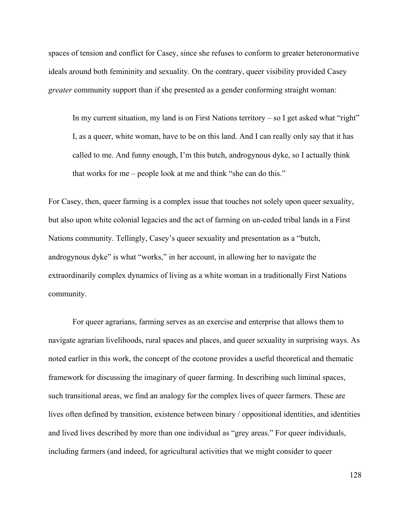spaces of tension and conflict for Casey, since she refuses to conform to greater heteronormative ideals around both femininity and sexuality. On the contrary, queer visibility provided Casey *greater* community support than if she presented as a gender conforming straight woman:

In my current situation, my land is on First Nations territory  $-$  so I get asked what "right" I, as a queer, white woman, have to be on this land. And I can really only say that it has called to me. And funny enough, I'm this butch, androgynous dyke, so I actually think that works for me – people look at me and think "she can do this."

For Casey, then, queer farming is a complex issue that touches not solely upon queer sexuality, but also upon white colonial legacies and the act of farming on un-ceded tribal lands in a First Nations community. Tellingly, Casey's queer sexuality and presentation as a "butch, androgynous dyke" is what "works," in her account, in allowing her to navigate the extraordinarily complex dynamics of living as a white woman in a traditionally First Nations community.

For queer agrarians, farming serves as an exercise and enterprise that allows them to navigate agrarian livelihoods, rural spaces and places, and queer sexuality in surprising ways. As noted earlier in this work, the concept of the ecotone provides a useful theoretical and thematic framework for discussing the imaginary of queer farming. In describing such liminal spaces, such transitional areas, we find an analogy for the complex lives of queer farmers. These are lives often defined by transition, existence between binary / oppositional identities, and identities and lived lives described by more than one individual as "grey areas." For queer individuals, including farmers (and indeed, for agricultural activities that we might consider to queer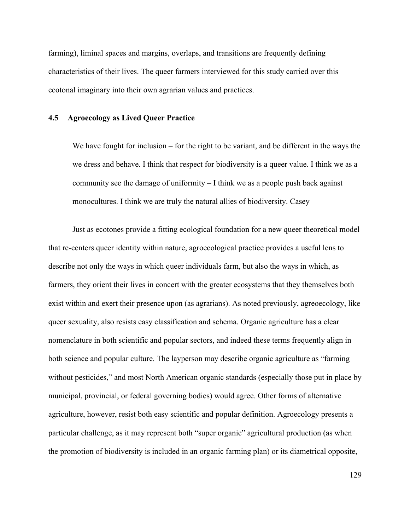farming), liminal spaces and margins, overlaps, and transitions are frequently defining characteristics of their lives. The queer farmers interviewed for this study carried over this ecotonal imaginary into their own agrarian values and practices.

## **4.5 Agroecology as Lived Queer Practice**

We have fought for inclusion – for the right to be variant, and be different in the ways the we dress and behave. I think that respect for biodiversity is a queer value. I think we as a community see the damage of uniformity – I think we as a people push back against monocultures. I think we are truly the natural allies of biodiversity. Casey

Just as ecotones provide a fitting ecological foundation for a new queer theoretical model that re-centers queer identity within nature, agroecological practice provides a useful lens to describe not only the ways in which queer individuals farm, but also the ways in which, as farmers, they orient their lives in concert with the greater ecosystems that they themselves both exist within and exert their presence upon (as agrarians). As noted previously, agreoecology, like queer sexuality, also resists easy classification and schema. Organic agriculture has a clear nomenclature in both scientific and popular sectors, and indeed these terms frequently align in both science and popular culture. The layperson may describe organic agriculture as "farming without pesticides," and most North American organic standards (especially those put in place by municipal, provincial, or federal governing bodies) would agree. Other forms of alternative agriculture, however, resist both easy scientific and popular definition. Agroecology presents a particular challenge, as it may represent both "super organic" agricultural production (as when the promotion of biodiversity is included in an organic farming plan) or its diametrical opposite,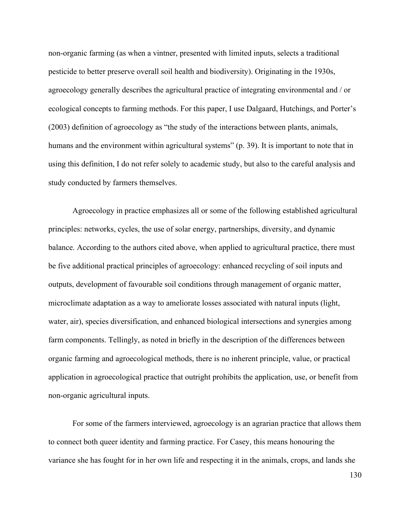non-organic farming (as when a vintner, presented with limited inputs, selects a traditional pesticide to better preserve overall soil health and biodiversity). Originating in the 1930s, agroecology generally describes the agricultural practice of integrating environmental and / or ecological concepts to farming methods. For this paper, I use Dalgaard, Hutchings, and Porter's (2003) definition of agroecology as "the study of the interactions between plants, animals, humans and the environment within agricultural systems" (p. 39). It is important to note that in using this definition, I do not refer solely to academic study, but also to the careful analysis and study conducted by farmers themselves.

Agroecology in practice emphasizes all or some of the following established agricultural principles: networks, cycles, the use of solar energy, partnerships, diversity, and dynamic balance. According to the authors cited above, when applied to agricultural practice, there must be five additional practical principles of agroecology: enhanced recycling of soil inputs and outputs, development of favourable soil conditions through management of organic matter, microclimate adaptation as a way to ameliorate losses associated with natural inputs (light, water, air), species diversification, and enhanced biological intersections and synergies among farm components. Tellingly, as noted in briefly in the description of the differences between organic farming and agroecological methods, there is no inherent principle, value, or practical application in agroecological practice that outright prohibits the application, use, or benefit from non-organic agricultural inputs.

For some of the farmers interviewed, agroecology is an agrarian practice that allows them to connect both queer identity and farming practice. For Casey, this means honouring the variance she has fought for in her own life and respecting it in the animals, crops, and lands she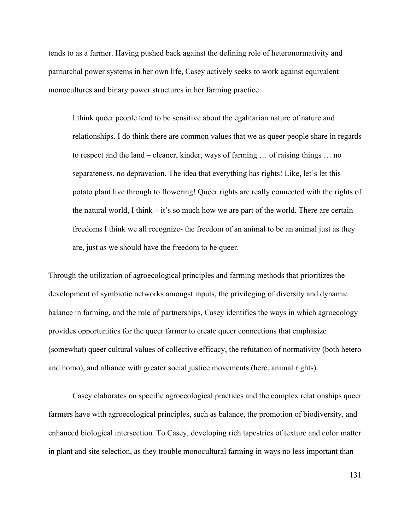tends to as a farmer. Having pushed back against the defining role of heteronormativity and patriarchal power systems in her own life, Casey actively seeks to work against equivalent monocultures and binary power structures in her farming practice:

I think queer people tend to be sensitive about the egalitarian nature of nature and relationships. I do think there are common values that we as queer people share in regards to respect and the land – cleaner, kinder, ways of farming … of raising things … no separateness, no depravation. The idea that everything has rights! Like, let's let this potato plant live through to flowering! Queer rights are really connected with the rights of the natural world, I think  $-$  it's so much how we are part of the world. There are certain freedoms I think we all recognize- the freedom of an animal to be an animal just as they are, just as we should have the freedom to be queer.

Through the utilization of agroecological principles and farming methods that prioritizes the development of symbiotic networks amongst inputs, the privileging of diversity and dynamic balance in farming, and the role of partnerships, Casey identifies the ways in which agroecology provides opportunities for the queer farmer to create queer connections that emphasize (somewhat) queer cultural values of collective efficacy, the refutation of normativity (both hetero and homo), and alliance with greater social justice movements (here, animal rights).

Casey elaborates on specific agroecological practices and the complex relationships queer farmers have with agroecological principles, such as balance, the promotion of biodiversity, and enhanced biological intersection. To Casey, developing rich tapestries of texture and color matter in plant and site selection, as they trouble monocultural farming in ways no less important than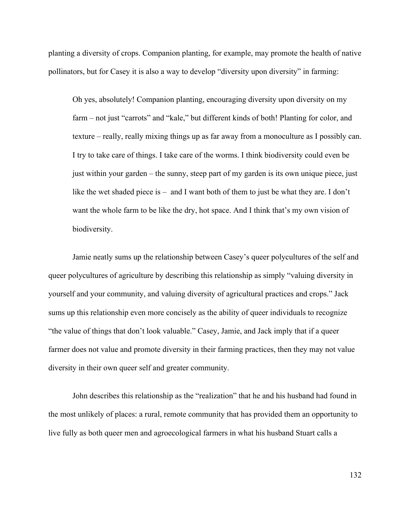planting a diversity of crops. Companion planting, for example, may promote the health of native pollinators, but for Casey it is also a way to develop "diversity upon diversity" in farming:

Oh yes, absolutely! Companion planting, encouraging diversity upon diversity on my farm – not just "carrots" and "kale," but different kinds of both! Planting for color, and texture – really, really mixing things up as far away from a monoculture as I possibly can. I try to take care of things. I take care of the worms. I think biodiversity could even be just within your garden – the sunny, steep part of my garden is its own unique piece, just like the wet shaded piece is – and I want both of them to just be what they are. I don't want the whole farm to be like the dry, hot space. And I think that's my own vision of biodiversity.

Jamie neatly sums up the relationship between Casey's queer polycultures of the self and queer polycultures of agriculture by describing this relationship as simply "valuing diversity in yourself and your community, and valuing diversity of agricultural practices and crops." Jack sums up this relationship even more concisely as the ability of queer individuals to recognize "the value of things that don't look valuable." Casey, Jamie, and Jack imply that if a queer farmer does not value and promote diversity in their farming practices, then they may not value diversity in their own queer self and greater community.

John describes this relationship as the "realization" that he and his husband had found in the most unlikely of places: a rural, remote community that has provided them an opportunity to live fully as both queer men and agroecological farmers in what his husband Stuart calls a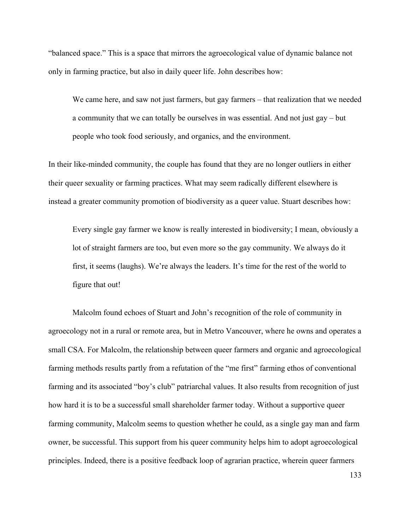"balanced space." This is a space that mirrors the agroecological value of dynamic balance not only in farming practice, but also in daily queer life. John describes how:

We came here, and saw not just farmers, but gay farmers – that realization that we needed a community that we can totally be ourselves in was essential. And not just gay – but people who took food seriously, and organics, and the environment.

In their like-minded community, the couple has found that they are no longer outliers in either their queer sexuality or farming practices. What may seem radically different elsewhere is instead a greater community promotion of biodiversity as a queer value. Stuart describes how:

Every single gay farmer we know is really interested in biodiversity; I mean, obviously a lot of straight farmers are too, but even more so the gay community. We always do it first, it seems (laughs). We're always the leaders. It's time for the rest of the world to figure that out!

Malcolm found echoes of Stuart and John's recognition of the role of community in agroecology not in a rural or remote area, but in Metro Vancouver, where he owns and operates a small CSA. For Malcolm, the relationship between queer farmers and organic and agroecological farming methods results partly from a refutation of the "me first" farming ethos of conventional farming and its associated "boy's club" patriarchal values. It also results from recognition of just how hard it is to be a successful small shareholder farmer today. Without a supportive queer farming community, Malcolm seems to question whether he could, as a single gay man and farm owner, be successful. This support from his queer community helps him to adopt agroecological principles. Indeed, there is a positive feedback loop of agrarian practice, wherein queer farmers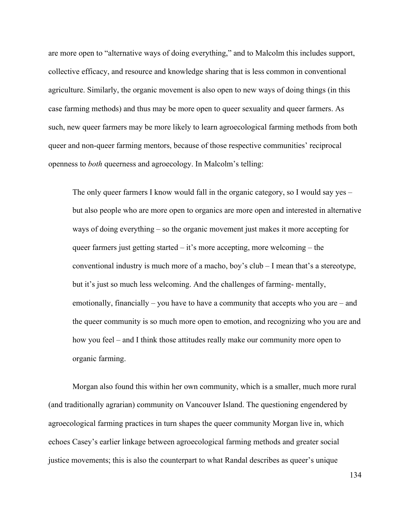are more open to "alternative ways of doing everything," and to Malcolm this includes support, collective efficacy, and resource and knowledge sharing that is less common in conventional agriculture. Similarly, the organic movement is also open to new ways of doing things (in this case farming methods) and thus may be more open to queer sexuality and queer farmers. As such, new queer farmers may be more likely to learn agroecological farming methods from both queer and non-queer farming mentors, because of those respective communities' reciprocal openness to *both* queerness and agroecology. In Malcolm's telling:

The only queer farmers I know would fall in the organic category, so I would say yes – but also people who are more open to organics are more open and interested in alternative ways of doing everything – so the organic movement just makes it more accepting for queer farmers just getting started – it's more accepting, more welcoming – the conventional industry is much more of a macho, boy's club – I mean that's a stereotype, but it's just so much less welcoming. And the challenges of farming- mentally, emotionally, financially – you have to have a community that accepts who you are – and the queer community is so much more open to emotion, and recognizing who you are and how you feel – and I think those attitudes really make our community more open to organic farming.

Morgan also found this within her own community, which is a smaller, much more rural (and traditionally agrarian) community on Vancouver Island. The questioning engendered by agroecological farming practices in turn shapes the queer community Morgan live in, which echoes Casey's earlier linkage between agroecological farming methods and greater social justice movements; this is also the counterpart to what Randal describes as queer's unique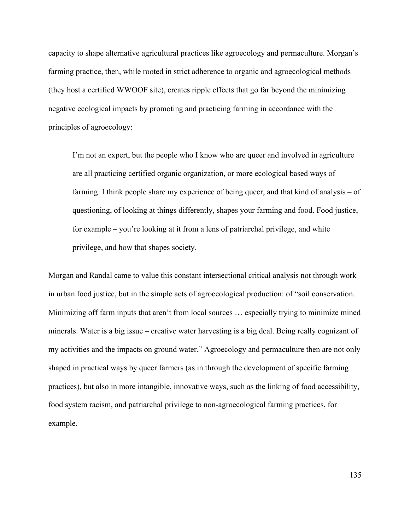capacity to shape alternative agricultural practices like agroecology and permaculture. Morgan's farming practice, then, while rooted in strict adherence to organic and agroecological methods (they host a certified WWOOF site), creates ripple effects that go far beyond the minimizing negative ecological impacts by promoting and practicing farming in accordance with the principles of agroecology:

I'm not an expert, but the people who I know who are queer and involved in agriculture are all practicing certified organic organization, or more ecological based ways of farming. I think people share my experience of being queer, and that kind of analysis – of questioning, of looking at things differently, shapes your farming and food. Food justice, for example – you're looking at it from a lens of patriarchal privilege, and white privilege, and how that shapes society.

Morgan and Randal came to value this constant intersectional critical analysis not through work in urban food justice, but in the simple acts of agroecological production: of "soil conservation. Minimizing off farm inputs that aren't from local sources … especially trying to minimize mined minerals. Water is a big issue – creative water harvesting is a big deal. Being really cognizant of my activities and the impacts on ground water." Agroecology and permaculture then are not only shaped in practical ways by queer farmers (as in through the development of specific farming practices), but also in more intangible, innovative ways, such as the linking of food accessibility, food system racism, and patriarchal privilege to non-agroecological farming practices, for example.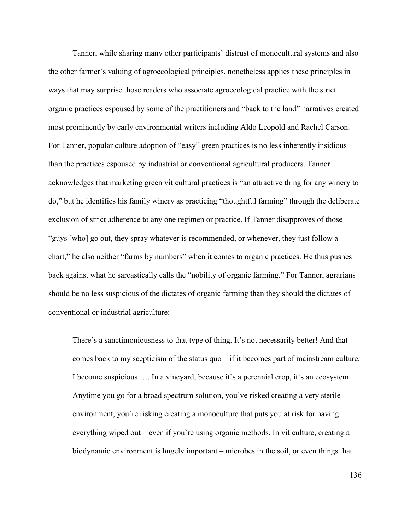Tanner, while sharing many other participants' distrust of monocultural systems and also the other farmer's valuing of agroecological principles, nonetheless applies these principles in ways that may surprise those readers who associate agroecological practice with the strict organic practices espoused by some of the practitioners and "back to the land" narratives created most prominently by early environmental writers including Aldo Leopold and Rachel Carson. For Tanner, popular culture adoption of "easy" green practices is no less inherently insidious than the practices espoused by industrial or conventional agricultural producers. Tanner acknowledges that marketing green viticultural practices is "an attractive thing for any winery to do," but he identifies his family winery as practicing "thoughtful farming" through the deliberate exclusion of strict adherence to any one regimen or practice. If Tanner disapproves of those "guys [who] go out, they spray whatever is recommended, or whenever, they just follow a chart," he also neither "farms by numbers" when it comes to organic practices. He thus pushes back against what he sarcastically calls the "nobility of organic farming." For Tanner, agrarians should be no less suspicious of the dictates of organic farming than they should the dictates of conventional or industrial agriculture:

There's a sanctimoniousness to that type of thing. It's not necessarily better! And that comes back to my scepticism of the status quo – if it becomes part of mainstream culture, I become suspicious …. In a vineyard, because it`s a perennial crop, it`s an ecosystem. Anytime you go for a broad spectrum solution, you`ve risked creating a very sterile environment, you`re risking creating a monoculture that puts you at risk for having everything wiped out – even if you`re using organic methods. In viticulture, creating a biodynamic environment is hugely important – microbes in the soil, or even things that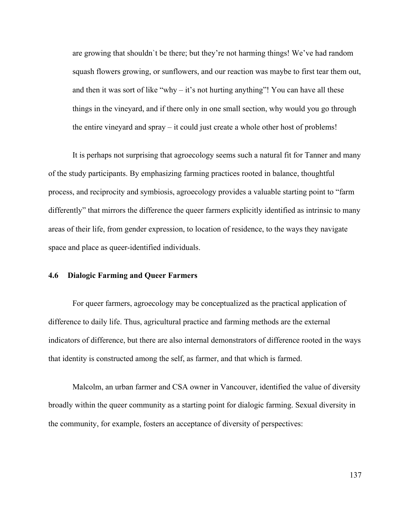are growing that shouldn`t be there; but they're not harming things! We've had random squash flowers growing, or sunflowers, and our reaction was maybe to first tear them out, and then it was sort of like "why – it's not hurting anything"! You can have all these things in the vineyard, and if there only in one small section, why would you go through the entire vineyard and spray – it could just create a whole other host of problems!

It is perhaps not surprising that agroecology seems such a natural fit for Tanner and many of the study participants. By emphasizing farming practices rooted in balance, thoughtful process, and reciprocity and symbiosis, agroecology provides a valuable starting point to "farm differently" that mirrors the difference the queer farmers explicitly identified as intrinsic to many areas of their life, from gender expression, to location of residence, to the ways they navigate space and place as queer-identified individuals.

### **4.6 Dialogic Farming and Queer Farmers**

For queer farmers, agroecology may be conceptualized as the practical application of difference to daily life. Thus, agricultural practice and farming methods are the external indicators of difference, but there are also internal demonstrators of difference rooted in the ways that identity is constructed among the self, as farmer, and that which is farmed.

Malcolm, an urban farmer and CSA owner in Vancouver, identified the value of diversity broadly within the queer community as a starting point for dialogic farming. Sexual diversity in the community, for example, fosters an acceptance of diversity of perspectives: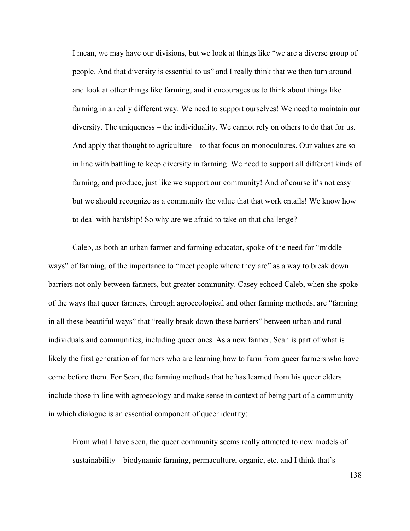I mean, we may have our divisions, but we look at things like "we are a diverse group of people. And that diversity is essential to us" and I really think that we then turn around and look at other things like farming, and it encourages us to think about things like farming in a really different way. We need to support ourselves! We need to maintain our diversity. The uniqueness – the individuality. We cannot rely on others to do that for us. And apply that thought to agriculture – to that focus on monocultures. Our values are so in line with battling to keep diversity in farming. We need to support all different kinds of farming, and produce, just like we support our community! And of course it's not easy – but we should recognize as a community the value that that work entails! We know how to deal with hardship! So why are we afraid to take on that challenge?

Caleb, as both an urban farmer and farming educator, spoke of the need for "middle ways" of farming, of the importance to "meet people where they are" as a way to break down barriers not only between farmers, but greater community. Casey echoed Caleb, when she spoke of the ways that queer farmers, through agroecological and other farming methods, are "farming in all these beautiful ways" that "really break down these barriers" between urban and rural individuals and communities, including queer ones. As a new farmer, Sean is part of what is likely the first generation of farmers who are learning how to farm from queer farmers who have come before them. For Sean, the farming methods that he has learned from his queer elders include those in line with agroecology and make sense in context of being part of a community in which dialogue is an essential component of queer identity:

From what I have seen, the queer community seems really attracted to new models of sustainability – biodynamic farming, permaculture, organic, etc. and I think that's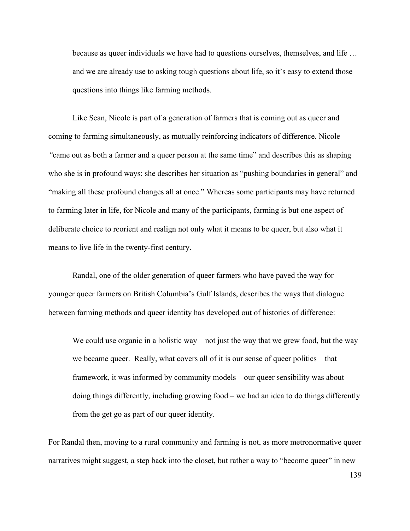because as queer individuals we have had to questions ourselves, themselves, and life … and we are already use to asking tough questions about life, so it's easy to extend those questions into things like farming methods.

Like Sean, Nicole is part of a generation of farmers that is coming out as queer and coming to farming simultaneously, as mutually reinforcing indicators of difference. Nicole *"*came out as both a farmer and a queer person at the same time" and describes this as shaping who she is in profound ways; she describes her situation as "pushing boundaries in general" and "making all these profound changes all at once." Whereas some participants may have returned to farming later in life, for Nicole and many of the participants, farming is but one aspect of deliberate choice to reorient and realign not only what it means to be queer, but also what it means to live life in the twenty-first century.

Randal, one of the older generation of queer farmers who have paved the way for younger queer farmers on British Columbia's Gulf Islands, describes the ways that dialogue between farming methods and queer identity has developed out of histories of difference:

We could use organic in a holistic way – not just the way that we grew food, but the way we became queer. Really, what covers all of it is our sense of queer politics – that framework, it was informed by community models – our queer sensibility was about doing things differently, including growing food – we had an idea to do things differently from the get go as part of our queer identity.

For Randal then, moving to a rural community and farming is not, as more metronormative queer narratives might suggest, a step back into the closet, but rather a way to "become queer" in new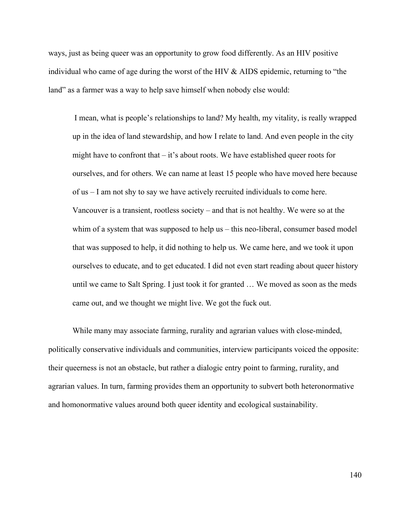ways, just as being queer was an opportunity to grow food differently. As an HIV positive individual who came of age during the worst of the HIV & AIDS epidemic, returning to "the land" as a farmer was a way to help save himself when nobody else would:

I mean, what is people's relationships to land? My health, my vitality, is really wrapped up in the idea of land stewardship, and how I relate to land. And even people in the city might have to confront that  $-$  it's about roots. We have established queer roots for ourselves, and for others. We can name at least 15 people who have moved here because of us – I am not shy to say we have actively recruited individuals to come here. Vancouver is a transient, rootless society – and that is not healthy. We were so at the whim of a system that was supposed to help us – this neo-liberal, consumer based model that was supposed to help, it did nothing to help us. We came here, and we took it upon ourselves to educate, and to get educated. I did not even start reading about queer history until we came to Salt Spring. I just took it for granted … We moved as soon as the meds came out, and we thought we might live. We got the fuck out.

While many may associate farming, rurality and agrarian values with close-minded, politically conservative individuals and communities, interview participants voiced the opposite: their queerness is not an obstacle, but rather a dialogic entry point to farming, rurality, and agrarian values. In turn, farming provides them an opportunity to subvert both heteronormative and homonormative values around both queer identity and ecological sustainability.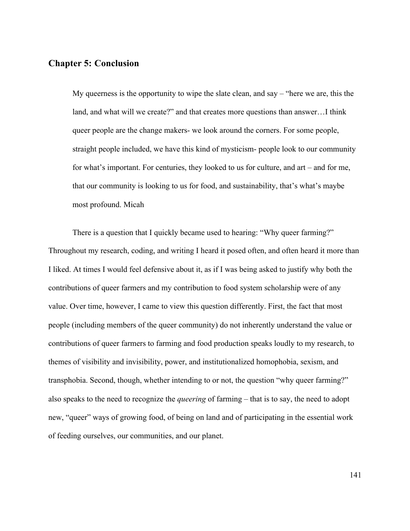# **Chapter 5: Conclusion**

My queerness is the opportunity to wipe the slate clean, and say – "here we are, this the land, and what will we create?" and that creates more questions than answer…I think queer people are the change makers- we look around the corners. For some people, straight people included, we have this kind of mysticism- people look to our community for what's important. For centuries, they looked to us for culture, and art – and for me, that our community is looking to us for food, and sustainability, that's what's maybe most profound. Micah

There is a question that I quickly became used to hearing: "Why queer farming?" Throughout my research, coding, and writing I heard it posed often, and often heard it more than I liked. At times I would feel defensive about it, as if I was being asked to justify why both the contributions of queer farmers and my contribution to food system scholarship were of any value. Over time, however, I came to view this question differently. First, the fact that most people (including members of the queer community) do not inherently understand the value or contributions of queer farmers to farming and food production speaks loudly to my research, to themes of visibility and invisibility, power, and institutionalized homophobia, sexism, and transphobia. Second, though, whether intending to or not, the question "why queer farming?" also speaks to the need to recognize the *queering* of farming – that is to say, the need to adopt new, "queer" ways of growing food, of being on land and of participating in the essential work of feeding ourselves, our communities, and our planet.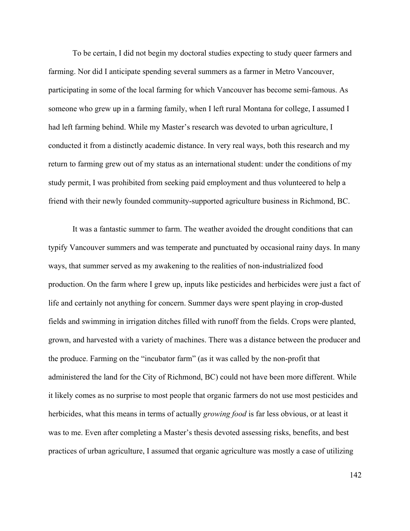To be certain, I did not begin my doctoral studies expecting to study queer farmers and farming. Nor did I anticipate spending several summers as a farmer in Metro Vancouver, participating in some of the local farming for which Vancouver has become semi-famous. As someone who grew up in a farming family, when I left rural Montana for college, I assumed I had left farming behind. While my Master's research was devoted to urban agriculture, I conducted it from a distinctly academic distance. In very real ways, both this research and my return to farming grew out of my status as an international student: under the conditions of my study permit, I was prohibited from seeking paid employment and thus volunteered to help a friend with their newly founded community-supported agriculture business in Richmond, BC.

It was a fantastic summer to farm. The weather avoided the drought conditions that can typify Vancouver summers and was temperate and punctuated by occasional rainy days. In many ways, that summer served as my awakening to the realities of non-industrialized food production. On the farm where I grew up, inputs like pesticides and herbicides were just a fact of life and certainly not anything for concern. Summer days were spent playing in crop-dusted fields and swimming in irrigation ditches filled with runoff from the fields. Crops were planted, grown, and harvested with a variety of machines. There was a distance between the producer and the produce. Farming on the "incubator farm" (as it was called by the non-profit that administered the land for the City of Richmond, BC) could not have been more different. While it likely comes as no surprise to most people that organic farmers do not use most pesticides and herbicides, what this means in terms of actually *growing food* is far less obvious, or at least it was to me. Even after completing a Master's thesis devoted assessing risks, benefits, and best practices of urban agriculture, I assumed that organic agriculture was mostly a case of utilizing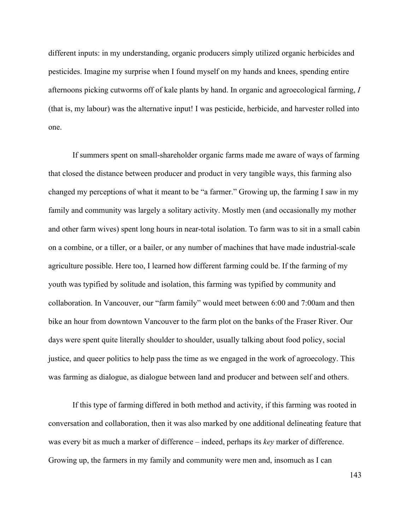different inputs: in my understanding, organic producers simply utilized organic herbicides and pesticides. Imagine my surprise when I found myself on my hands and knees, spending entire afternoons picking cutworms off of kale plants by hand. In organic and agroecological farming, *I* (that is, my labour) was the alternative input! I was pesticide, herbicide, and harvester rolled into one.

If summers spent on small-shareholder organic farms made me aware of ways of farming that closed the distance between producer and product in very tangible ways, this farming also changed my perceptions of what it meant to be "a farmer." Growing up, the farming I saw in my family and community was largely a solitary activity. Mostly men (and occasionally my mother and other farm wives) spent long hours in near-total isolation. To farm was to sit in a small cabin on a combine, or a tiller, or a bailer, or any number of machines that have made industrial-scale agriculture possible. Here too, I learned how different farming could be. If the farming of my youth was typified by solitude and isolation, this farming was typified by community and collaboration. In Vancouver, our "farm family" would meet between 6:00 and 7:00am and then bike an hour from downtown Vancouver to the farm plot on the banks of the Fraser River. Our days were spent quite literally shoulder to shoulder, usually talking about food policy, social justice, and queer politics to help pass the time as we engaged in the work of agroecology. This was farming as dialogue, as dialogue between land and producer and between self and others.

If this type of farming differed in both method and activity, if this farming was rooted in conversation and collaboration, then it was also marked by one additional delineating feature that was every bit as much a marker of difference – indeed, perhaps its *key* marker of difference. Growing up, the farmers in my family and community were men and, insomuch as I can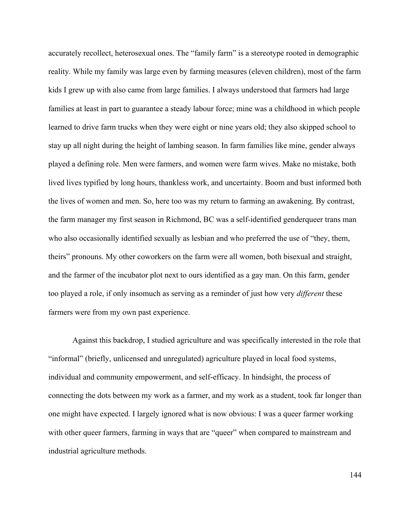accurately recollect, heterosexual ones. The "family farm" is a stereotype rooted in demographic reality. While my family was large even by farming measures (eleven children), most of the farm kids I grew up with also came from large families. I always understood that farmers had large families at least in part to guarantee a steady labour force; mine was a childhood in which people learned to drive farm trucks when they were eight or nine years old; they also skipped school to stay up all night during the height of lambing season. In farm families like mine, gender always played a defining role. Men were farmers, and women were farm wives. Make no mistake, both lived lives typified by long hours, thankless work, and uncertainty. Boom and bust informed both the lives of women and men. So, here too was my return to farming an awakening. By contrast, the farm manager my first season in Richmond, BC was a self-identified genderqueer trans man who also occasionally identified sexually as lesbian and who preferred the use of "they, them, theirs" pronouns. My other coworkers on the farm were all women, both bisexual and straight, and the farmer of the incubator plot next to ours identified as a gay man. On this farm, gender too played a role, if only insomuch as serving as a reminder of just how very *different* these farmers were from my own past experience.

Against this backdrop, I studied agriculture and was specifically interested in the role that "informal" (briefly, unlicensed and unregulated) agriculture played in local food systems, individual and community empowerment, and self-efficacy. In hindsight, the process of connecting the dots between my work as a farmer, and my work as a student, took far longer than one might have expected. I largely ignored what is now obvious: I was a queer farmer working with other queer farmers, farming in ways that are "queer" when compared to mainstream and industrial agriculture methods.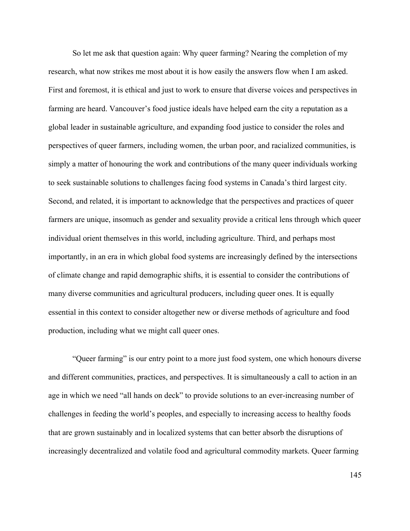So let me ask that question again: Why queer farming? Nearing the completion of my research, what now strikes me most about it is how easily the answers flow when I am asked. First and foremost, it is ethical and just to work to ensure that diverse voices and perspectives in farming are heard. Vancouver's food justice ideals have helped earn the city a reputation as a global leader in sustainable agriculture, and expanding food justice to consider the roles and perspectives of queer farmers, including women, the urban poor, and racialized communities, is simply a matter of honouring the work and contributions of the many queer individuals working to seek sustainable solutions to challenges facing food systems in Canada's third largest city. Second, and related, it is important to acknowledge that the perspectives and practices of queer farmers are unique, insomuch as gender and sexuality provide a critical lens through which queer individual orient themselves in this world, including agriculture. Third, and perhaps most importantly, in an era in which global food systems are increasingly defined by the intersections of climate change and rapid demographic shifts, it is essential to consider the contributions of many diverse communities and agricultural producers, including queer ones. It is equally essential in this context to consider altogether new or diverse methods of agriculture and food production, including what we might call queer ones.

"Queer farming" is our entry point to a more just food system, one which honours diverse and different communities, practices, and perspectives. It is simultaneously a call to action in an age in which we need "all hands on deck" to provide solutions to an ever-increasing number of challenges in feeding the world's peoples, and especially to increasing access to healthy foods that are grown sustainably and in localized systems that can better absorb the disruptions of increasingly decentralized and volatile food and agricultural commodity markets. Queer farming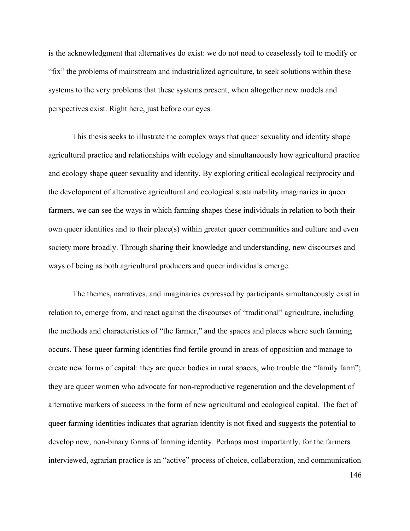is the acknowledgment that alternatives do exist: we do not need to ceaselessly toil to modify or "fix" the problems of mainstream and industrialized agriculture, to seek solutions within these systems to the very problems that these systems present, when altogether new models and perspectives exist. Right here, just before our eyes.

This thesis seeks to illustrate the complex ways that queer sexuality and identity shape agricultural practice and relationships with ecology and simultaneously how agricultural practice and ecology shape queer sexuality and identity. By exploring critical ecological reciprocity and the development of alternative agricultural and ecological sustainability imaginaries in queer farmers, we can see the ways in which farming shapes these individuals in relation to both their own queer identities and to their place(s) within greater queer communities and culture and even society more broadly. Through sharing their knowledge and understanding, new discourses and ways of being as both agricultural producers and queer individuals emerge.

The themes, narratives, and imaginaries expressed by participants simultaneously exist in relation to, emerge from, and react against the discourses of "traditional" agriculture, including the methods and characteristics of "the farmer," and the spaces and places where such farming occurs. These queer farming identities find fertile ground in areas of opposition and manage to create new forms of capital: they are queer bodies in rural spaces, who trouble the "family farm"; they are queer women who advocate for non-reproductive regeneration and the development of alternative markers of success in the form of new agricultural and ecological capital. The fact of queer farming identities indicates that agrarian identity is not fixed and suggests the potential to develop new, non-binary forms of farming identity. Perhaps most importantly, for the farmers interviewed, agrarian practice is an "active" process of choice, collaboration, and communication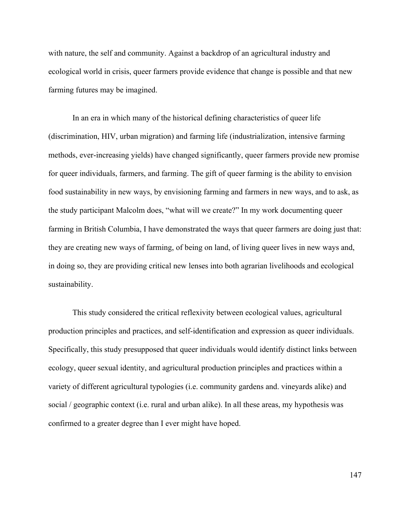with nature, the self and community. Against a backdrop of an agricultural industry and ecological world in crisis, queer farmers provide evidence that change is possible and that new farming futures may be imagined.

In an era in which many of the historical defining characteristics of queer life (discrimination, HIV, urban migration) and farming life (industrialization, intensive farming methods, ever-increasing yields) have changed significantly, queer farmers provide new promise for queer individuals, farmers, and farming. The gift of queer farming is the ability to envision food sustainability in new ways, by envisioning farming and farmers in new ways, and to ask, as the study participant Malcolm does, "what will we create?" In my work documenting queer farming in British Columbia, I have demonstrated the ways that queer farmers are doing just that: they are creating new ways of farming, of being on land, of living queer lives in new ways and, in doing so, they are providing critical new lenses into both agrarian livelihoods and ecological sustainability.

This study considered the critical reflexivity between ecological values, agricultural production principles and practices, and self-identification and expression as queer individuals. Specifically, this study presupposed that queer individuals would identify distinct links between ecology, queer sexual identity, and agricultural production principles and practices within a variety of different agricultural typologies (i.e. community gardens and. vineyards alike) and social / geographic context (i.e. rural and urban alike). In all these areas, my hypothesis was confirmed to a greater degree than I ever might have hoped.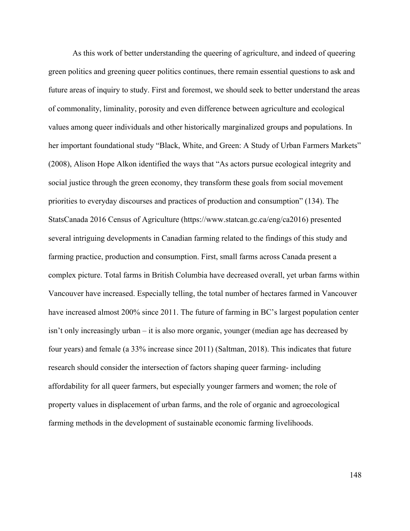As this work of better understanding the queering of agriculture, and indeed of queering green politics and greening queer politics continues, there remain essential questions to ask and future areas of inquiry to study. First and foremost, we should seek to better understand the areas of commonality, liminality, porosity and even difference between agriculture and ecological values among queer individuals and other historically marginalized groups and populations. In her important foundational study "Black, White, and Green: A Study of Urban Farmers Markets" (2008), Alison Hope Alkon identified the ways that "As actors pursue ecological integrity and social justice through the green economy, they transform these goals from social movement priorities to everyday discourses and practices of production and consumption" (134). The StatsCanada 2016 Census of Agriculture (https://www.statcan.gc.ca/eng/ca2016) presented several intriguing developments in Canadian farming related to the findings of this study and farming practice, production and consumption. First, small farms across Canada present a complex picture. Total farms in British Columbia have decreased overall, yet urban farms within Vancouver have increased. Especially telling, the total number of hectares farmed in Vancouver have increased almost 200% since 2011. The future of farming in BC's largest population center isn't only increasingly urban – it is also more organic, younger (median age has decreased by four years) and female (a 33% increase since 2011) (Saltman, 2018). This indicates that future research should consider the intersection of factors shaping queer farming- including affordability for all queer farmers, but especially younger farmers and women; the role of property values in displacement of urban farms, and the role of organic and agroecological farming methods in the development of sustainable economic farming livelihoods.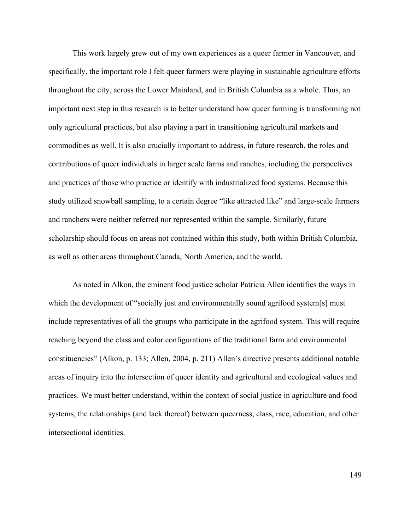This work largely grew out of my own experiences as a queer farmer in Vancouver, and specifically, the important role I felt queer farmers were playing in sustainable agriculture efforts throughout the city, across the Lower Mainland, and in British Columbia as a whole. Thus, an important next step in this research is to better understand how queer farming is transforming not only agricultural practices, but also playing a part in transitioning agricultural markets and commodities as well. It is also crucially important to address, in future research, the roles and contributions of queer individuals in larger scale farms and ranches, including the perspectives and practices of those who practice or identify with industrialized food systems. Because this study utilized snowball sampling, to a certain degree "like attracted like" and large-scale farmers and ranchers were neither referred nor represented within the sample. Similarly, future scholarship should focus on areas not contained within this study, both within British Columbia, as well as other areas throughout Canada, North America, and the world.

As noted in Alkon, the eminent food justice scholar Patricia Allen identifies the ways in which the development of "socially just and environmentally sound agrifood system[s] must include representatives of all the groups who participate in the agrifood system. This will require reaching beyond the class and color configurations of the traditional farm and environmental constituencies" (Alkon, p. 133; Allen, 2004, p. 211) Allen's directive presents additional notable areas of inquiry into the intersection of queer identity and agricultural and ecological values and practices. We must better understand, within the context of social justice in agriculture and food systems, the relationships (and lack thereof) between queerness, class, race, education, and other intersectional identities.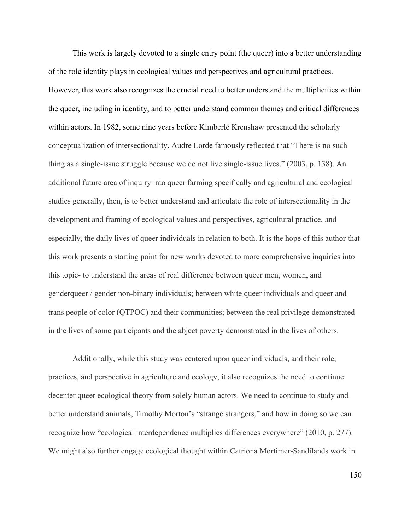This work is largely devoted to a single entry point (the queer) into a better understanding of the role identity plays in ecological values and perspectives and agricultural practices. However, this work also recognizes the crucial need to better understand the multiplicities within the queer, including in identity, and to better understand common themes and critical differences within actors. In 1982, some nine years before Kimberlé Krenshaw presented the scholarly conceptualization of intersectionality, Audre Lorde famously reflected that "There is no such thing as a single-issue struggle because we do not live single-issue lives." (2003, p. 138). An additional future area of inquiry into queer farming specifically and agricultural and ecological studies generally, then, is to better understand and articulate the role of intersectionality in the development and framing of ecological values and perspectives, agricultural practice, and especially, the daily lives of queer individuals in relation to both. It is the hope of this author that this work presents a starting point for new works devoted to more comprehensive inquiries into this topic- to understand the areas of real difference between queer men, women, and genderqueer / gender non-binary individuals; between white queer individuals and queer and trans people of color (QTPOC) and their communities; between the real privilege demonstrated in the lives of some participants and the abject poverty demonstrated in the lives of others.

Additionally, while this study was centered upon queer individuals, and their role, practices, and perspective in agriculture and ecology, it also recognizes the need to continue decenter queer ecological theory from solely human actors. We need to continue to study and better understand animals, Timothy Morton's "strange strangers," and how in doing so we can recognize how "ecological interdependence multiplies differences everywhere" (2010, p. 277). We might also further engage ecological thought within Catriona Mortimer-Sandilands work in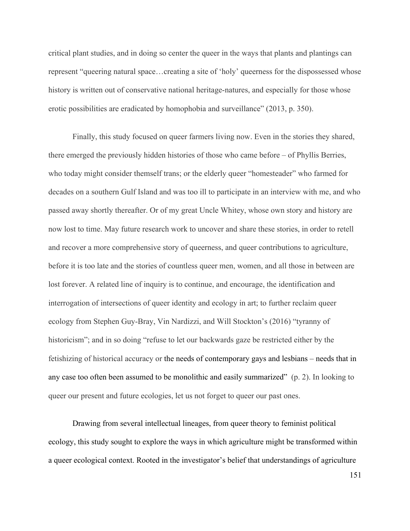critical plant studies, and in doing so center the queer in the ways that plants and plantings can represent "queering natural space…creating a site of 'holy' queerness for the dispossessed whose history is written out of conservative national heritage-natures, and especially for those whose erotic possibilities are eradicated by homophobia and surveillance" (2013, p. 350).

Finally, this study focused on queer farmers living now. Even in the stories they shared, there emerged the previously hidden histories of those who came before – of Phyllis Berries, who today might consider themself trans; or the elderly queer "homesteader" who farmed for decades on a southern Gulf Island and was too ill to participate in an interview with me, and who passed away shortly thereafter. Or of my great Uncle Whitey, whose own story and history are now lost to time. May future research work to uncover and share these stories, in order to retell and recover a more comprehensive story of queerness, and queer contributions to agriculture, before it is too late and the stories of countless queer men, women, and all those in between are lost forever. A related line of inquiry is to continue, and encourage, the identification and interrogation of intersections of queer identity and ecology in art; to further reclaim queer ecology from Stephen Guy-Bray, Vin Nardizzi, and Will Stockton's (2016) "tyranny of historicism"; and in so doing "refuse to let our backwards gaze be restricted either by the fetishizing of historical accuracy or the needs of contemporary gays and lesbians – needs that in any case too often been assumed to be monolithic and easily summarized" (p. 2). In looking to queer our present and future ecologies, let us not forget to queer our past ones.

Drawing from several intellectual lineages, from queer theory to feminist political ecology, this study sought to explore the ways in which agriculture might be transformed within a queer ecological context. Rooted in the investigator's belief that understandings of agriculture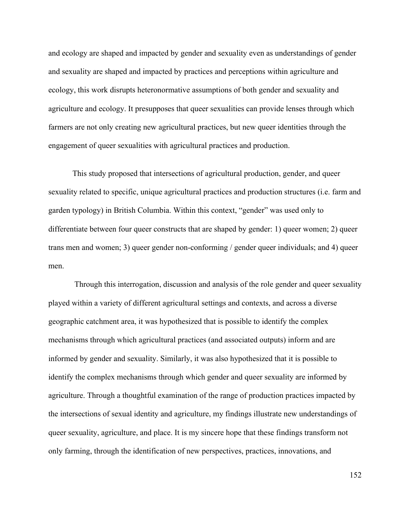and ecology are shaped and impacted by gender and sexuality even as understandings of gender and sexuality are shaped and impacted by practices and perceptions within agriculture and ecology, this work disrupts heteronormative assumptions of both gender and sexuality and agriculture and ecology. It presupposes that queer sexualities can provide lenses through which farmers are not only creating new agricultural practices, but new queer identities through the engagement of queer sexualities with agricultural practices and production.

This study proposed that intersections of agricultural production, gender, and queer sexuality related to specific, unique agricultural practices and production structures (i.e. farm and garden typology) in British Columbia. Within this context, "gender" was used only to differentiate between four queer constructs that are shaped by gender: 1) queer women; 2) queer trans men and women; 3) queer gender non-conforming / gender queer individuals; and 4) queer men.

Through this interrogation, discussion and analysis of the role gender and queer sexuality played within a variety of different agricultural settings and contexts, and across a diverse geographic catchment area, it was hypothesized that is possible to identify the complex mechanisms through which agricultural practices (and associated outputs) inform and are informed by gender and sexuality. Similarly, it was also hypothesized that it is possible to identify the complex mechanisms through which gender and queer sexuality are informed by agriculture. Through a thoughtful examination of the range of production practices impacted by the intersections of sexual identity and agriculture, my findings illustrate new understandings of queer sexuality, agriculture, and place. It is my sincere hope that these findings transform not only farming, through the identification of new perspectives, practices, innovations, and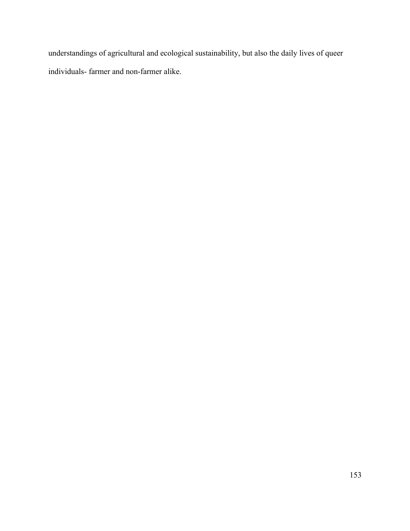understandings of agricultural and ecological sustainability, but also the daily lives of queer individuals- farmer and non-farmer alike.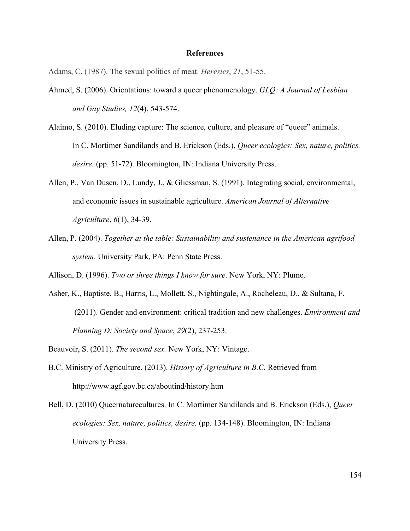### **References**

Adams, C. (1987). The sexual politics of meat. *Heresies*, *21*, 51-55.

- Ahmed, S. (2006). Orientations: toward a queer phenomenology. *GLQ: A Journal of Lesbian and Gay Studies, 12*(4), 543-574.
- Alaimo, S. (2010). Eluding capture: The science, culture, and pleasure of "queer" animals. In C. Mortimer Sandilands and B. Erickson (Eds.), *Queer ecologies: Sex, nature, politics, desire.* (pp. 51-72). Bloomington, IN: Indiana University Press.
- Allen, P., Van Dusen, D., Lundy, J., & Gliessman, S. (1991). Integrating social, environmental, and economic issues in sustainable agriculture. *American Journal of Alternative Agriculture*, *6*(1), 34-39.
- Allen, P. (2004). *Together at the table: Sustainability and sustenance in the American agrifood system*. University Park, PA: Penn State Press.
- Allison, D. (1996). *Two or three things I know for sure*. New York, NY: Plume.
- Asher, K., Baptiste, B., Harris, L., Mollett, S., Nightingale, A., Rocheleau, D., & Sultana, F. (2011). Gender and environment: critical tradition and new challenges. *Environment and Planning D: Society and Space*, *29*(2), 237-253.
- Beauvoir, S. (2011). *The second sex.* New York, NY: Vintage.
- B.C. Ministry of Agriculture. (2013). *History of Agriculture in B.C.* Retrieved from http://www.agf.gov.bc.ca/aboutind/history.htm
- Bell, D. (2010) Queernaturecultures. In C. Mortimer Sandilands and B. Erickson (Eds.), *Queer ecologies: Sex, nature, politics, desire.* (pp. 134-148). Bloomington, IN: Indiana University Press.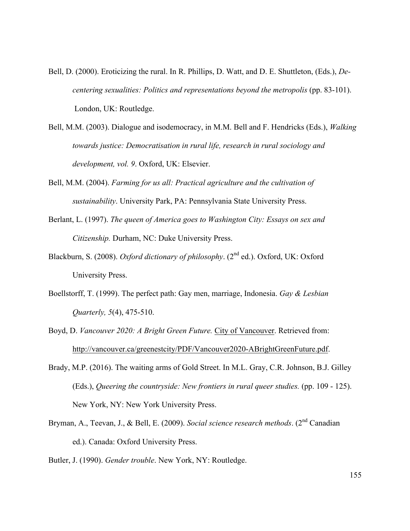- Bell, D. (2000). Eroticizing the rural. In R. Phillips, D. Watt, and D. E. Shuttleton, (Eds.), *Decentering sexualities: Politics and representations beyond the metropolis* (pp. 83-101). London, UK: Routledge.
- Bell, M.M. (2003). Dialogue and isodemocracy, in M.M. Bell and F. Hendricks (Eds.), *Walking towards justice: Democratisation in rural life, research in rural sociology and development, vol. 9*. Oxford, UK: Elsevier.
- Bell, M.M. (2004). *Farming for us all: Practical agriculture and the cultivation of sustainability*. University Park, PA: Pennsylvania State University Press.
- Berlant, L. (1997). *The queen of America goes to Washington City: Essays on sex and Citizenship.* Durham, NC: Duke University Press.
- Blackburn, S. (2008). *Oxford dictionary of philosophy*. (2<sup>nd</sup> ed.). Oxford, UK: Oxford University Press.
- Boellstorff, T. (1999). The perfect path: Gay men, marriage, Indonesia. *Gay & Lesbian Quarterly, 5*(4), 475-510.
- Boyd, D. *Vancouver 2020: A Bright Green Future.* City of Vancouver. Retrieved from: http://vancouver.ca/greenestcity/PDF/Vancouver2020-ABrightGreenFuture.pdf.
- Brady, M.P. (2016). The waiting arms of Gold Street. In M.L. Gray, C.R. Johnson, B.J. Gilley (Eds.), *Queering the countryside: New frontiers in rural queer studies.* (pp. 109 - 125). New York, NY: New York University Press.
- Bryman, A., Teevan, J., & Bell, E. (2009). *Social science research methods*. (2<sup>nd</sup> Canadian ed.). Canada: Oxford University Press.
- Butler, J. (1990). *Gender trouble*. New York, NY: Routledge.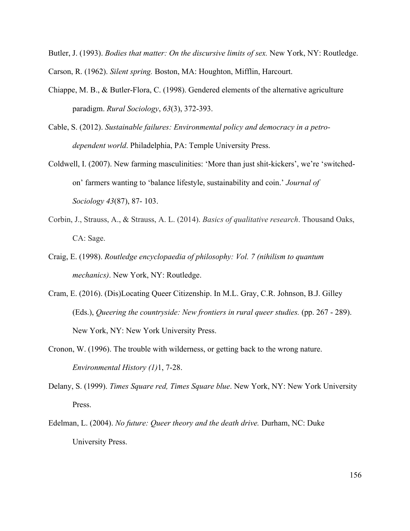Butler, J. (1993). *Bodies that matter: On the discursive limits of sex.* New York, NY: Routledge. Carson, R. (1962). *Silent spring.* Boston, MA: Houghton, Mifflin, Harcourt.

- Chiappe, M. B., & Butler-Flora, C. (1998). Gendered elements of the alternative agriculture paradigm. *Rural Sociology*, *63*(3), 372-393.
- Cable, S. (2012). *Sustainable failures: Environmental policy and democracy in a petrodependent world*. Philadelphia, PA: Temple University Press.
- Coldwell, I. (2007). New farming masculinities: 'More than just shit-kickers', we're 'switchedon' farmers wanting to 'balance lifestyle, sustainability and coin.' *Journal of Sociology 43*(87), 87- 103.
- Corbin, J., Strauss, A., & Strauss, A. L. (2014). *Basics of qualitative research*. Thousand Oaks, CA: Sage.
- Craig, E. (1998). *Routledge encyclopaedia of philosophy: Vol. 7 (nihilism to quantum mechanics)*. New York, NY: Routledge.
- Cram, E. (2016). (Dis)Locating Queer Citizenship. In M.L. Gray, C.R. Johnson, B.J. Gilley (Eds.), *Queering the countryside: New frontiers in rural queer studies.* (pp. 267 - 289). New York, NY: New York University Press.
- Cronon, W. (1996). The trouble with wilderness, or getting back to the wrong nature. *Environmental History (1)*1, 7-28.
- Delany, S. (1999). *Times Square red, Times Square blue*. New York, NY: New York University Press.
- Edelman, L. (2004). *No future: Queer theory and the death drive.* Durham, NC: Duke University Press.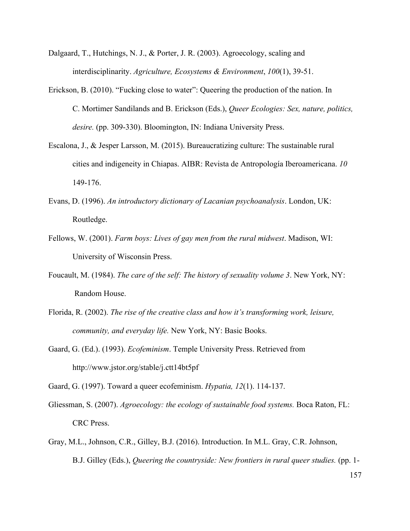- Dalgaard, T., Hutchings, N. J., & Porter, J. R. (2003). Agroecology, scaling and interdisciplinarity. *Agriculture, Ecosystems & Environment*, *100*(1), 39-51.
- Erickson, B. (2010). "Fucking close to water": Queering the production of the nation. In C. Mortimer Sandilands and B. Erickson (Eds.), *Queer Ecologies: Sex, nature, politics, desire.* (pp. 309-330). Bloomington, IN: Indiana University Press.
- Escalona, J., & Jesper Larsson, M. (2015). Bureaucratizing culture: The sustainable rural cities and indigeneity in Chiapas. AIBR: Revista de Antropología Iberoamericana. *10* 149-176.
- Evans, D. (1996). *An introductory dictionary of Lacanian psychoanalysis*. London, UK: Routledge.
- Fellows, W. (2001). *Farm boys: Lives of gay men from the rural midwest*. Madison, WI: University of Wisconsin Press.
- Foucault, M. (1984). *The care of the self: The history of sexuality volume 3*. New York, NY: Random House.
- Florida, R. (2002). *The rise of the creative class and how it's transforming work, leisure, community, and everyday life.* New York, NY: Basic Books.
- Gaard, G. (Ed.). (1993). *Ecofeminism*. Temple University Press. Retrieved from http://www.jstor.org/stable/j.ctt14bt5pf

Gaard, G. (1997). Toward a queer ecofeminism. *Hypatia, 12*(1). 114-137.

- Gliessman, S. (2007). *Agroecology: the ecology of sustainable food systems.* Boca Raton, FL: CRC Press.
- Gray, M.L., Johnson, C.R., Gilley, B.J. (2016). Introduction. In M.L. Gray, C.R. Johnson, B.J. Gilley (Eds.), *Queering the countryside: New frontiers in rural queer studies.* (pp. 1-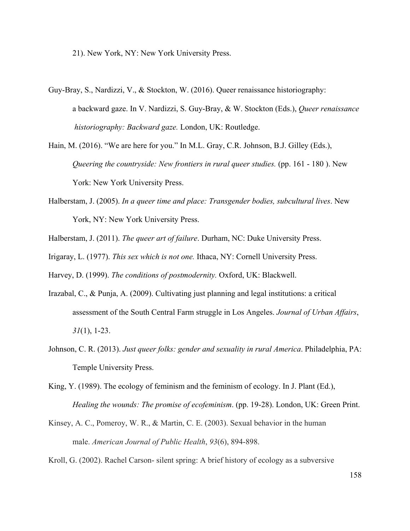21). New York, NY: New York University Press.

- Guy-Bray, S., Nardizzi, V., & Stockton, W. (2016). Queer renaissance historiography: a backward gaze. In V. Nardizzi, S. Guy-Bray, & W. Stockton (Eds.), *Queer renaissance historiography: Backward gaze.* London, UK: Routledge.
- Hain, M. (2016). "We are here for you." In M.L. Gray, C.R. Johnson, B.J. Gilley (Eds.), *Queering the countryside: New frontiers in rural queer studies.* (pp. 161 - 180). New York: New York University Press.
- Halberstam, J. (2005). *In a queer time and place: Transgender bodies, subcultural lives*. New York, NY: New York University Press.
- Halberstam, J. (2011). *The queer art of failure*. Durham, NC: Duke University Press.
- Irigaray, L. (1977). *This sex which is not one.* Ithaca, NY: Cornell University Press.

Harvey, D. (1999). *The conditions of postmodernity.* Oxford, UK: Blackwell.

- Irazabal, C., & Punja, A. (2009). Cultivating just planning and legal institutions: a critical assessment of the South Central Farm struggle in Los Angeles. *Journal of Urban Affairs*, *31*(1), 1-23.
- Johnson, C. R. (2013). *Just queer folks: gender and sexuality in rural America*. Philadelphia, PA: Temple University Press.
- King, Y. (1989). The ecology of feminism and the feminism of ecology. In J. Plant (Ed.), *Healing the wounds: The promise of ecofeminism*. (pp. 19-28). London, UK: Green Print.
- Kinsey, A. C., Pomeroy, W. R., & Martin, C. E. (2003). Sexual behavior in the human male. *American Journal of Public Health*, *93*(6), 894-898.
- Kroll, G. (2002). Rachel Carson- silent spring: A brief history of ecology as a subversive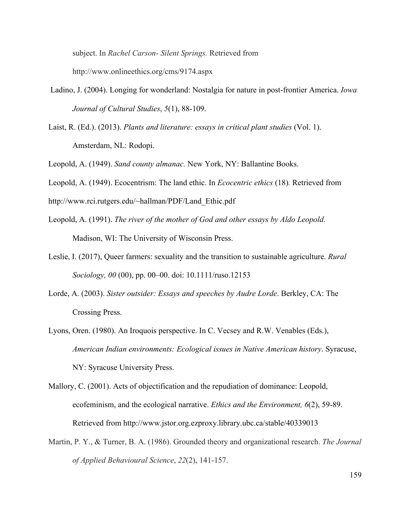subject. In *Rachel Carson- Silent Springs.* Retrieved from http://www.onlineethics.org/cms/9174.aspx

- Ladino, J. (2004). Longing for wonderland: Nostalgia for nature in post-frontier America. *Iowa Journal of Cultural Studies*, *5*(1), 88-109.
- Laist, R. (Ed.). (2013). *Plants and literature: essays in critical plant studies* (Vol. 1). Amsterdam, NL: Rodopi.

Leopold, A. (1949). *Sand county almanac.* New York, NY: Ballantine Books.

Leopold, A. (1949). Ecocentrism: The land ethic. In *Ecocentric ethics* (18)*.* Retrieved from

http://www.rci.rutgers.edu/~hallman/PDF/Land\_Ethic.pdf

- Leopold, A. (1991). *The river of the mother of God and other essays by Aldo Leopold.* Madison, WI: The University of Wisconsin Press.
- Leslie, I. (2017), Queer farmers: sexuality and the transition to sustainable agriculture. *Rural Sociology, 00* (00), pp. 00–00. doi: 10.1111/ruso.12153
- Lorde, A. (2003). *Sister outsider: Essays and speeches by Audre Lorde*. Berkley, CA: The Crossing Press.
- Lyons, Oren. (1980). An Iroquois perspective. In C. Vecsey and R.W. Venables (Eds.), *American Indian environments: Ecological issues in Native American history*. Syracuse, NY: Syracuse University Press.

Mallory, C. (2001). Acts of objectification and the repudiation of dominance: Leopold, ecofeminism, and the ecological narrative. *Ethics and the Environment, 6*(2), 59-89. Retrieved from http://www.jstor.org.ezproxy.library.ubc.ca/stable/40339013

Martin, P. Y., & Turner, B. A. (1986). Grounded theory and organizational research. *The Journal of Applied Behavioural Science*, *22*(2), 141-157.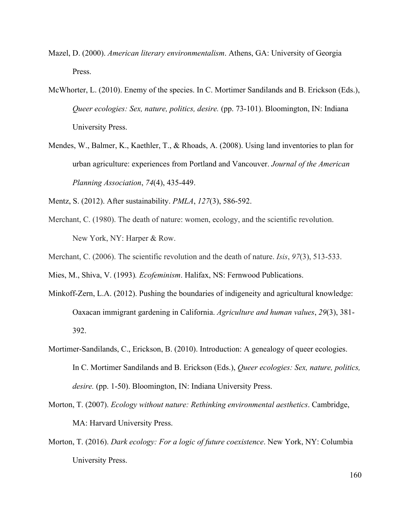- Mazel, D. (2000). *American literary environmentalism*. Athens, GA: University of Georgia Press.
- McWhorter, L. (2010). Enemy of the species. In C. Mortimer Sandilands and B. Erickson (Eds.), *Queer ecologies: Sex, nature, politics, desire.* (pp. 73-101). Bloomington, IN: Indiana University Press.
- Mendes, W., Balmer, K., Kaethler, T., & Rhoads, A. (2008). Using land inventories to plan for urban agriculture: experiences from Portland and Vancouver. *Journal of the American Planning Association*, *74*(4), 435-449.
- Mentz, S. (2012). After sustainability. *PMLA*, *127*(3), 586-592.
- Merchant, C. (1980). The death of nature: women, ecology, and the scientific revolution. New York, NY: Harper & Row.
- Merchant, C. (2006). The scientific revolution and the death of nature. *Isis*, *97*(3), 513-533.

Mies, M., Shiva, V. (1993)*. Ecofeminism*. Halifax, NS: Fernwood Publications.

- Minkoff-Zern, L.A. (2012). Pushing the boundaries of indigeneity and agricultural knowledge: Oaxacan immigrant gardening in California. *Agriculture and human values*, *29*(3), 381- 392.
- Mortimer-Sandilands, C., Erickson, B. (2010). Introduction: A genealogy of queer ecologies. In C. Mortimer Sandilands and B. Erickson (Eds.), *Queer ecologies: Sex, nature, politics, desire.* (pp. 1-50). Bloomington, IN: Indiana University Press.
- Morton, T. (2007). *Ecology without nature: Rethinking environmental aesthetics*. Cambridge, MA: Harvard University Press.
- Morton, T. (2016). *Dark ecology: For a logic of future coexistence*. New York, NY: Columbia University Press.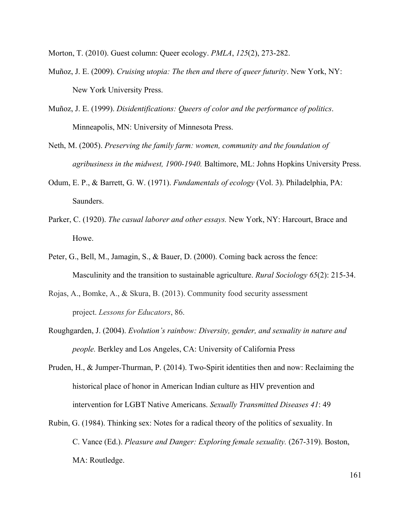Morton, T. (2010). Guest column: Queer ecology. *PMLA*, *125*(2), 273-282.

- Muñoz, J. E. (2009). *Cruising utopia: The then and there of queer futurity*. New York, NY: New York University Press.
- Muñoz, J. E. (1999). *Disidentifications: Queers of color and the performance of politics*. Minneapolis, MN: University of Minnesota Press.
- Neth, M. (2005). *Preserving the family farm: women, community and the foundation of agribusiness in the midwest, 1900-1940.* Baltimore, ML: Johns Hopkins University Press.
- Odum, E. P., & Barrett, G. W. (1971). *Fundamentals of ecology* (Vol. 3). Philadelphia, PA: Saunders.
- Parker, C. (1920). *The casual laborer and other essays.* New York, NY: Harcourt, Brace and Howe.
- Peter, G., Bell, M., Jamagin, S., & Bauer, D. (2000). Coming back across the fence: Masculinity and the transition to sustainable agriculture. *Rural Sociology 65*(2): 215-34.
- Rojas, A., Bomke, A., & Skura, B. (2013). Community food security assessment project. *Lessons for Educators*, 86.
- Roughgarden, J. (2004). *Evolution's rainbow: Diversity, gender, and sexuality in nature and people.* Berkley and Los Angeles, CA: University of California Press
- Pruden, H., & Jumper-Thurman, P. (2014). Two-Spirit identities then and now: Reclaiming the historical place of honor in American Indian culture as HIV prevention and intervention for LGBT Native Americans. *Sexually Transmitted Diseases 41*: 49
- Rubin, G. (1984). Thinking sex: Notes for a radical theory of the politics of sexuality. In C. Vance (Ed.). *Pleasure and Danger: Exploring female sexuality.* (267-319). Boston, MA: Routledge.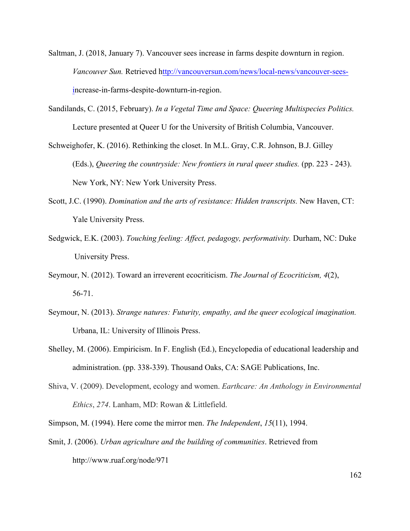- Saltman, J. (2018, January 7). Vancouver sees increase in farms despite downturn in region. *Vancouver Sun.* Retrieved http://vancouversun.com/news/local-news/vancouver-seesincrease-in-farms-despite-downturn-in-region.
- Sandilands, C. (2015, February). *In a Vegetal Time and Space: Queering Multispecies Politics.* Lecture presented at Queer U for the University of British Columbia, Vancouver.
- Schweighofer, K. (2016). Rethinking the closet. In M.L. Gray, C.R. Johnson, B.J. Gilley (Eds.), *Queering the countryside: New frontiers in rural queer studies.* (pp. 223 - 243). New York, NY: New York University Press.
- Scott, J.C. (1990). *Domination and the arts of resistance: Hidden transcripts.* New Haven, CT: Yale University Press.
- Sedgwick, E.K. (2003). *Touching feeling: Affect, pedagogy, performativity.* Durham, NC: Duke University Press.
- Seymour, N. (2012). Toward an irreverent ecocriticism. *The Journal of Ecocriticism, 4*(2), 56-71.
- Seymour, N. (2013). *Strange natures: Futurity, empathy, and the queer ecological imagination.* Urbana, IL: University of Illinois Press.
- Shelley, M. (2006). Empiricism. In F. English (Ed.), Encyclopedia of educational leadership and administration. (pp. 338-339). Thousand Oaks, CA: SAGE Publications, Inc.
- Shiva, V. (2009). Development, ecology and women. *Earthcare: An Anthology in Environmental Ethics*, *274*. Lanham, MD: Rowan & Littlefield.
- Simpson, M. (1994). Here come the mirror men. *The Independent*, *15*(11), 1994.
- Smit, J. (2006). *Urban agriculture and the building of communities*. Retrieved from http://www.ruaf.org/node/971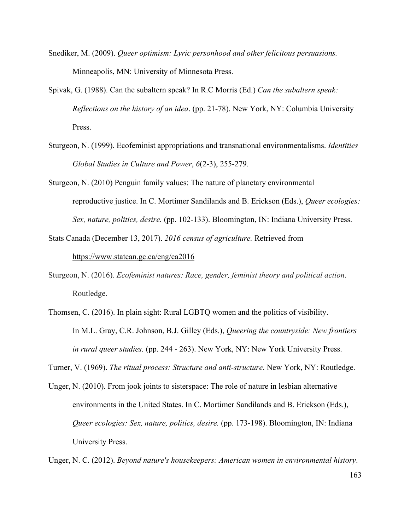- Snediker, M. (2009). *Queer optimism: Lyric personhood and other felicitous persuasions.*  Minneapolis, MN: University of Minnesota Press.
- Spivak, G. (1988). Can the subaltern speak? In R.C Morris (Ed.) *Can the subaltern speak: Reflections on the history of an idea*. (pp. 21-78). New York, NY: Columbia University Press.
- Sturgeon, N. (1999). Ecofeminist appropriations and transnational environmentalisms. *Identities Global Studies in Culture and Power*, *6*(2-3), 255-279.
- Sturgeon, N. (2010) Penguin family values: The nature of planetary environmental reproductive justice. In C. Mortimer Sandilands and B. Erickson (Eds.), *Queer ecologies: Sex, nature, politics, desire.* (pp. 102-133). Bloomington, IN: Indiana University Press.
- Stats Canada (December 13, 2017). *2016 census of agriculture.* Retrieved from

### https://www.statcan.gc.ca/eng/ca2016

- Sturgeon, N. (2016). *Ecofeminist natures: Race, gender, feminist theory and political action*. Routledge.
- Thomsen, C. (2016). In plain sight: Rural LGBTQ women and the politics of visibility. In M.L. Gray, C.R. Johnson, B.J. Gilley (Eds.), *Queering the countryside: New frontiers in rural queer studies.* (pp. 244 - 263). New York, NY: New York University Press.
- Turner, V. (1969). *The ritual process: Structure and anti-structure*. New York, NY: Routledge.
- Unger, N. (2010). From jook joints to sisterspace: The role of nature in lesbian alternative environments in the United States. In C. Mortimer Sandilands and B. Erickson (Eds.), *Queer ecologies: Sex, nature, politics, desire.* (pp. 173-198). Bloomington, IN: Indiana University Press.

Unger, N. C. (2012). *Beyond nature's housekeepers: American women in environmental history*.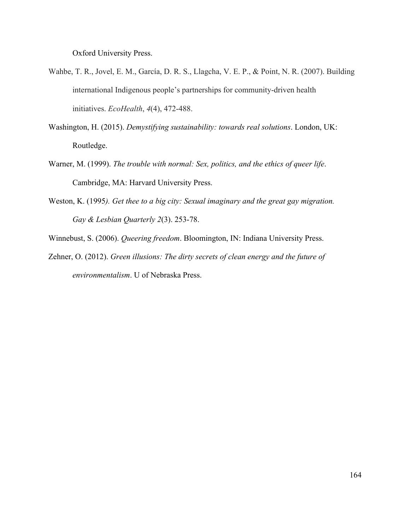Oxford University Press.

- Wahbe, T. R., Jovel, E. M., García, D. R. S., Llagcha, V. E. P., & Point, N. R. (2007). Building international Indigenous people's partnerships for community-driven health initiatives. *EcoHealth*, *4*(4), 472-488.
- Washington, H. (2015). *Demystifying sustainability: towards real solutions*. London, UK: Routledge.
- Warner, M. (1999). *The trouble with normal: Sex, politics, and the ethics of queer life*. Cambridge, MA: Harvard University Press.
- Weston, K. (1995*). Get thee to a big city: Sexual imaginary and the great gay migration. Gay & Lesbian Quarterly 2*(3). 253-78.
- Winnebust, S. (2006). *Queering freedom*. Bloomington, IN: Indiana University Press.
- Zehner, O. (2012). *Green illusions: The dirty secrets of clean energy and the future of environmentalism*. U of Nebraska Press.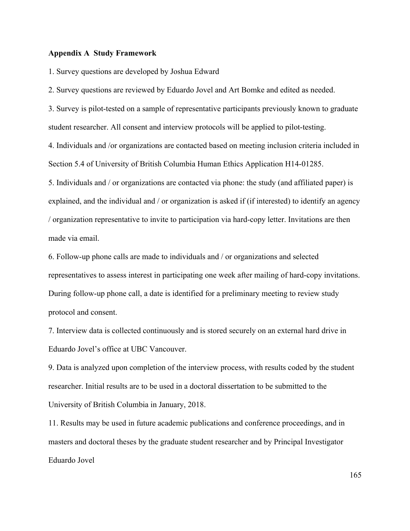## **Appendix A Study Framework**

1. Survey questions are developed by Joshua Edward

2. Survey questions are reviewed by Eduardo Jovel and Art Bomke and edited as needed.

3. Survey is pilot-tested on a sample of representative participants previously known to graduate student researcher. All consent and interview protocols will be applied to pilot-testing.

4. Individuals and /or organizations are contacted based on meeting inclusion criteria included in Section 5.4 of University of British Columbia Human Ethics Application H14-01285.

5. Individuals and / or organizations are contacted via phone: the study (and affiliated paper) is explained, and the individual and / or organization is asked if (if interested) to identify an agency / organization representative to invite to participation via hard-copy letter. Invitations are then made via email.

6. Follow-up phone calls are made to individuals and / or organizations and selected representatives to assess interest in participating one week after mailing of hard-copy invitations. During follow-up phone call, a date is identified for a preliminary meeting to review study protocol and consent.

7. Interview data is collected continuously and is stored securely on an external hard drive in Eduardo Jovel's office at UBC Vancouver.

9. Data is analyzed upon completion of the interview process, with results coded by the student researcher. Initial results are to be used in a doctoral dissertation to be submitted to the University of British Columbia in January, 2018.

11. Results may be used in future academic publications and conference proceedings, and in masters and doctoral theses by the graduate student researcher and by Principal Investigator Eduardo Jovel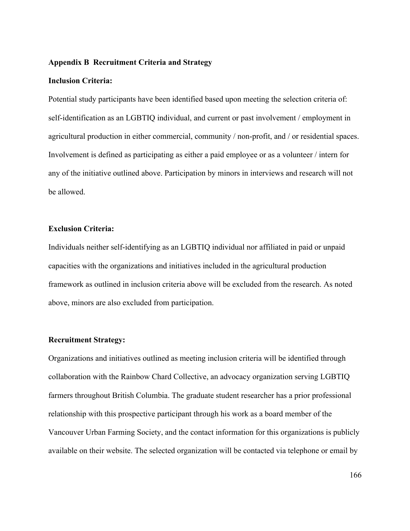# **Appendix B Recruitment Criteria and Strategy**

### **Inclusion Criteria:**

Potential study participants have been identified based upon meeting the selection criteria of: self-identification as an LGBTIQ individual, and current or past involvement / employment in agricultural production in either commercial, community / non-profit, and / or residential spaces. Involvement is defined as participating as either a paid employee or as a volunteer / intern for any of the initiative outlined above. Participation by minors in interviews and research will not be allowed.

# **Exclusion Criteria:**

Individuals neither self-identifying as an LGBTIQ individual nor affiliated in paid or unpaid capacities with the organizations and initiatives included in the agricultural production framework as outlined in inclusion criteria above will be excluded from the research. As noted above, minors are also excluded from participation.

### **Recruitment Strategy:**

Organizations and initiatives outlined as meeting inclusion criteria will be identified through collaboration with the Rainbow Chard Collective, an advocacy organization serving LGBTIQ farmers throughout British Columbia. The graduate student researcher has a prior professional relationship with this prospective participant through his work as a board member of the Vancouver Urban Farming Society, and the contact information for this organizations is publicly available on their website. The selected organization will be contacted via telephone or email by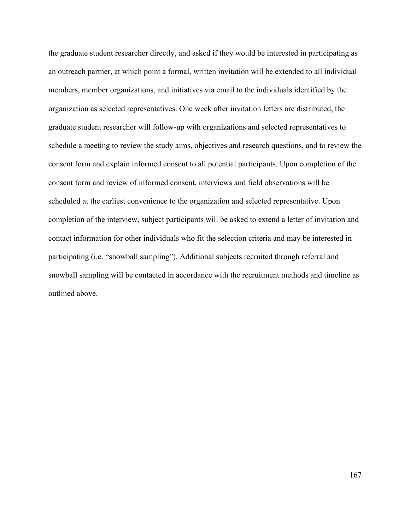the graduate student researcher directly, and asked if they would be interested in participating as an outreach partner, at which point a formal, written invitation will be extended to all individual members, member organizations, and initiatives via email to the individuals identified by the organization as selected representatives. One week after invitation letters are distributed, the graduate student researcher will follow-up with organizations and selected representatives to schedule a meeting to review the study aims, objectives and research questions, and to review the consent form and explain informed consent to all potential participants. Upon completion of the consent form and review of informed consent, interviews and field observations will be scheduled at the earliest convenience to the organization and selected representative. Upon completion of the interview, subject participants will be asked to extend a letter of invitation and contact information for other individuals who fit the selection criteria and may be interested in participating (i.e. "snowball sampling"). Additional subjects recruited through referral and snowball sampling will be contacted in accordance with the recruitment methods and timeline as outlined above.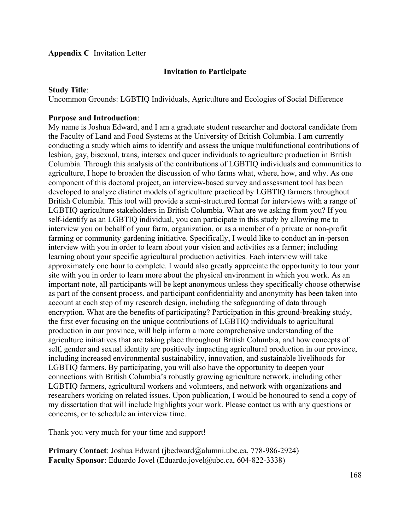# **Appendix C** Invitation Letter

# **Invitation to Participate**

### **Study Title**:

Uncommon Grounds: LGBTIQ Individuals, Agriculture and Ecologies of Social Difference

# **Purpose and Introduction**:

My name is Joshua Edward, and I am a graduate student researcher and doctoral candidate from the Faculty of Land and Food Systems at the University of British Columbia. I am currently conducting a study which aims to identify and assess the unique multifunctional contributions of lesbian, gay, bisexual, trans, intersex and queer individuals to agriculture production in British Columbia. Through this analysis of the contributions of LGBTIQ individuals and communities to agriculture, I hope to broaden the discussion of who farms what, where, how, and why. As one component of this doctoral project, an interview-based survey and assessment tool has been developed to analyze distinct models of agriculture practiced by LGBTIQ farmers throughout British Columbia. This tool will provide a semi-structured format for interviews with a range of LGBTIQ agriculture stakeholders in British Columbia. What are we asking from you? If you self-identify as an LGBTIQ individual, you can participate in this study by allowing me to interview you on behalf of your farm, organization, or as a member of a private or non-profit farming or community gardening initiative. Specifically, I would like to conduct an in-person interview with you in order to learn about your vision and activities as a farmer; including learning about your specific agricultural production activities. Each interview will take approximately one hour to complete. I would also greatly appreciate the opportunity to tour your site with you in order to learn more about the physical environment in which you work. As an important note, all participants will be kept anonymous unless they specifically choose otherwise as part of the consent process, and participant confidentiality and anonymity has been taken into account at each step of my research design, including the safeguarding of data through encryption. What are the benefits of participating? Participation in this ground-breaking study, the first ever focusing on the unique contributions of LGBTIQ individuals to agricultural production in our province, will help inform a more comprehensive understanding of the agriculture initiatives that are taking place throughout British Columbia, and how concepts of self, gender and sexual identity are positively impacting agricultural production in our province, including increased environmental sustainability, innovation, and sustainable livelihoods for LGBTIQ farmers. By participating, you will also have the opportunity to deepen your connections with British Columbia's robustly growing agriculture network, including other LGBTIQ farmers, agricultural workers and volunteers, and network with organizations and researchers working on related issues. Upon publication, I would be honoured to send a copy of my dissertation that will include highlights your work. Please contact us with any questions or concerns, or to schedule an interview time.

Thank you very much for your time and support!

**Primary Contact**: Joshua Edward (jbedward@alumni.ubc.ca, 778-986-2924) **Faculty Sponsor**: Eduardo Jovel (Eduardo.jovel@ubc.ca, 604-822-3338)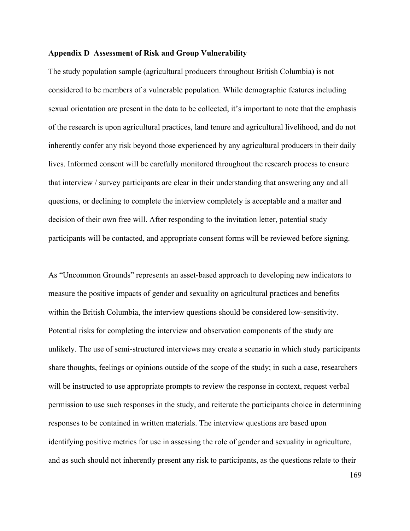### **Appendix D Assessment of Risk and Group Vulnerability**

The study population sample (agricultural producers throughout British Columbia) is not considered to be members of a vulnerable population. While demographic features including sexual orientation are present in the data to be collected, it's important to note that the emphasis of the research is upon agricultural practices, land tenure and agricultural livelihood, and do not inherently confer any risk beyond those experienced by any agricultural producers in their daily lives. Informed consent will be carefully monitored throughout the research process to ensure that interview / survey participants are clear in their understanding that answering any and all questions, or declining to complete the interview completely is acceptable and a matter and decision of their own free will. After responding to the invitation letter, potential study participants will be contacted, and appropriate consent forms will be reviewed before signing.

As "Uncommon Grounds" represents an asset-based approach to developing new indicators to measure the positive impacts of gender and sexuality on agricultural practices and benefits within the British Columbia, the interview questions should be considered low-sensitivity. Potential risks for completing the interview and observation components of the study are unlikely. The use of semi-structured interviews may create a scenario in which study participants share thoughts, feelings or opinions outside of the scope of the study; in such a case, researchers will be instructed to use appropriate prompts to review the response in context, request verbal permission to use such responses in the study, and reiterate the participants choice in determining responses to be contained in written materials. The interview questions are based upon identifying positive metrics for use in assessing the role of gender and sexuality in agriculture, and as such should not inherently present any risk to participants, as the questions relate to their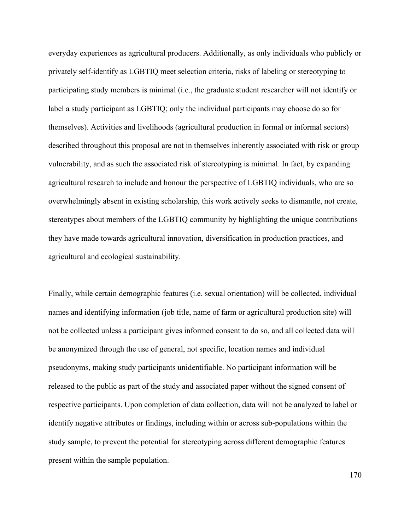everyday experiences as agricultural producers. Additionally, as only individuals who publicly or privately self-identify as LGBTIQ meet selection criteria, risks of labeling or stereotyping to participating study members is minimal (i.e., the graduate student researcher will not identify or label a study participant as LGBTIQ; only the individual participants may choose do so for themselves). Activities and livelihoods (agricultural production in formal or informal sectors) described throughout this proposal are not in themselves inherently associated with risk or group vulnerability, and as such the associated risk of stereotyping is minimal. In fact, by expanding agricultural research to include and honour the perspective of LGBTIQ individuals, who are so overwhelmingly absent in existing scholarship, this work actively seeks to dismantle, not create, stereotypes about members of the LGBTIQ community by highlighting the unique contributions they have made towards agricultural innovation, diversification in production practices, and agricultural and ecological sustainability.

Finally, while certain demographic features (i.e. sexual orientation) will be collected, individual names and identifying information (job title, name of farm or agricultural production site) will not be collected unless a participant gives informed consent to do so, and all collected data will be anonymized through the use of general, not specific, location names and individual pseudonyms, making study participants unidentifiable. No participant information will be released to the public as part of the study and associated paper without the signed consent of respective participants. Upon completion of data collection, data will not be analyzed to label or identify negative attributes or findings, including within or across sub-populations within the study sample, to prevent the potential for stereotyping across different demographic features present within the sample population.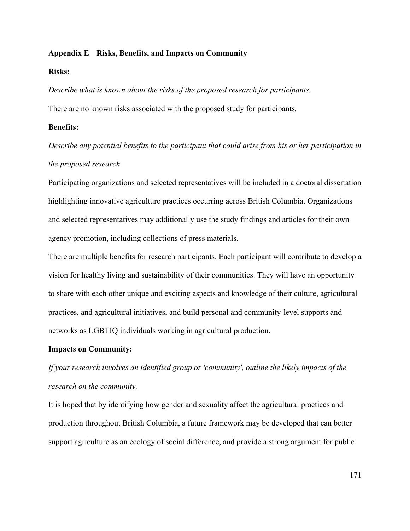## **Appendix E Risks, Benefits, and Impacts on Community**

### **Risks:**

*Describe what is known about the risks of the proposed research for participants.* There are no known risks associated with the proposed study for participants.

### **Benefits:**

*Describe any potential benefits to the participant that could arise from his or her participation in the proposed research.*

Participating organizations and selected representatives will be included in a doctoral dissertation highlighting innovative agriculture practices occurring across British Columbia. Organizations and selected representatives may additionally use the study findings and articles for their own agency promotion, including collections of press materials.

There are multiple benefits for research participants. Each participant will contribute to develop a vision for healthy living and sustainability of their communities. They will have an opportunity to share with each other unique and exciting aspects and knowledge of their culture, agricultural practices, and agricultural initiatives, and build personal and community-level supports and networks as LGBTIQ individuals working in agricultural production.

### **Impacts on Community:**

*If your research involves an identified group or 'community', outline the likely impacts of the research on the community.*

It is hoped that by identifying how gender and sexuality affect the agricultural practices and production throughout British Columbia, a future framework may be developed that can better support agriculture as an ecology of social difference, and provide a strong argument for public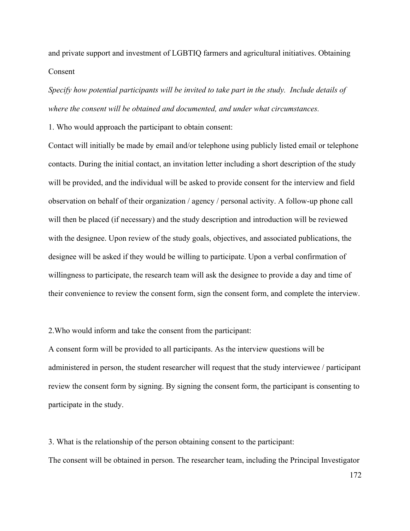and private support and investment of LGBTIQ farmers and agricultural initiatives. Obtaining Consent

*Specify how potential participants will be invited to take part in the study. Include details of where the consent will be obtained and documented, and under what circumstances.*

1. Who would approach the participant to obtain consent:

Contact will initially be made by email and/or telephone using publicly listed email or telephone contacts. During the initial contact, an invitation letter including a short description of the study will be provided, and the individual will be asked to provide consent for the interview and field observation on behalf of their organization / agency / personal activity. A follow-up phone call will then be placed (if necessary) and the study description and introduction will be reviewed with the designee. Upon review of the study goals, objectives, and associated publications, the designee will be asked if they would be willing to participate. Upon a verbal confirmation of willingness to participate, the research team will ask the designee to provide a day and time of their convenience to review the consent form, sign the consent form, and complete the interview.

2.Who would inform and take the consent from the participant:

A consent form will be provided to all participants. As the interview questions will be administered in person, the student researcher will request that the study interviewee / participant review the consent form by signing. By signing the consent form, the participant is consenting to participate in the study.

3. What is the relationship of the person obtaining consent to the participant: The consent will be obtained in person. The researcher team, including the Principal Investigator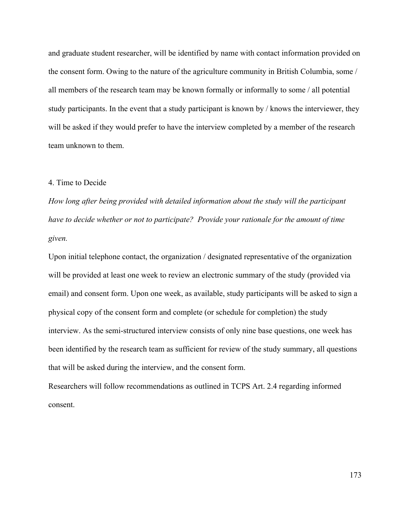and graduate student researcher, will be identified by name with contact information provided on the consent form. Owing to the nature of the agriculture community in British Columbia, some / all members of the research team may be known formally or informally to some / all potential study participants. In the event that a study participant is known by / knows the interviewer, they will be asked if they would prefer to have the interview completed by a member of the research team unknown to them.

## 4. Time to Decide

*How long after being provided with detailed information about the study will the participant have to decide whether or not to participate? Provide your rationale for the amount of time given.*

Upon initial telephone contact, the organization / designated representative of the organization will be provided at least one week to review an electronic summary of the study (provided via email) and consent form. Upon one week, as available, study participants will be asked to sign a physical copy of the consent form and complete (or schedule for completion) the study interview. As the semi-structured interview consists of only nine base questions, one week has been identified by the research team as sufficient for review of the study summary, all questions that will be asked during the interview, and the consent form.

Researchers will follow recommendations as outlined in TCPS Art. 2.4 regarding informed consent.

173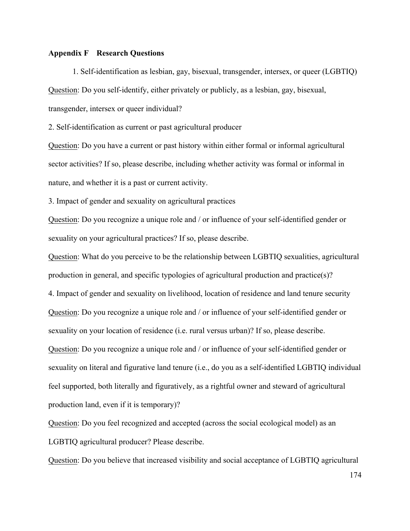## **Appendix F Research Questions**

1. Self-identification as lesbian, gay, bisexual, transgender, intersex, or queer (LGBTIQ) Question: Do you self-identify, either privately or publicly, as a lesbian, gay, bisexual, transgender, intersex or queer individual?

2. Self-identification as current or past agricultural producer

Question: Do you have a current or past history within either formal or informal agricultural sector activities? If so, please describe, including whether activity was formal or informal in nature, and whether it is a past or current activity.

3. Impact of gender and sexuality on agricultural practices

Question: Do you recognize a unique role and / or influence of your self-identified gender or sexuality on your agricultural practices? If so, please describe.

Question: What do you perceive to be the relationship between LGBTIQ sexualities, agricultural production in general, and specific typologies of agricultural production and practice(s)? 4. Impact of gender and sexuality on livelihood, location of residence and land tenure security Question: Do you recognize a unique role and / or influence of your self-identified gender or sexuality on your location of residence (i.e. rural versus urban)? If so, please describe. Question: Do you recognize a unique role and / or influence of your self-identified gender or sexuality on literal and figurative land tenure (i.e., do you as a self-identified LGBTIQ individual feel supported, both literally and figuratively, as a rightful owner and steward of agricultural production land, even if it is temporary)?

Question: Do you feel recognized and accepted (across the social ecological model) as an LGBTIQ agricultural producer? Please describe.

Question: Do you believe that increased visibility and social acceptance of LGBTIQ agricultural

174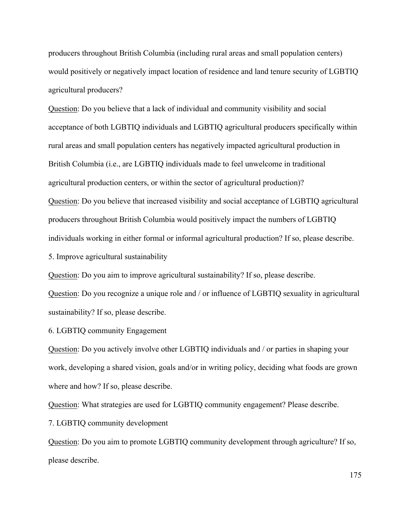producers throughout British Columbia (including rural areas and small population centers) would positively or negatively impact location of residence and land tenure security of LGBTIQ agricultural producers?

Question: Do you believe that a lack of individual and community visibility and social acceptance of both LGBTIQ individuals and LGBTIQ agricultural producers specifically within rural areas and small population centers has negatively impacted agricultural production in British Columbia (i.e., are LGBTIQ individuals made to feel unwelcome in traditional agricultural production centers, or within the sector of agricultural production)? Question: Do you believe that increased visibility and social acceptance of LGBTIQ agricultural producers throughout British Columbia would positively impact the numbers of LGBTIQ individuals working in either formal or informal agricultural production? If so, please describe.

5. Improve agricultural sustainability

Question: Do you aim to improve agricultural sustainability? If so, please describe.

Question: Do you recognize a unique role and / or influence of LGBTIQ sexuality in agricultural sustainability? If so, please describe.

6. LGBTIQ community Engagement

Question: Do you actively involve other LGBTIQ individuals and / or parties in shaping your work, developing a shared vision, goals and/or in writing policy, deciding what foods are grown where and how? If so, please describe.

Question: What strategies are used for LGBTIQ community engagement? Please describe.

7. LGBTIQ community development

Question: Do you aim to promote LGBTIQ community development through agriculture? If so, please describe.